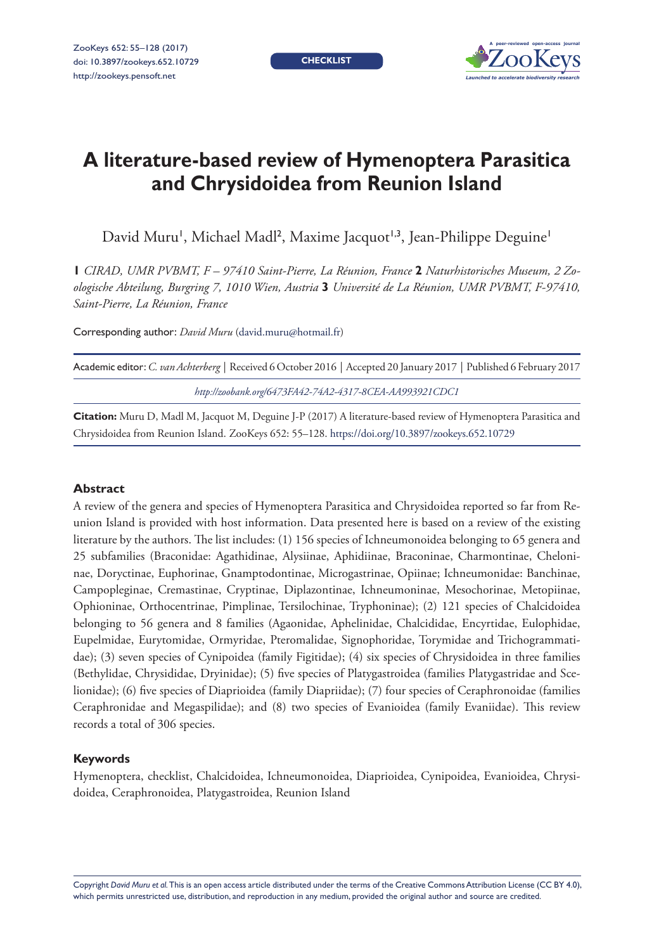**CHECKLIST**



# **A literature-based review of Hymenoptera Parasitica and Chrysidoidea from Reunion Island**

David Muru', Michael Madl<sup>2</sup>, Maxime Jacquot<sup>1,3</sup>, Jean-Philippe Deguine'

**1** *CIRAD, UMR PVBMT, F – 97410 Saint-Pierre, La Réunion, France* **2** *Naturhistorisches Museum, 2 Zoologische Abteilung, Burgring 7, 1010 Wien, Austria* **3** *Université de La Réunion, UMR PVBMT, F-97410, Saint-Pierre, La Réunion, France*

Corresponding author: *David Muru* ([david.muru@hotmail.fr](mailto:david.muru@hotmail.fr))

| Academic editor: C. van Achterberg   Received 6 October 2016   Accepted 20 January 2017   Published 6 February 2017 |
|---------------------------------------------------------------------------------------------------------------------|
| http://zoobank.org/6473FA42-74A2-4317-8CEA-AA993921CDC1                                                             |

**Citation:** Muru D, Madl M, Jacquot M, Deguine J-P (2017) A literature-based review of Hymenoptera Parasitica and Chrysidoidea from Reunion Island. ZooKeys 652: 55–128.<https://doi.org/10.3897/zookeys.652.10729>

### **Abstract**

A review of the genera and species of Hymenoptera Parasitica and Chrysidoidea reported so far from Reunion Island is provided with host information. Data presented here is based on a review of the existing literature by the authors. The list includes: (1) 156 species of Ichneumonoidea belonging to 65 genera and 25 subfamilies (Braconidae: Agathidinae, Alysiinae, Aphidiinae, Braconinae, Charmontinae, Cheloninae, Doryctinae, Euphorinae, Gnamptodontinae, Microgastrinae, Opiinae; Ichneumonidae: Banchinae, Campopleginae, Cremastinae, Cryptinae, Diplazontinae, Ichneumoninae, Mesochorinae, Metopiinae, Ophioninae, Orthocentrinae, Pimplinae, Tersilochinae, Tryphoninae); (2) 121 species of Chalcidoidea belonging to 56 genera and 8 families (Agaonidae, Aphelinidae, Chalcididae, Encyrtidae, Eulophidae, Eupelmidae, Eurytomidae, Ormyridae, Pteromalidae, Signophoridae, Torymidae and Trichogrammatidae); (3) seven species of Cynipoidea (family Figitidae); (4) six species of Chrysidoidea in three families (Bethylidae, Chrysididae, Dryinidae); (5) five species of Platygastroidea (families Platygastridae and Scelionidae); (6) five species of Diaprioidea (family Diapriidae); (7) four species of Ceraphronoidae (families Ceraphronidae and Megaspilidae); and (8) two species of Evanioidea (family Evaniidae). This review records a total of 306 species.

### **Keywords**

Hymenoptera, checklist, Chalcidoidea, Ichneumonoidea, Diaprioidea, Cynipoidea, Evanioidea, Chrysidoidea, Ceraphronoidea, Platygastroidea, Reunion Island

Copyright *David Muru et al.* This is an open access article distributed under the terms of the [Creative Commons Attribution License \(CC BY 4.0\),](http://creativecommons.org/licenses/by/4.0/) which permits unrestricted use, distribution, and reproduction in any medium, provided the original author and source are credited.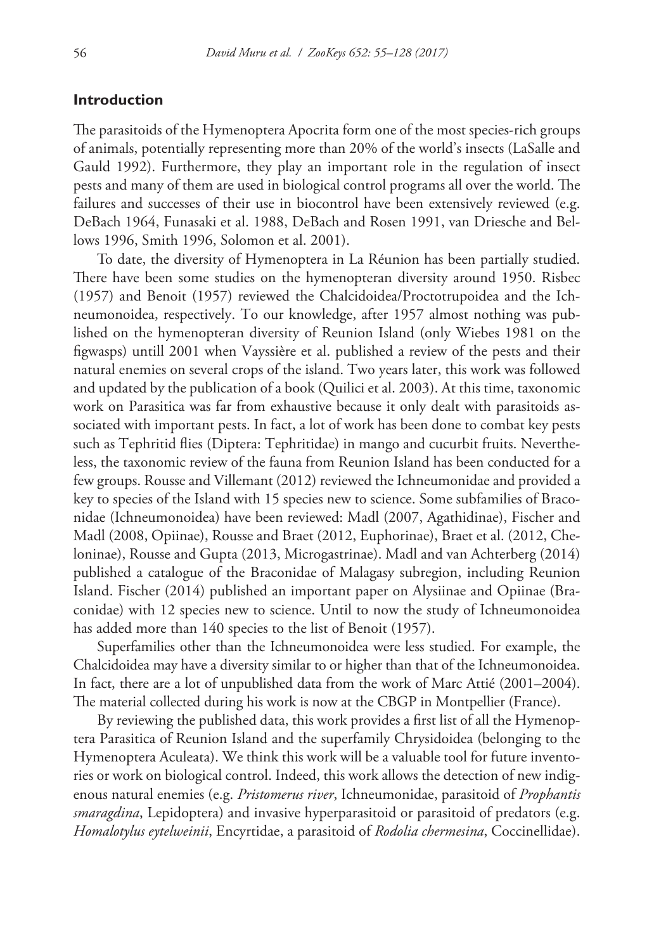# **Introduction**

The parasitoids of the Hymenoptera Apocrita form one of the most species-rich groups of animals, potentially representing more than 20% of the world's insects (LaSalle and Gauld 1992). Furthermore, they play an important role in the regulation of insect pests and many of them are used in biological control programs all over the world. The failures and successes of their use in biocontrol have been extensively reviewed (e.g. DeBach 1964, Funasaki et al. 1988, DeBach and Rosen 1991, van Driesche and Bellows 1996, Smith 1996, Solomon et al. 2001).

To date, the diversity of Hymenoptera in La Réunion has been partially studied. There have been some studies on the hymenopteran diversity around 1950. Risbec (1957) and Benoit (1957) reviewed the Chalcidoidea/Proctotrupoidea and the Ichneumonoidea, respectively. To our knowledge, after 1957 almost nothing was published on the hymenopteran diversity of Reunion Island (only Wiebes 1981 on the figwasps) untill 2001 when Vayssière et al. published a review of the pests and their natural enemies on several crops of the island. Two years later, this work was followed and updated by the publication of a book (Quilici et al. 2003). At this time, taxonomic work on Parasitica was far from exhaustive because it only dealt with parasitoids associated with important pests. In fact, a lot of work has been done to combat key pests such as Tephritid flies (Diptera: Tephritidae) in mango and cucurbit fruits. Nevertheless, the taxonomic review of the fauna from Reunion Island has been conducted for a few groups. Rousse and Villemant (2012) reviewed the Ichneumonidae and provided a key to species of the Island with 15 species new to science. Some subfamilies of Braconidae (Ichneumonoidea) have been reviewed: Madl (2007, Agathidinae), Fischer and Madl (2008, Opiinae), Rousse and Braet (2012, Euphorinae), Braet et al. (2012, Cheloninae), Rousse and Gupta (2013, Microgastrinae). Madl and van Achterberg (2014) published a catalogue of the Braconidae of Malagasy subregion, including Reunion Island. Fischer (2014) published an important paper on Alysiinae and Opiinae (Braconidae) with 12 species new to science. Until to now the study of Ichneumonoidea has added more than 140 species to the list of Benoit (1957).

Superfamilies other than the Ichneumonoidea were less studied. For example, the Chalcidoidea may have a diversity similar to or higher than that of the Ichneumonoidea. In fact, there are a lot of unpublished data from the work of Marc Attié (2001–2004). The material collected during his work is now at the CBGP in Montpellier (France).

By reviewing the published data, this work provides a first list of all the Hymenoptera Parasitica of Reunion Island and the superfamily Chrysidoidea (belonging to the Hymenoptera Aculeata). We think this work will be a valuable tool for future inventories or work on biological control. Indeed, this work allows the detection of new indigenous natural enemies (e.g. *Pristomerus river*, Ichneumonidae, parasitoid of *Prophantis smaragdina*, Lepidoptera) and invasive hyperparasitoid or parasitoid of predators (e.g. *Homalotylus eytelweinii*, Encyrtidae, a parasitoid of *Rodolia chermesina*, Coccinellidae).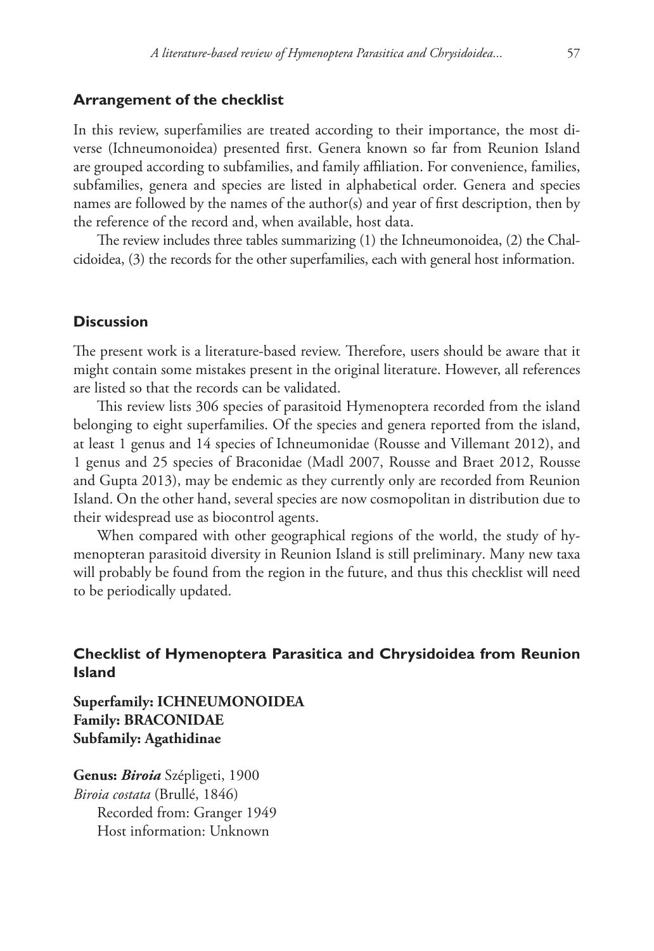### **Arrangement of the checklist**

In this review, superfamilies are treated according to their importance, the most diverse (Ichneumonoidea) presented first. Genera known so far from Reunion Island are grouped according to subfamilies, and family affiliation. For convenience, families, subfamilies, genera and species are listed in alphabetical order. Genera and species names are followed by the names of the author(s) and year of first description, then by the reference of the record and, when available, host data.

The review includes three tables summarizing (1) the Ichneumonoidea, (2) the Chalcidoidea, (3) the records for the other superfamilies, each with general host information.

# **Discussion**

The present work is a literature-based review. Therefore, users should be aware that it might contain some mistakes present in the original literature. However, all references are listed so that the records can be validated.

This review lists 306 species of parasitoid Hymenoptera recorded from the island belonging to eight superfamilies. Of the species and genera reported from the island, at least 1 genus and 14 species of Ichneumonidae (Rousse and Villemant 2012), and 1 genus and 25 species of Braconidae (Madl 2007, Rousse and Braet 2012, Rousse and Gupta 2013), may be endemic as they currently only are recorded from Reunion Island. On the other hand, several species are now cosmopolitan in distribution due to their widespread use as biocontrol agents.

When compared with other geographical regions of the world, the study of hymenopteran parasitoid diversity in Reunion Island is still preliminary. Many new taxa will probably be found from the region in the future, and thus this checklist will need to be periodically updated.

# **Checklist of Hymenoptera Parasitica and Chrysidoidea from Reunion Island**

**Superfamily: ICHNEUMONOIDEA Family: BRACONIDAE Subfamily: Agathidinae**

**Genus:** *Biroia* Szépligeti, 1900 *Biroia costata* (Brullé, 1846) Recorded from: Granger 1949 Host information: Unknown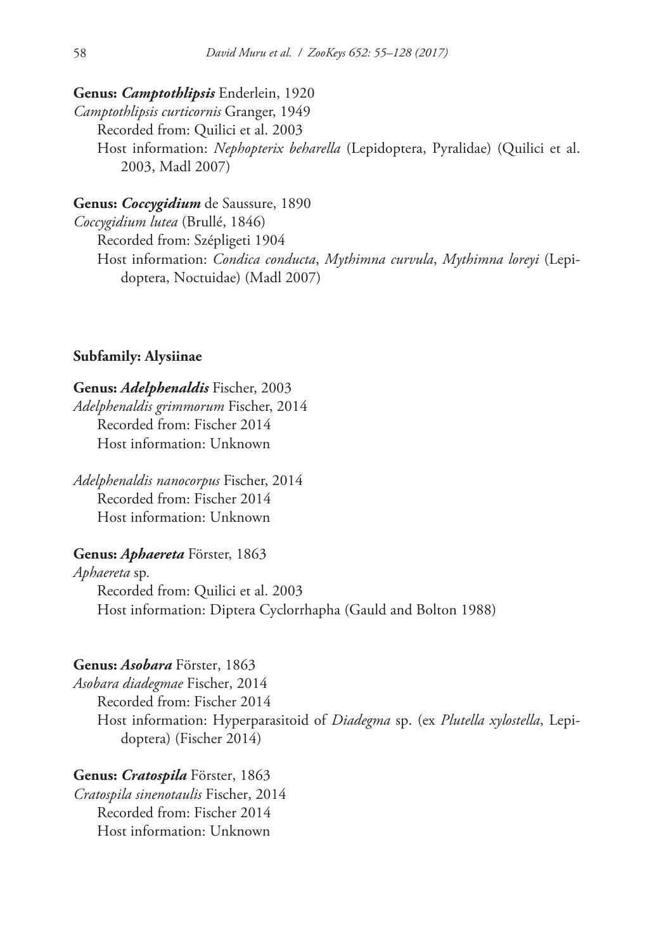# **Genus:** *Camptothlipsis* Enderlein, 1920

*Camptothlipsis curticornis* Granger, 1949 Recorded from: Quilici et al. 2003 Host information: *Nephopterix beharella* (Lepidoptera, Pyralidae) (Quilici et al. 2003, Madl 2007)

# **Genus:** *Coccygidium* de Saussure, 1890

*Coccygidium lutea* (Brullé, 1846) Recorded from: Szépligeti 1904 Host information: *Condica conducta*, *Mythimna curvula*, *Mythimna loreyi* (Lepidoptera, Noctuidae) (Madl 2007)

# **Subfamily: Alysiinae**

# **Genus:** *Adelphenaldis* Fischer, 2003

*Adelphenaldis grimmorum* Fischer, 2014 Recorded from: Fischer 2014 Host information: Unknown

*Adelphenaldis nanocorpus* Fischer, 2014 Recorded from: Fischer 2014 Host information: Unknown

# **Genus:** *Aphaereta* Förster, 1863

*Aphaereta* sp*.* Recorded from: Quilici et al. 2003 Host information: Diptera Cyclorrhapha (Gauld and Bolton 1988)

# **Genus:** *Asobara* Förster, 1863

*Asobara diadegmae* Fischer, 2014 Recorded from: Fischer 2014 Host information: Hyperparasitoid of *Diadegma* sp. (ex *Plutella xylostella*, Lepidoptera) (Fischer 2014)

# **Genus:** *Cratospila* Förster, 1863

*Cratospila sinenotaulis* Fischer, 2014 Recorded from: Fischer 2014 Host information: Unknown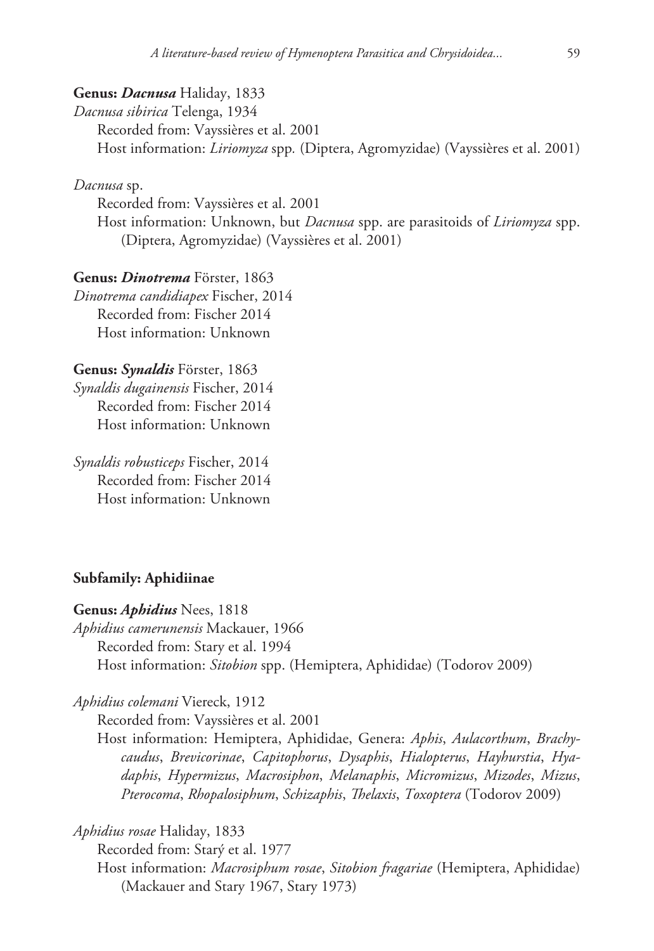# **Genus:** *Dacnusa* Haliday, 1833

*Dacnusa sibirica* Telenga, 1934 Recorded from: Vayssières et al. 2001 Host information: *Liriomyza* spp*.* (Diptera, Agromyzidae) (Vayssières et al. 2001)

*Dacnusa* sp.

Recorded from: Vayssières et al. 2001 Host information: Unknown, but *Dacnusa* spp. are parasitoids of *Liriomyza* spp. (Diptera, Agromyzidae) (Vayssières et al. 2001)

**Genus:** *Dinotrema* Förster, 1863 *Dinotrema candidiapex* Fischer, 2014 Recorded from: Fischer 2014 Host information: Unknown

**Genus:** *Synaldis* Förster, 1863 *Synaldis dugainensis* Fischer, 2014 Recorded from: Fischer 2014 Host information: Unknown

*Synaldis robusticeps* Fischer, 2014 Recorded from: Fischer 2014 Host information: Unknown

# **Subfamily: Aphidiinae**

#### **Genus:** *Aphidius* Nees, 1818

*Aphidius camerunensis* Mackauer, 1966 Recorded from: Stary et al. 1994 Host information: *Sitobion* spp. (Hemiptera, Aphididae) (Todorov 2009)

*Aphidius colemani* Viereck, 1912

Recorded from: Vayssières et al. 2001

Host information: Hemiptera, Aphididae, Genera: *Aphis*, *Aulacorthum*, *Brachycaudus*, *Brevicorinae*, *Capitophorus*, *Dysaphis*, *Hialopterus*, *Hayhurstia*, *Hyadaphis*, *Hypermizus*, *Macrosiphon*, *Melanaphis*, *Micromizus*, *Mizodes*, *Mizus*, *Pterocoma*, *Rhopalosiphum*, *Schizaphis*, *Thelaxis*, *Toxoptera* (Todorov 2009)

*Aphidius rosae* Haliday, 1833

Recorded from: Starý et al. 1977 Host information: *Macrosiphum rosae*, *Sitobion fragariae* (Hemiptera, Aphididae) (Mackauer and Stary 1967, Stary 1973)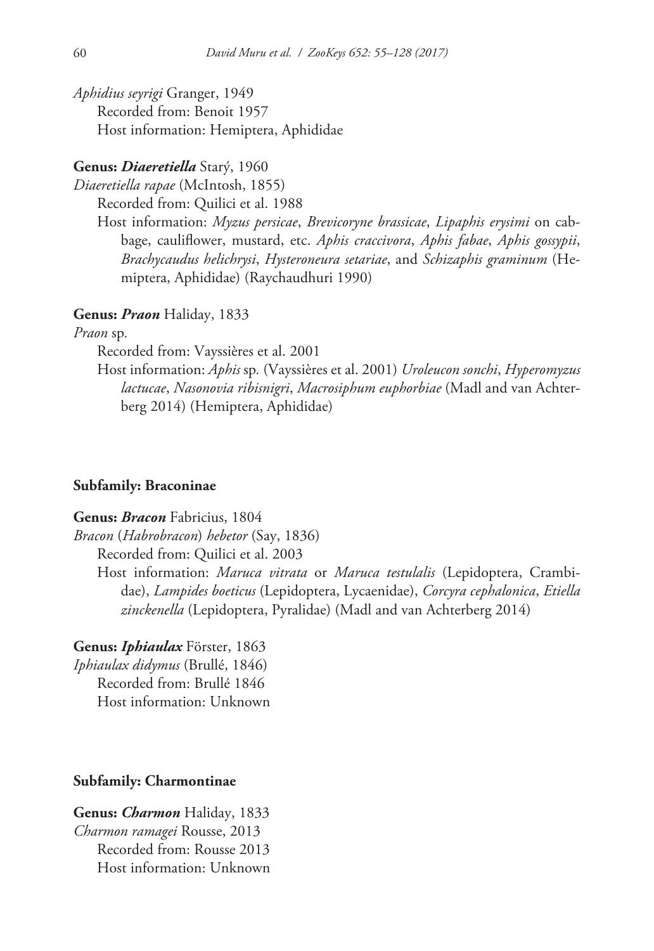*Aphidius seyrigi* Granger, 1949 Recorded from: Benoit 1957 Host information: Hemiptera, Aphididae

# **Genus:** *Diaeretiella* Starý, 1960

*Diaeretiella rapae* (McIntosh, 1855)

Recorded from: Quilici et al. 1988

Host information: *Myzus persicae*, *Brevicoryne brassicae*, *Lipaphis erysimi* on cabbage, cauliflower, mustard, etc. *Aphis craccivora*, *Aphis fabae*, *Aphis gossypii*, *Brachycaudus helichrysi*, *Hysteroneura setariae*, and *Schizaphis graminum* (Hemiptera, Aphididae) (Raychaudhuri 1990)

# **Genus:** *Praon* Haliday, 1833

*Praon* sp*.*

Recorded from: Vayssières et al. 2001

Host information: *Aphis* sp*.* (Vayssières et al. 2001) *Uroleucon sonchi*, *Hyperomyzus lactucae*, *Nasonovia ribisnigri*, *Macrosiphum euphorbiae* (Madl and van Achterberg 2014) (Hemiptera, Aphididae)

# **Subfamily: Braconinae**

# **Genus:** *Bracon* Fabricius, 1804

*Bracon* (*Habrobracon*) *hebetor* (Say, 1836)

Recorded from: Quilici et al. 2003

Host information: *Maruca vitrata* or *Maruca testulalis* (Lepidoptera, Crambidae), *Lampides boeticus* (Lepidoptera, Lycaenidae), *Corcyra cephalonica*, *Etiella zinckenella* (Lepidoptera, Pyralidae) (Madl and van Achterberg 2014)

**Genus:** *Iphiaulax* Förster, 1863

*Iphiaulax didymus* (Brullé, 1846) Recorded from: Brullé 1846 Host information: Unknown

# **Subfamily: Charmontinae**

**Genus:** *Charmon* Haliday, 1833 *Charmon ramagei* Rousse, 2013 Recorded from: Rousse 2013 Host information: Unknown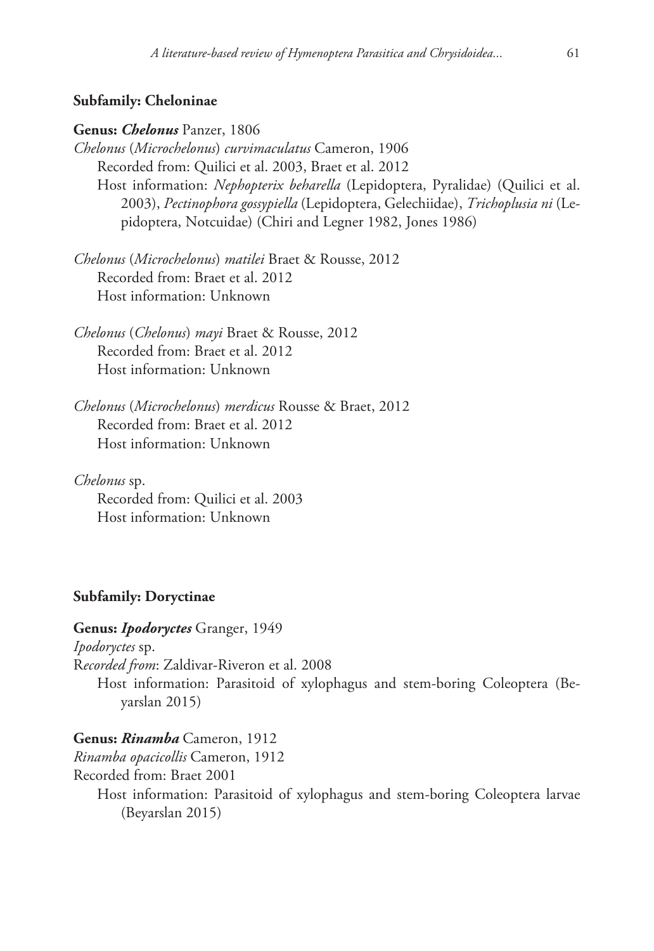# **Subfamily: Cheloninae**

### **Genus:** *Chelonus* Panzer, 1806

*Chelonus* (*Microchelonus*) *curvimaculatus* Cameron, 1906 Recorded from: Quilici et al. 2003, Braet et al. 2012 Host information: *Nephopterix beharella* (Lepidoptera, Pyralidae) (Quilici et al. 2003), *Pectinophora gossypiella* (Lepidoptera, Gelechiidae), *Trichoplusia ni* (Lepidoptera, Notcuidae) (Chiri and Legner 1982, Jones 1986)

*Chelonus* (*Microchelonus*) *matilei* Braet & Rousse, 2012 Recorded from: Braet et al. 2012 Host information: Unknown

*Chelonus* (*Chelonus*) *mayi* Braet & Rousse, 2012 Recorded from: Braet et al. 2012 Host information: Unknown

*Chelonus* (*Microchelonus*) *merdicus* Rousse & Braet, 2012 Recorded from: Braet et al. 2012 Host information: Unknown

*Chelonus* sp. Recorded from: Quilici et al. 2003 Host information: Unknown

## **Subfamily: Doryctinae**

**Genus:** *Ipodoryctes* Granger, 1949 *Ipodoryctes* sp. R*ecorded from*: Zaldivar-Riveron et al. 2008 Host information: Parasitoid of xylophagus and stem-boring Coleoptera (Beyarslan 2015)

**Genus:** *Rinamba* Cameron, 1912 *Rinamba opacicollis* Cameron, 1912 Recorded from: Braet 2001 Host information: Parasitoid of xylophagus and stem-boring Coleoptera larvae (Beyarslan 2015)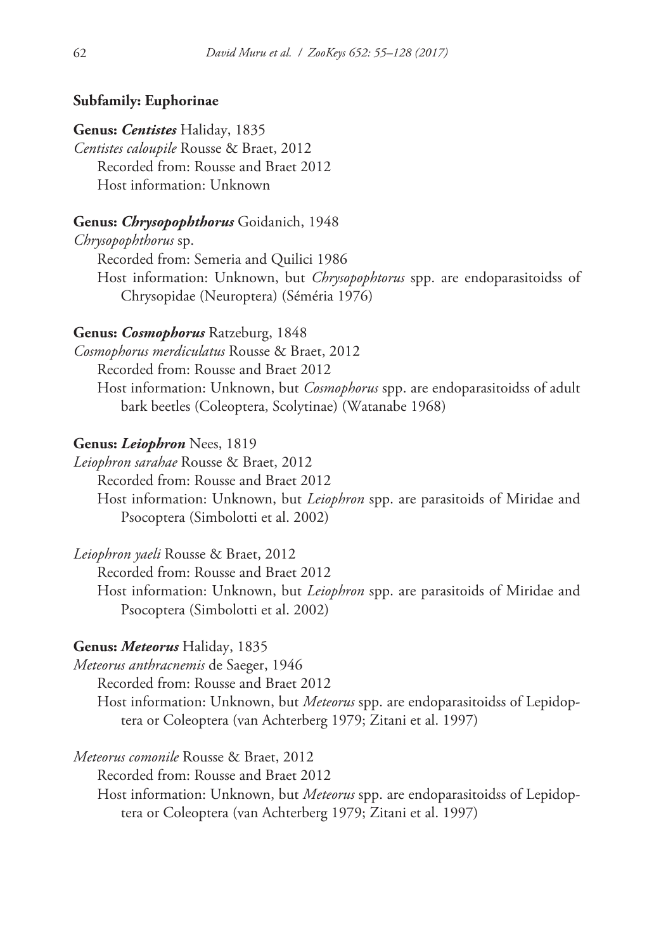# **Subfamily: Euphorinae**

#### **Genus:** *Centistes* Haliday, 1835

*Centistes caloupile* Rousse & Braet, 2012 Recorded from: Rousse and Braet 2012 Host information: Unknown

### **Genus:** *Chrysopophthorus* Goidanich, 1948

*Chrysopophthorus* sp.

Recorded from: Semeria and Quilici 1986

Host information: Unknown, but *Chrysopophtorus* spp. are endoparasitoidss of Chrysopidae (Neuroptera) (Séméria 1976)

# **Genus:** *Cosmophorus* Ratzeburg, 1848

*Cosmophorus merdiculatus* Rousse & Braet, 2012

Recorded from: Rousse and Braet 2012

Host information: Unknown, but *Cosmophorus* spp. are endoparasitoidss of adult bark beetles (Coleoptera, Scolytinae) (Watanabe 1968)

#### **Genus:** *Leiophron* Nees, 1819

*Leiophron sarahae* Rousse & Braet, 2012

Recorded from: Rousse and Braet 2012

Host information: Unknown, but *Leiophron* spp. are parasitoids of Miridae and Psocoptera (Simbolotti et al. 2002)

*Leiophron yaeli* Rousse & Braet, 2012

Recorded from: Rousse and Braet 2012

Host information: Unknown, but *Leiophron* spp. are parasitoids of Miridae and Psocoptera (Simbolotti et al. 2002)

### **Genus:** *Meteorus* Haliday, 1835

*Meteorus anthracnemis* de Saeger, 1946

Recorded from: Rousse and Braet 2012

Host information: Unknown, but *Meteorus* spp. are endoparasitoidss of Lepidoptera or Coleoptera (van Achterberg 1979; Zitani et al. 1997)

*Meteorus comonile* Rousse & Braet, 2012

Recorded from: Rousse and Braet 2012

Host information: Unknown, but *Meteorus* spp. are endoparasitoidss of Lepidoptera or Coleoptera (van Achterberg 1979; Zitani et al. 1997)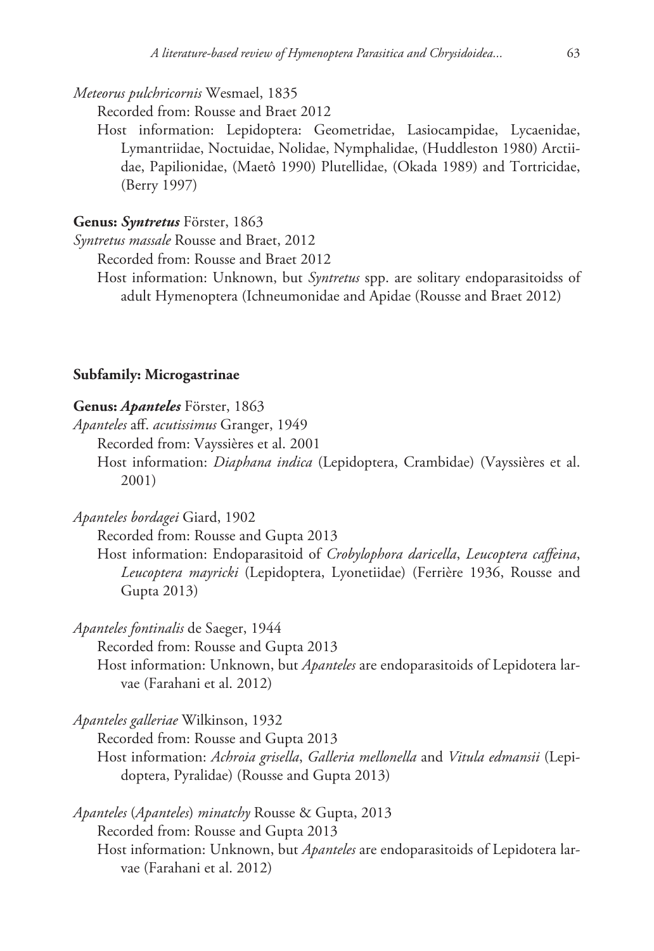*Meteorus pulchricornis* Wesmael, 1835

Recorded from: Rousse and Braet 2012

Host information: Lepidoptera: Geometridae, Lasiocampidae, Lycaenidae, Lymantriidae, Noctuidae, Nolidae, Nymphalidae, (Huddleston 1980) Arctiidae, Papilionidae, (Maetô 1990) Plutellidae, (Okada 1989) and Tortricidae, (Berry 1997)

# **Genus:** *Syntretus* Förster, 1863

*Syntretus massale* Rousse and Braet, 2012

Recorded from: Rousse and Braet 2012

Host information: Unknown, but *Syntretus* spp. are solitary endoparasitoidss of adult Hymenoptera (Ichneumonidae and Apidae (Rousse and Braet 2012)

# **Subfamily: Microgastrinae**

#### **Genus:** *Apanteles* Förster, 1863

*Apanteles* aff. *acutissimus* Granger, 1949

Recorded from: Vayssières et al. 2001

Host information: *Diaphana indica* (Lepidoptera, Crambidae) (Vayssières et al. 2001)

*Apanteles bordagei* Giard, 1902

Recorded from: Rousse and Gupta 2013

Host information: Endoparasitoid of *Crobylophora daricella*, *Leucoptera caffeina*, *Leucoptera mayricki* (Lepidoptera, Lyonetiidae) (Ferrière 1936, Rousse and Gupta 2013)

*Apanteles fontinalis* de Saeger, 1944

Recorded from: Rousse and Gupta 2013

Host information: Unknown, but *Apanteles* are endoparasitoids of Lepidotera larvae (Farahani et al. 2012)

*Apanteles galleriae* Wilkinson, 1932

Recorded from: Rousse and Gupta 2013

Host information: *Achroia grisella*, *Galleria mellonella* and *Vitula edmansii* (Lepidoptera, Pyralidae) (Rousse and Gupta 2013)

*Apanteles* (*Apanteles*) *minatchy* Rousse & Gupta, 2013 Recorded from: Rousse and Gupta 2013 Host information: Unknown, but *Apanteles* are endoparasitoids of Lepidotera larvae (Farahani et al. 2012)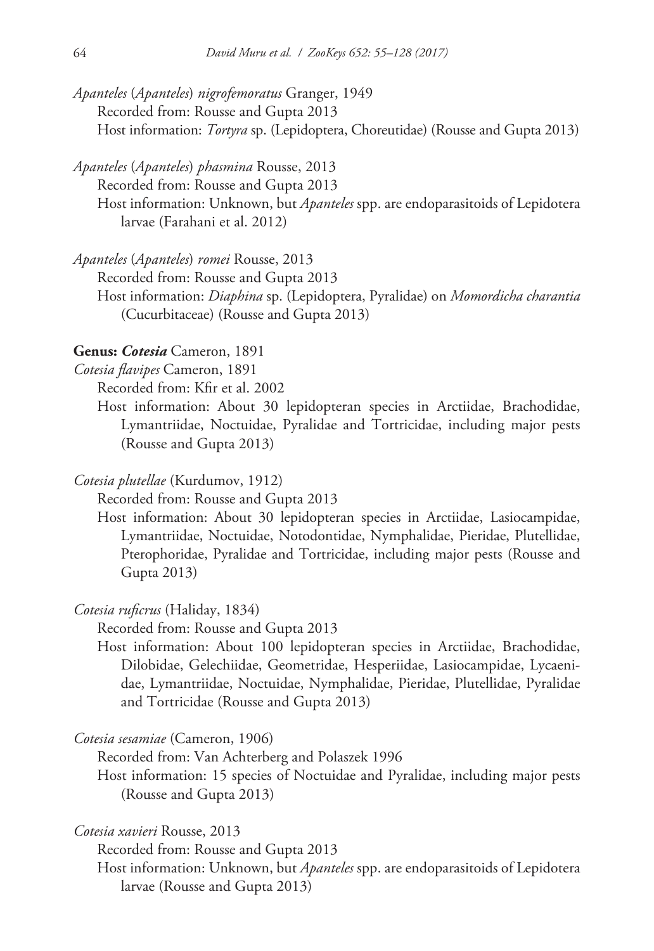- *Apanteles* (*Apanteles*) *nigrofemoratus* Granger, 1949 Recorded from: Rousse and Gupta 2013 Host information: *Tortyra* sp. (Lepidoptera, Choreutidae) (Rousse and Gupta 2013)
- *Apanteles* (*Apanteles*) *phasmina* Rousse, 2013

Recorded from: Rousse and Gupta 2013

Host information: Unknown, but *Apanteles* spp. are endoparasitoids of Lepidotera larvae (Farahani et al. 2012)

*Apanteles* (*Apanteles*) *romei* Rousse, 2013

Recorded from: Rousse and Gupta 2013

Host information: *Diaphina* sp. (Lepidoptera, Pyralidae) on *Momordicha charantia*  (Cucurbitaceae) (Rousse and Gupta 2013)

### **Genus:** *Cotesia* Cameron, 1891

*Cotesia flavipes* Cameron, 1891

Recorded from: Kfir et al. 2002

Host information: About 30 lepidopteran species in Arctiidae, Brachodidae, Lymantriidae, Noctuidae, Pyralidae and Tortricidae, including major pests (Rousse and Gupta 2013)

# *Cotesia plutellae* (Kurdumov, 1912)

Recorded from: Rousse and Gupta 2013

Host information: About 30 lepidopteran species in Arctiidae, Lasiocampidae, Lymantriidae, Noctuidae, Notodontidae, Nymphalidae, Pieridae, Plutellidae, Pterophoridae, Pyralidae and Tortricidae, including major pests (Rousse and Gupta 2013)

#### *Cotesia ruficrus* (Haliday, 1834)

Recorded from: Rousse and Gupta 2013

Host information: About 100 lepidopteran species in Arctiidae, Brachodidae, Dilobidae, Gelechiidae, Geometridae, Hesperiidae, Lasiocampidae, Lycaenidae, Lymantriidae, Noctuidae, Nymphalidae, Pieridae, Plutellidae, Pyralidae and Tortricidae (Rousse and Gupta 2013)

*Cotesia sesamiae* (Cameron, 1906)

Recorded from: Van Achterberg and Polaszek 1996

Host information: 15 species of Noctuidae and Pyralidae, including major pests (Rousse and Gupta 2013)

*Cotesia xavieri* Rousse, 2013

Recorded from: Rousse and Gupta 2013

Host information: Unknown, but *Apanteles* spp. are endoparasitoids of Lepidotera larvae (Rousse and Gupta 2013)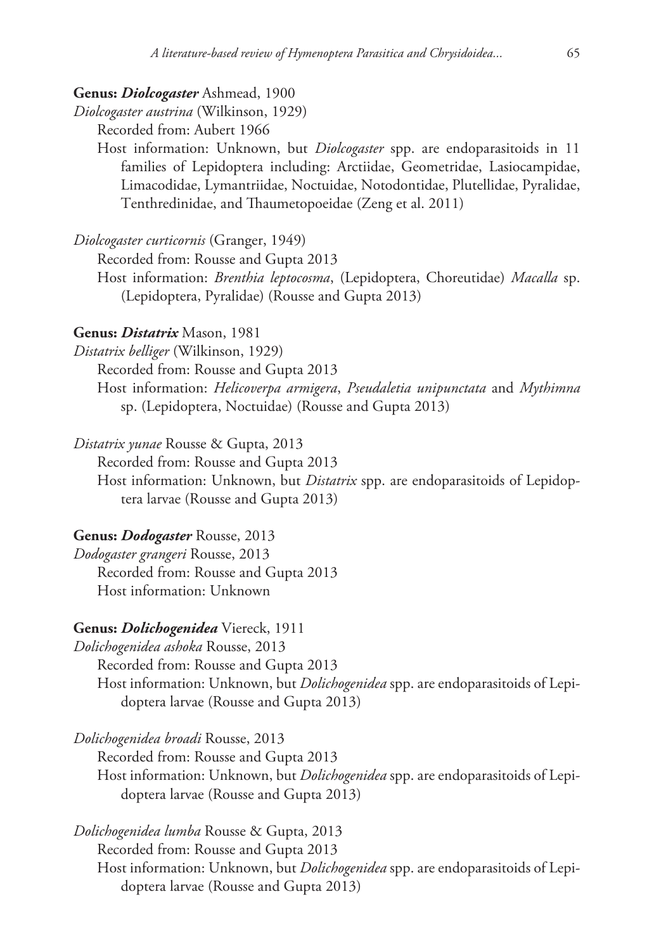#### **Genus:** *Diolcogaster* Ashmead, 1900

*Diolcogaster austrina* (Wilkinson, 1929)

Recorded from: Aubert 1966

Host information: Unknown, but *Diolcogaster* spp. are endoparasitoids in 11 families of Lepidoptera including: Arctiidae, Geometridae, Lasiocampidae, Limacodidae, Lymantriidae, Noctuidae, Notodontidae, Plutellidae, Pyralidae, Tenthredinidae, and Thaumetopoeidae (Zeng et al. 2011)

*Diolcogaster curticornis* (Granger, 1949)

Recorded from: Rousse and Gupta 2013

Host information: *Brenthia leptocosma*, (Lepidoptera, Choreutidae) *Macalla* sp. (Lepidoptera, Pyralidae) (Rousse and Gupta 2013)

### **Genus:** *Distatrix* Mason, 1981

*Distatrix belliger* (Wilkinson, 1929)

Recorded from: Rousse and Gupta 2013

Host information: *Helicoverpa armigera*, *Pseudaletia unipunctata* and *Mythimna* sp. (Lepidoptera, Noctuidae) (Rousse and Gupta 2013)

*Distatrix yunae* Rousse & Gupta, 2013

Recorded from: Rousse and Gupta 2013

Host information: Unknown, but *Distatrix* spp. are endoparasitoids of Lepidoptera larvae (Rousse and Gupta 2013)

# **Genus:** *Dodogaster* Rousse, 2013

*Dodogaster grangeri* Rousse, 2013 Recorded from: Rousse and Gupta 2013 Host information: Unknown

# **Genus:** *Dolichogenidea* Viereck, 1911

*Dolichogenidea ashoka* Rousse, 2013 Recorded from: Rousse and Gupta 2013 Host information: Unknown, but *Dolichogenidea* spp. are endoparasitoids of Lepidoptera larvae (Rousse and Gupta 2013)

*Dolichogenidea broadi* Rousse, 2013

Recorded from: Rousse and Gupta 2013

Host information: Unknown, but *Dolichogenidea* spp. are endoparasitoids of Lepidoptera larvae (Rousse and Gupta 2013)

*Dolichogenidea lumba* Rousse & Gupta, 2013 Recorded from: Rousse and Gupta 2013 Host information: Unknown, but *Dolichogenidea* spp. are endoparasitoids of Lepidoptera larvae (Rousse and Gupta 2013)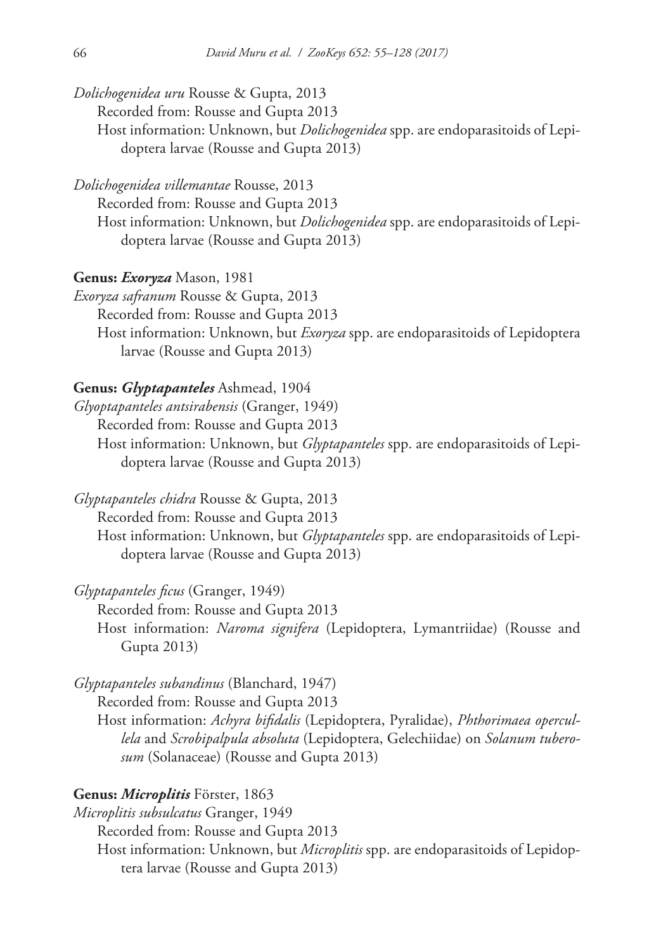- *Dolichogenidea uru* Rousse & Gupta, 2013
	- Recorded from: Rousse and Gupta 2013
	- Host information: Unknown, but *Dolichogenidea* spp. are endoparasitoids of Lepidoptera larvae (Rousse and Gupta 2013)
- *Dolichogenidea villemantae* Rousse, 2013
	- Recorded from: Rousse and Gupta 2013

Host information: Unknown, but *Dolichogenidea* spp. are endoparasitoids of Lepidoptera larvae (Rousse and Gupta 2013)

- **Genus:** *Exoryza* Mason, 1981
- *Exoryza safranum* Rousse & Gupta, 2013
	- Recorded from: Rousse and Gupta 2013
	- Host information: Unknown, but *Exoryza* spp. are endoparasitoids of Lepidoptera larvae (Rousse and Gupta 2013)

### **Genus:** *Glyptapanteles* Ashmead, 1904

*Glyoptapanteles antsirabensis* (Granger, 1949)

Recorded from: Rousse and Gupta 2013

Host information: Unknown, but *Glyptapanteles* spp. are endoparasitoids of Lepidoptera larvae (Rousse and Gupta 2013)

*Glyptapanteles chidra* Rousse & Gupta, 2013

Recorded from: Rousse and Gupta 2013

Host information: Unknown, but *Glyptapanteles* spp. are endoparasitoids of Lepidoptera larvae (Rousse and Gupta 2013)

*Glyptapanteles ficus* (Granger, 1949)

Recorded from: Rousse and Gupta 2013 Host information: *Naroma signifera* (Lepidoptera, Lymantriidae) (Rousse and Gupta 2013)

*Glyptapanteles subandinus* (Blanchard, 1947)

Recorded from: Rousse and Gupta 2013

Host information: *Achyra bifidalis* (Lepidoptera, Pyralidae), *Phthorimaea opercullela* and *Scrobipalpula absoluta* (Lepidoptera, Gelechiidae) on *Solanum tuberosum* (Solanaceae) (Rousse and Gupta 2013)

# **Genus:** *Microplitis* Förster, 1863

*Microplitis subsulcatus* Granger, 1949 Recorded from: Rousse and Gupta 2013 Host information: Unknown, but *Microplitis* spp. are endoparasitoids of Lepidoptera larvae (Rousse and Gupta 2013)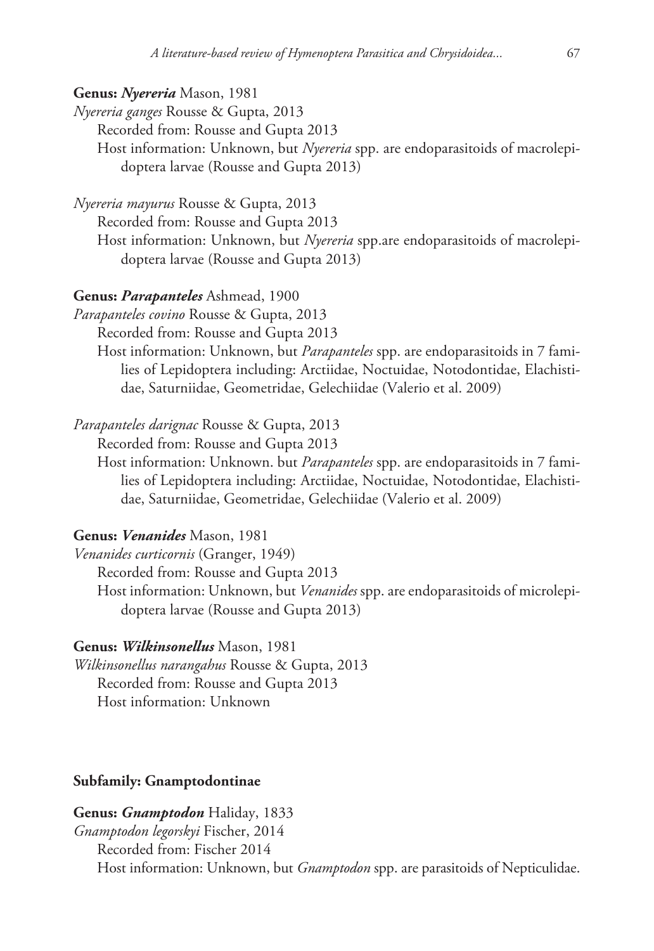# **Genus:** *Nyereria* Mason, 1981

*Nyereria ganges* Rousse & Gupta, 2013

Recorded from: Rousse and Gupta 2013

Host information: Unknown, but *Nyereria* spp. are endoparasitoids of macrolepidoptera larvae (Rousse and Gupta 2013)

*Nyereria mayurus* Rousse & Gupta, 2013

Recorded from: Rousse and Gupta 2013

Host information: Unknown, but *Nyereria* spp.are endoparasitoids of macrolepidoptera larvae (Rousse and Gupta 2013)

#### **Genus:** *Parapanteles* Ashmead, 1900

*Parapanteles covino* Rousse & Gupta, 2013

Recorded from: Rousse and Gupta 2013

Host information: Unknown, but *Parapanteles* spp. are endoparasitoids in 7 families of Lepidoptera including: Arctiidae, Noctuidae, Notodontidae, Elachistidae, Saturniidae, Geometridae, Gelechiidae (Valerio et al. 2009)

*Parapanteles darignac* Rousse & Gupta, 2013

Recorded from: Rousse and Gupta 2013

Host information: Unknown. but *Parapanteles* spp. are endoparasitoids in 7 families of Lepidoptera including: Arctiidae, Noctuidae, Notodontidae, Elachistidae, Saturniidae, Geometridae, Gelechiidae (Valerio et al. 2009)

### **Genus:** *Venanides* Mason, 1981

*Venanides curticornis* (Granger, 1949)

Recorded from: Rousse and Gupta 2013

Host information: Unknown, but *Venanides* spp. are endoparasitoids of microlepidoptera larvae (Rousse and Gupta 2013)

### **Genus:** *Wilkinsonellus* Mason, 1981

*Wilkinsonellus narangahus* Rousse & Gupta, 2013 Recorded from: Rousse and Gupta 2013 Host information: Unknown

# **Subfamily: Gnamptodontinae**

**Genus:** *Gnamptodon* Haliday, 1833 *Gnamptodon legorskyi* Fischer, 2014 Recorded from: Fischer 2014 Host information: Unknown, but *Gnamptodon* spp. are parasitoids of Nepticulidae.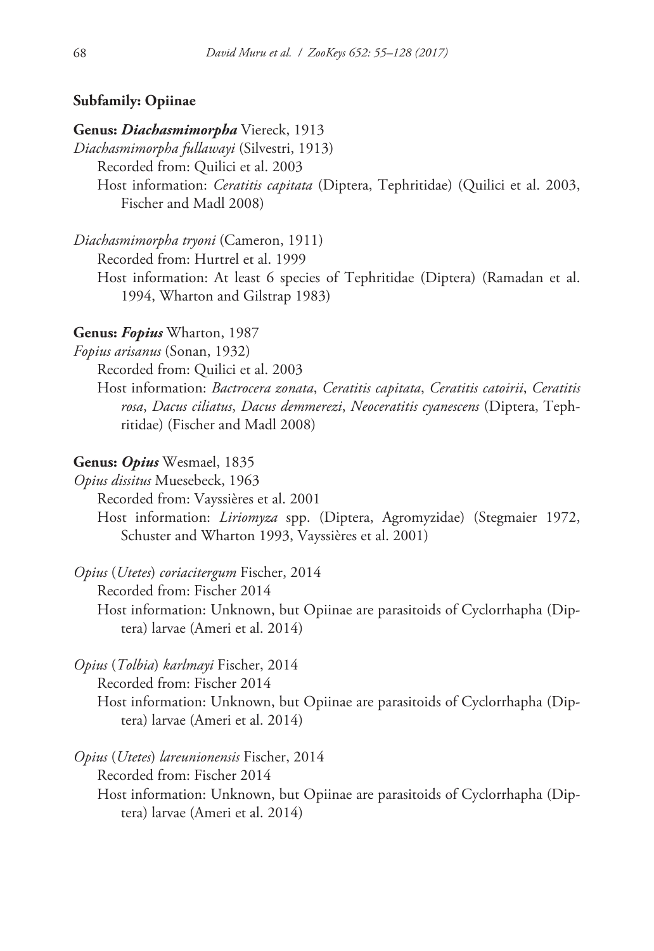# **Subfamily: Opiinae**

# **Genus:** *Diachasmimorpha* Viereck, 1913

*Diachasmimorpha fullawayi* (Silvestri, 1913) Recorded from: Quilici et al. 2003 Host information: *Ceratitis capitata* (Diptera, Tephritidae) (Quilici et al. 2003, Fischer and Madl 2008)

*Diachasmimorpha tryoni* (Cameron, 1911)

Recorded from: Hurtrel et al. 1999

Host information: At least 6 species of Tephritidae (Diptera) (Ramadan et al. 1994, Wharton and Gilstrap 1983)

### **Genus:** *Fopius* Wharton, 1987

*Fopius arisanus* (Sonan, 1932)

Recorded from: Quilici et al. 2003

Host information: *Bactrocera zonata*, *Ceratitis capitata*, *Ceratitis catoirii*, *Ceratitis rosa*, *Dacus ciliatus*, *Dacus demmerezi*, *Neoceratitis cyanescens* (Diptera, Tephritidae) (Fischer and Madl 2008)

# **Genus:** *Opius* Wesmael, 1835

*Opius dissitus* Muesebeck, 1963

Recorded from: Vayssières et al. 2001

Host information: *Liriomyza* spp. (Diptera, Agromyzidae) (Stegmaier 1972, Schuster and Wharton 1993, Vayssières et al. 2001)

*Opius* (*Utetes*) *coriacitergum* Fischer, 2014

Recorded from: Fischer 2014

Host information: Unknown, but Opiinae are parasitoids of Cyclorrhapha (Diptera) larvae (Ameri et al. 2014)

# *Opius* (*Tolbia*) *karlmayi* Fischer, 2014

Recorded from: Fischer 2014

Host information: Unknown, but Opiinae are parasitoids of Cyclorrhapha (Diptera) larvae (Ameri et al. 2014)

*Opius* (*Utetes*) *lareunionensis* Fischer, 2014 Recorded from: Fischer 2014 Host information: Unknown, but Opiinae are parasitoids of Cyclorrhapha (Diptera) larvae (Ameri et al. 2014)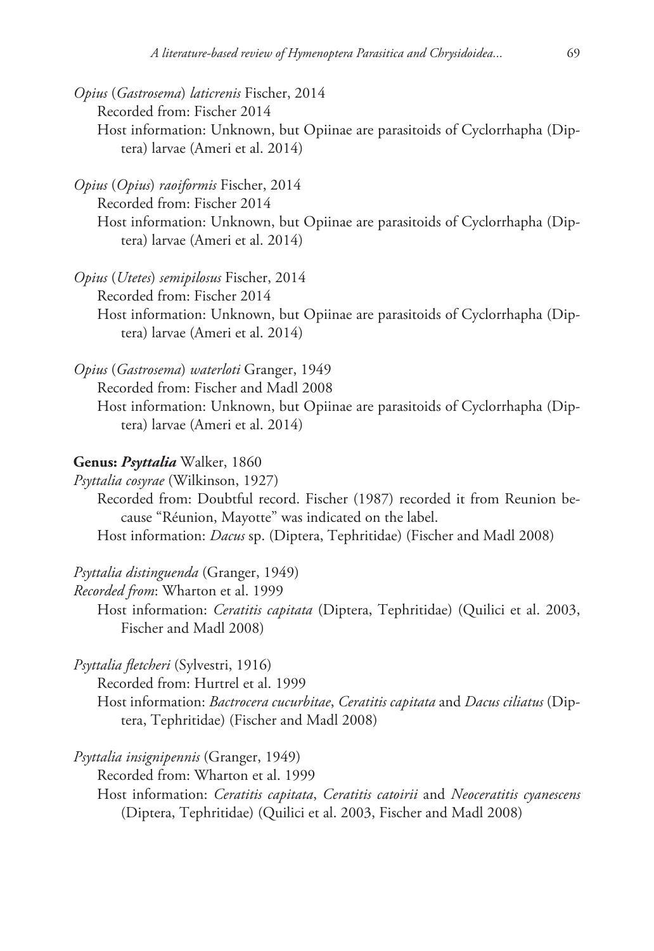*Opius* (*Gastrosema*) *laticrenis* Fischer, 2014 Recorded from: Fischer 2014 Host information: Unknown, but Opiinae are parasitoids of Cyclorrhapha (Diptera) larvae (Ameri et al. 2014)

*Opius* (*Opius*) *raoiformis* Fischer, 2014 Recorded from: Fischer 2014 Host information: Unknown, but Opiinae are parasitoids of Cyclorrhapha (Diptera) larvae (Ameri et al. 2014)

*Opius* (*Utetes*) *semipilosus* Fischer, 2014 Recorded from: Fischer 2014 Host information: Unknown, but Opiinae are parasitoids of Cyclorrhapha (Diptera) larvae (Ameri et al. 2014)

*Opius* (*Gastrosema*) *waterloti* Granger, 1949

Recorded from: Fischer and Madl 2008

Host information: Unknown, but Opiinae are parasitoids of Cyclorrhapha (Diptera) larvae (Ameri et al. 2014)

# **Genus:** *Psyttalia* Walker, 1860

*Psyttalia cosyrae* (Wilkinson, 1927)

Recorded from: Doubtful record. Fischer (1987) recorded it from Reunion because "Réunion, Mayotte" was indicated on the label. Host information: *Dacus* sp. (Diptera, Tephritidae) (Fischer and Madl 2008)

# *Psyttalia distinguenda* (Granger, 1949)

*Recorded from*: Wharton et al. 1999

Host information: *Ceratitis capitata* (Diptera, Tephritidae) (Quilici et al. 2003, Fischer and Madl 2008)

*Psyttalia fletcheri* (Sylvestri, 1916)

Recorded from: Hurtrel et al. 1999

Host information: *Bactrocera cucurbitae*, *Ceratitis capitata* and *Dacus ciliatus* (Diptera, Tephritidae) (Fischer and Madl 2008)

*Psyttalia insignipennis* (Granger, 1949)

Recorded from: Wharton et al. 1999

Host information: *Ceratitis capitata*, *Ceratitis catoirii* and *Neoceratitis cyanescens* (Diptera, Tephritidae) (Quilici et al. 2003, Fischer and Madl 2008)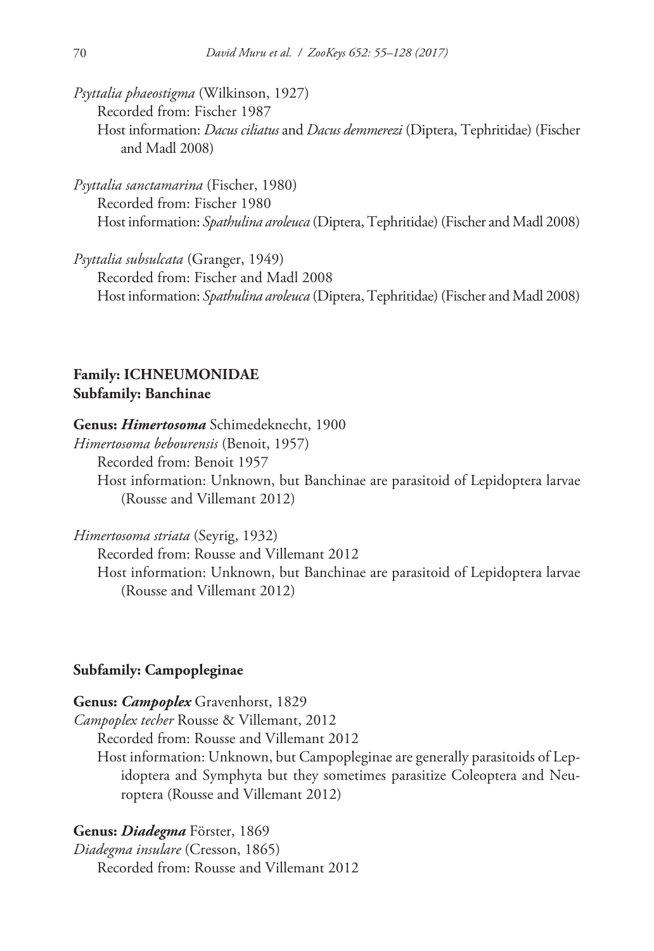*Psyttalia phaeostigma* (Wilkinson, 1927) Recorded from: Fischer 1987 Host information: *Dacus ciliatus* and *Dacus demmerezi* (Diptera, Tephritidae) (Fischer and Madl 2008)

*Psyttalia sanctamarina* (Fischer, 1980) Recorded from: Fischer 1980 Host information: *Spathulina aroleuca* (Diptera, Tephritidae) (Fischer and Madl 2008)

*Psyttalia subsulcata* (Granger, 1949) Recorded from: Fischer and Madl 2008 Host information: *Spathulina aroleuca* (Diptera, Tephritidae) (Fischer and Madl 2008)

# **Family: ICHNEUMONIDAE Subfamily: Banchinae**

#### **Genus:** *Himertosoma* Schimedeknecht, 1900

*Himertosoma bebourensis* (Benoit, 1957) Recorded from: Benoit 1957 Host information: Unknown, but Banchinae are parasitoid of Lepidoptera larvae

(Rousse and Villemant 2012)

*Himertosoma striata* (Seyrig, 1932)

Recorded from: Rousse and Villemant 2012

Host information: Unknown, but Banchinae are parasitoid of Lepidoptera larvae (Rousse and Villemant 2012)

# **Subfamily: Campopleginae**

**Genus:** *Campoplex* Gravenhorst, 1829

*Campoplex techer* Rousse & Villemant, 2012

Recorded from: Rousse and Villemant 2012

Host information: Unknown, but Campopleginae are generally parasitoids of Lepidoptera and Symphyta but they sometimes parasitize Coleoptera and Neuroptera (Rousse and Villemant 2012)

### **Genus:** *Diadegma* Förster, 1869

*Diadegma insulare* (Cresson, 1865) Recorded from: Rousse and Villemant 2012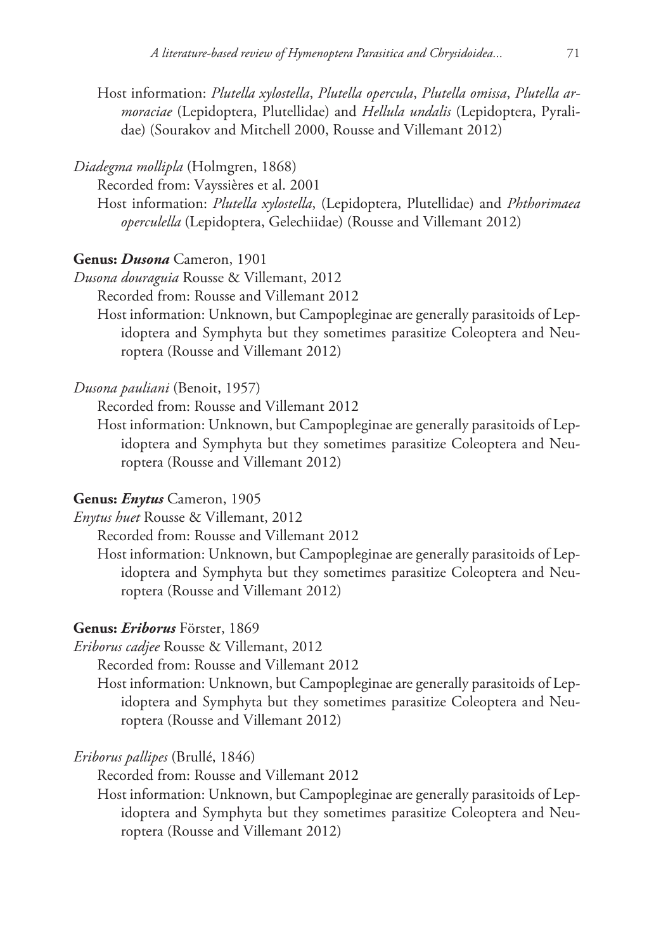Host information: *Plutella xylostella*, *Plutella opercula*, *Plutella omissa*, *Plutella armoraciae* (Lepidoptera, Plutellidae) and *Hellula undalis* (Lepidoptera, Pyralidae) (Sourakov and Mitchell 2000, Rousse and Villemant 2012)

# *Diadegma mollipla* (Holmgren, 1868)

Recorded from: Vayssières et al. 2001

Host information: *Plutella xylostella*, (Lepidoptera, Plutellidae) and *Phthorimaea operculella* (Lepidoptera, Gelechiidae) (Rousse and Villemant 2012)

### **Genus:** *Dusona* Cameron, 1901

*Dusona douraguia* Rousse & Villemant, 2012

Recorded from: Rousse and Villemant 2012

Host information: Unknown, but Campopleginae are generally parasitoids of Lepidoptera and Symphyta but they sometimes parasitize Coleoptera and Neuroptera (Rousse and Villemant 2012)

# *Dusona pauliani* (Benoit, 1957)

Recorded from: Rousse and Villemant 2012

Host information: Unknown, but Campopleginae are generally parasitoids of Lepidoptera and Symphyta but they sometimes parasitize Coleoptera and Neuroptera (Rousse and Villemant 2012)

#### **Genus:** *Enytus* Cameron, 1905

*Enytus huet* Rousse & Villemant, 2012

Recorded from: Rousse and Villemant 2012

Host information: Unknown, but Campopleginae are generally parasitoids of Lepidoptera and Symphyta but they sometimes parasitize Coleoptera and Neuroptera (Rousse and Villemant 2012)

# **Genus:** *Eriborus* Förster, 1869

*Eriborus cadjee* Rousse & Villemant, 2012

Recorded from: Rousse and Villemant 2012

Host information: Unknown, but Campopleginae are generally parasitoids of Lepidoptera and Symphyta but they sometimes parasitize Coleoptera and Neuroptera (Rousse and Villemant 2012)

# *Eriborus pallipes* (Brullé, 1846)

Recorded from: Rousse and Villemant 2012

Host information: Unknown, but Campopleginae are generally parasitoids of Lepidoptera and Symphyta but they sometimes parasitize Coleoptera and Neuroptera (Rousse and Villemant 2012)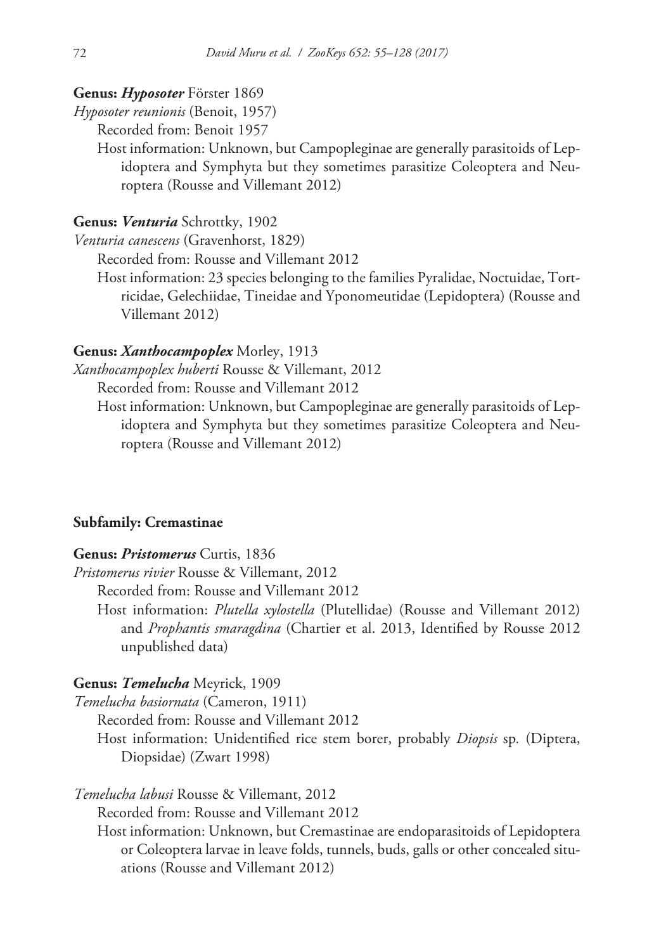#### **Genus:** *Hyposoter* Förster 1869

*Hyposoter reunionis* (Benoit, 1957)

Recorded from: Benoit 1957

Host information: Unknown, but Campopleginae are generally parasitoids of Lepidoptera and Symphyta but they sometimes parasitize Coleoptera and Neuroptera (Rousse and Villemant 2012)

### **Genus:** *Venturia* Schrottky, 1902

*Venturia canescens* (Gravenhorst, 1829)

Recorded from: Rousse and Villemant 2012

Host information: 23 species belonging to the families Pyralidae, Noctuidae, Tortricidae, Gelechiidae, Tineidae and Yponomeutidae (Lepidoptera) (Rousse and Villemant 2012)

# **Genus:** *Xanthocampoplex* Morley, 1913

*Xanthocampoplex huberti* Rousse & Villemant, 2012

Recorded from: Rousse and Villemant 2012

Host information: Unknown, but Campopleginae are generally parasitoids of Lepidoptera and Symphyta but they sometimes parasitize Coleoptera and Neuroptera (Rousse and Villemant 2012)

### **Subfamily: Cremastinae**

#### **Genus:** *Pristomerus* Curtis, 1836

*Pristomerus rivier* Rousse & Villemant, 2012

Recorded from: Rousse and Villemant 2012

Host information: *Plutella xylostella* (Plutellidae) (Rousse and Villemant 2012) and *Prophantis smaragdina* (Chartier et al. 2013, Identified by Rousse 2012 unpublished data)

# **Genus:** *Temelucha* Meyrick, 1909

*Temelucha basiornata* (Cameron, 1911)

Recorded from: Rousse and Villemant 2012

Host information: Unidentified rice stem borer, probably *Diopsis* sp*.* (Diptera, Diopsidae) (Zwart 1998)

*Temelucha labusi* Rousse & Villemant, 2012

Recorded from: Rousse and Villemant 2012

Host information: Unknown, but Cremastinae are endoparasitoids of Lepidoptera or Coleoptera larvae in leave folds, tunnels, buds, galls or other concealed situations (Rousse and Villemant 2012)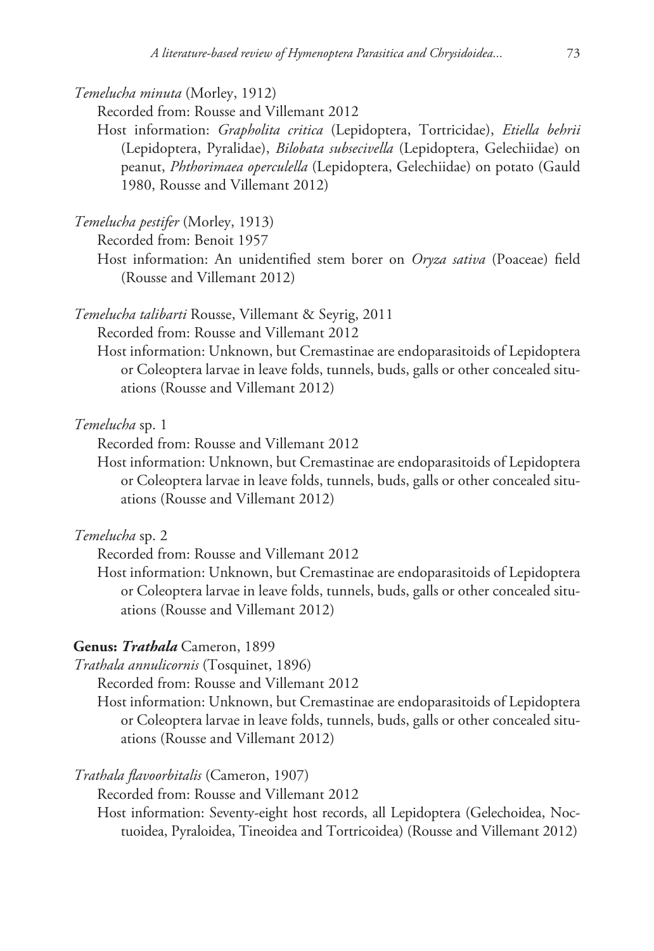*Temelucha minuta* (Morley, 1912)

Recorded from: Rousse and Villemant 2012

Host information: *Grapholita critica* (Lepidoptera, Tortricidae), *Etiella behrii* (Lepidoptera, Pyralidae), *Bilobata subsecivella* (Lepidoptera, Gelechiidae) on peanut, *Phthorimaea operculella* (Lepidoptera, Gelechiidae) on potato (Gauld 1980, Rousse and Villemant 2012)

*Temelucha pestifer* (Morley, 1913)

Recorded from: Benoit 1957

Host information: An unidentified stem borer on *Oryza sativa* (Poaceae) field (Rousse and Villemant 2012)

*Temelucha talibarti* Rousse, Villemant & Seyrig, 2011

Recorded from: Rousse and Villemant 2012

Host information: Unknown, but Cremastinae are endoparasitoids of Lepidoptera or Coleoptera larvae in leave folds, tunnels, buds, galls or other concealed situations (Rousse and Villemant 2012)

*Temelucha* sp. 1

Recorded from: Rousse and Villemant 2012

Host information: Unknown, but Cremastinae are endoparasitoids of Lepidoptera or Coleoptera larvae in leave folds, tunnels, buds, galls or other concealed situations (Rousse and Villemant 2012)

*Temelucha* sp. 2

Recorded from: Rousse and Villemant 2012

Host information: Unknown, but Cremastinae are endoparasitoids of Lepidoptera or Coleoptera larvae in leave folds, tunnels, buds, galls or other concealed situations (Rousse and Villemant 2012)

# **Genus:** *Trathala* Cameron, 1899

*Trathala annulicornis* (Tosquinet, 1896)

Recorded from: Rousse and Villemant 2012

Host information: Unknown, but Cremastinae are endoparasitoids of Lepidoptera or Coleoptera larvae in leave folds, tunnels, buds, galls or other concealed situations (Rousse and Villemant 2012)

# *Trathala flavoorbitalis* (Cameron, 1907)

Recorded from: Rousse and Villemant 2012

Host information: Seventy-eight host records, all Lepidoptera (Gelechoidea, Noctuoidea, Pyraloidea, Tineoidea and Tortricoidea) (Rousse and Villemant 2012)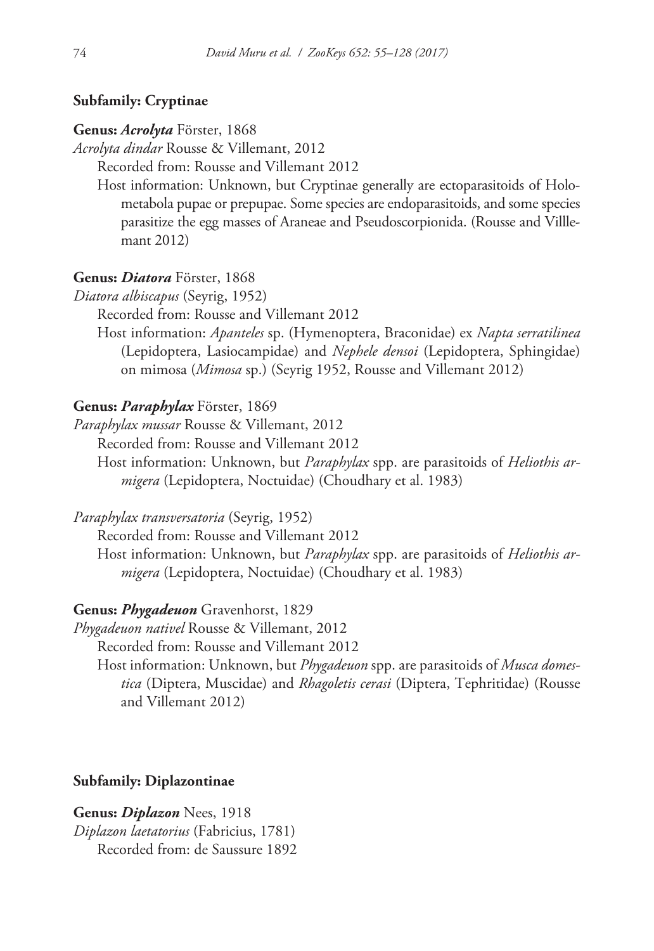# **Subfamily: Cryptinae**

#### **Genus:** *Acrolyta* Förster, 1868

*Acrolyta dindar* Rousse & Villemant, 2012

Recorded from: Rousse and Villemant 2012

Host information: Unknown, but Cryptinae generally are ectoparasitoids of Holometabola pupae or prepupae. Some species are endoparasitoids, and some species parasitize the egg masses of Araneae and Pseudoscorpionida. (Rousse and Villlemant 2012)

#### **Genus:** *Diatora* Förster, 1868

*Diatora albiscapus* (Seyrig, 1952)

Recorded from: Rousse and Villemant 2012

Host information: *Apanteles* sp. (Hymenoptera, Braconidae) ex *Napta serratilinea* (Lepidoptera, Lasiocampidae) and *Nephele densoi* (Lepidoptera, Sphingidae) on mimosa (*Mimosa* sp.) (Seyrig 1952, Rousse and Villemant 2012)

#### **Genus:** *Paraphylax* Förster, 1869

*Paraphylax mussar* Rousse & Villemant, 2012

Recorded from: Rousse and Villemant 2012

Host information: Unknown, but *Paraphylax* spp. are parasitoids of *Heliothis armigera* (Lepidoptera, Noctuidae) (Choudhary et al. 1983)

*Paraphylax transversatoria* (Seyrig, 1952)

Recorded from: Rousse and Villemant 2012

Host information: Unknown, but *Paraphylax* spp. are parasitoids of *Heliothis armigera* (Lepidoptera, Noctuidae) (Choudhary et al. 1983)

#### **Genus:** *Phygadeuon* Gravenhorst, 1829

*Phygadeuon nativel* Rousse & Villemant, 2012

Recorded from: Rousse and Villemant 2012

Host information: Unknown, but *Phygadeuon* spp. are parasitoids of *Musca domestica* (Diptera, Muscidae) and *Rhagoletis cerasi* (Diptera, Tephritidae) (Rousse and Villemant 2012)

# **Subfamily: Diplazontinae**

**Genus:** *Diplazon* Nees, 1918 *Diplazon laetatorius* (Fabricius, 1781) Recorded from: de Saussure 1892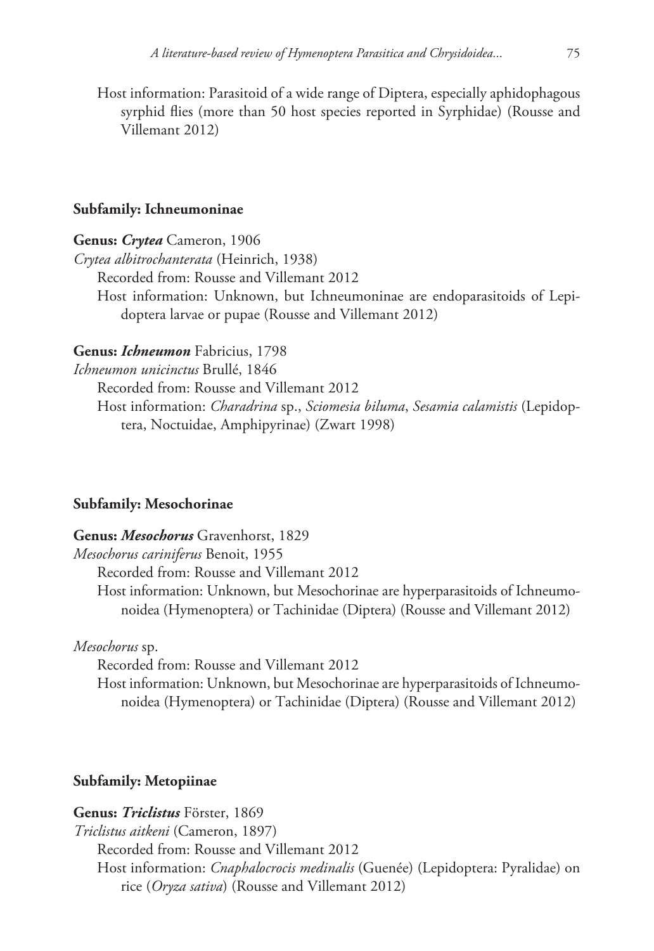Host information: Parasitoid of a wide range of Diptera, especially aphidophagous syrphid flies (more than 50 host species reported in Syrphidae) (Rousse and Villemant 2012)

#### **Subfamily: Ichneumoninae**

**Genus:** *Crytea* Cameron, 1906

*Crytea albitrochanterata* (Heinrich, 1938) Recorded from: Rousse and Villemant 2012 Host information: Unknown, but Ichneumoninae are endoparasitoids of Lepidoptera larvae or pupae (Rousse and Villemant 2012)

# **Genus:** *Ichneumon* Fabricius, 1798

*Ichneumon unicinctus* Brullé, 1846

Recorded from: Rousse and Villemant 2012

Host information: *Charadrina* sp., *Sciomesia biluma*, *Sesamia calamistis* (Lepidoptera, Noctuidae, Amphipyrinae) (Zwart 1998)

# **Subfamily: Mesochorinae**

#### **Genus:** *Mesochorus* Gravenhorst, 1829

*Mesochorus cariniferus* Benoit, 1955

Recorded from: Rousse and Villemant 2012

Host information: Unknown, but Mesochorinae are hyperparasitoids of Ichneumonoidea (Hymenoptera) or Tachinidae (Diptera) (Rousse and Villemant 2012)

*Mesochorus* sp.

Recorded from: Rousse and Villemant 2012

Host information: Unknown, but Mesochorinae are hyperparasitoids of Ichneumonoidea (Hymenoptera) or Tachinidae (Diptera) (Rousse and Villemant 2012)

# **Subfamily: Metopiinae**

# **Genus:** *Triclistus* Förster, 1869

*Triclistus aitkeni* (Cameron, 1897)

Recorded from: Rousse and Villemant 2012 Host information: *Cnaphalocrocis medinalis* (Guenée) (Lepidoptera: Pyralidae) on rice (*Oryza sativa*) (Rousse and Villemant 2012)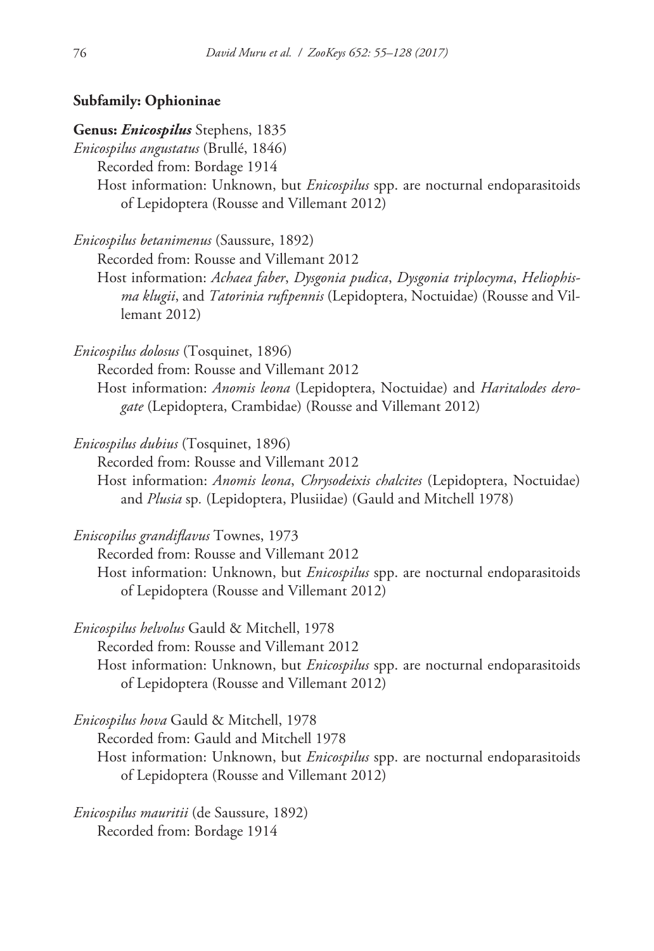# **Subfamily: Ophioninae**

# **Genus:** *Enicospilus* Stephens, 1835

*Enicospilus angustatus* (Brullé, 1846)

Recorded from: Bordage 1914

Host information: Unknown, but *Enicospilus* spp. are nocturnal endoparasitoids of Lepidoptera (Rousse and Villemant 2012)

*Enicospilus betanimenus* (Saussure, 1892)

Recorded from: Rousse and Villemant 2012

Host information: *Achaea faber*, *Dysgonia pudica*, *Dysgonia triplocyma*, *Heliophisma klugii*, and *Tatorinia rufipennis* (Lepidoptera, Noctuidae) (Rousse and Villemant 2012)

*Enicospilus dolosus* (Tosquinet, 1896)

Recorded from: Rousse and Villemant 2012

Host information: *Anomis leona* (Lepidoptera, Noctuidae) and *Haritalodes derogate* (Lepidoptera, Crambidae) (Rousse and Villemant 2012)

*Enicospilus dubius* (Tosquinet, 1896)

Recorded from: Rousse and Villemant 2012

Host information: *Anomis leona*, *Chrysodeixis chalcites* (Lepidoptera, Noctuidae) and *Plusia* sp*.* (Lepidoptera, Plusiidae) (Gauld and Mitchell 1978)

*Eniscopilus grandiflavus* Townes, 1973

Recorded from: Rousse and Villemant 2012

Host information: Unknown, but *Enicospilus* spp. are nocturnal endoparasitoids of Lepidoptera (Rousse and Villemant 2012)

*Enicospilus helvolus* Gauld & Mitchell, 1978

Recorded from: Rousse and Villemant 2012

Host information: Unknown, but *Enicospilus* spp. are nocturnal endoparasitoids of Lepidoptera (Rousse and Villemant 2012)

*Enicospilus hova* Gauld & Mitchell, 1978

Recorded from: Gauld and Mitchell 1978

Host information: Unknown, but *Enicospilus* spp. are nocturnal endoparasitoids of Lepidoptera (Rousse and Villemant 2012)

*Enicospilus mauritii* (de Saussure, 1892) Recorded from: Bordage 1914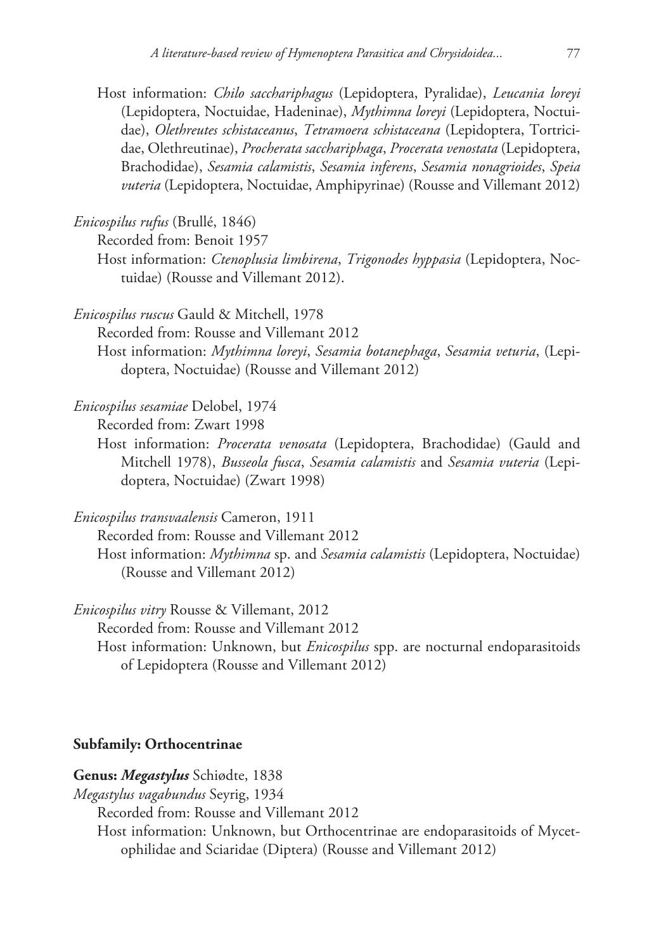Host information: *Chilo sacchariphagus* (Lepidoptera, Pyralidae), *Leucania loreyi* (Lepidoptera, Noctuidae, Hadeninae), *Mythimna loreyi* (Lepidoptera, Noctuidae), *Olethreutes schistaceanus*, *Tetramoera schistaceana* (Lepidoptera, Tortricidae, Olethreutinae), *Procherata sacchariphaga*, *Procerata venostata* (Lepidoptera, Brachodidae), *Sesamia calamistis*, *Sesamia inferens*, *Sesamia nonagrioides*, *Speia vuteria* (Lepidoptera, Noctuidae, Amphipyrinae) (Rousse and Villemant 2012)

*Enicospilus rufus* (Brullé, 1846)

Recorded from: Benoit 1957

Host information: *Ctenoplusia limbirena*, *Trigonodes hyppasia* (Lepidoptera, Noctuidae) (Rousse and Villemant 2012).

*Enicospilus ruscus* Gauld & Mitchell, 1978

Recorded from: Rousse and Villemant 2012

Host information: *Mythimna loreyi*, *Sesamia botanephaga*, *Sesamia veturia*, (Lepidoptera, Noctuidae) (Rousse and Villemant 2012)

*Enicospilus sesamiae* Delobel, 1974

Recorded from: Zwart 1998

Host information: *Procerata venosata* (Lepidoptera, Brachodidae) (Gauld and Mitchell 1978), *Busseola fusca*, *Sesamia calamistis* and *Sesamia vuteria* (Lepidoptera, Noctuidae) (Zwart 1998)

*Enicospilus transvaalensis* Cameron, 1911

Recorded from: Rousse and Villemant 2012

Host information: *Mythimna* sp. and *Sesamia calamistis* (Lepidoptera, Noctuidae) (Rousse and Villemant 2012)

*Enicospilus vitry* Rousse & Villemant, 2012

Recorded from: Rousse and Villemant 2012

Host information: Unknown, but *Enicospilus* spp. are nocturnal endoparasitoids of Lepidoptera (Rousse and Villemant 2012)

# **Subfamily: Orthocentrinae**

**Genus:** *Megastylus* Schiødte, 1838

*Megastylus vagabundus* Seyrig, 1934

Recorded from: Rousse and Villemant 2012

Host information: Unknown, but Orthocentrinae are endoparasitoids of Mycetophilidae and Sciaridae (Diptera) (Rousse and Villemant 2012)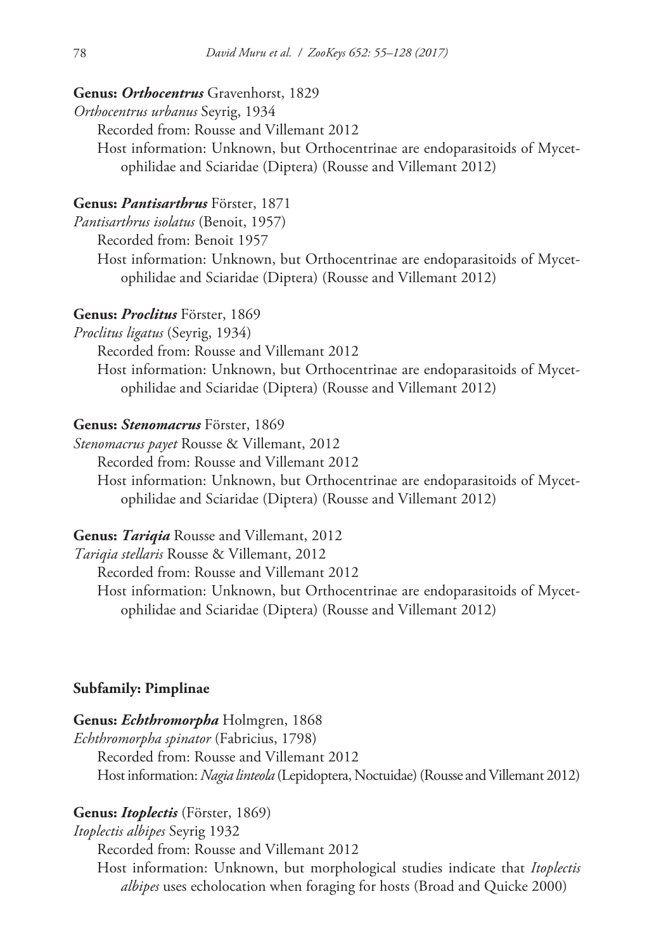### **Genus:** *Orthocentrus* Gravenhorst, 1829

*Orthocentrus urbanus* Seyrig, 1934

Recorded from: Rousse and Villemant 2012

Host information: Unknown, but Orthocentrinae are endoparasitoids of Mycetophilidae and Sciaridae (Diptera) (Rousse and Villemant 2012)

# **Genus:** *Pantisarthrus* Förster, 1871

*Pantisarthrus isolatus* (Benoit, 1957)

Recorded from: Benoit 1957

Host information: Unknown, but Orthocentrinae are endoparasitoids of Mycetophilidae and Sciaridae (Diptera) (Rousse and Villemant 2012)

#### **Genus:** *Proclitus* Förster, 1869

*Proclitus ligatus* (Seyrig, 1934)

Recorded from: Rousse and Villemant 2012

Host information: Unknown, but Orthocentrinae are endoparasitoids of Mycetophilidae and Sciaridae (Diptera) (Rousse and Villemant 2012)

# **Genus:** *Stenomacrus* Förster, 1869

*Stenomacrus payet* Rousse & Villemant, 2012

Recorded from: Rousse and Villemant 2012

Host information: Unknown, but Orthocentrinae are endoparasitoids of Mycetophilidae and Sciaridae (Diptera) (Rousse and Villemant 2012)

### **Genus:** *Tariqia* Rousse and Villemant, 2012

*Tariqia stellaris* Rousse & Villemant, 2012

Recorded from: Rousse and Villemant 2012

Host information: Unknown, but Orthocentrinae are endoparasitoids of Mycetophilidae and Sciaridae (Diptera) (Rousse and Villemant 2012)

### **Subfamily: Pimplinae**

#### **Genus:** *Echthromorpha* Holmgren, 1868

*Echthromorpha spinator* (Fabricius, 1798)

Recorded from: Rousse and Villemant 2012

Host information: *Nagia linteola* (Lepidoptera, Noctuidae) (Rousse and Villemant 2012)

# **Genus:** *Itoplectis* (Förster, 1869)

*Itoplectis albipes* Seyrig 1932

Recorded from: Rousse and Villemant 2012

Host information: Unknown, but morphological studies indicate that *Itoplectis albipes* uses echolocation when foraging for hosts (Broad and Quicke 2000)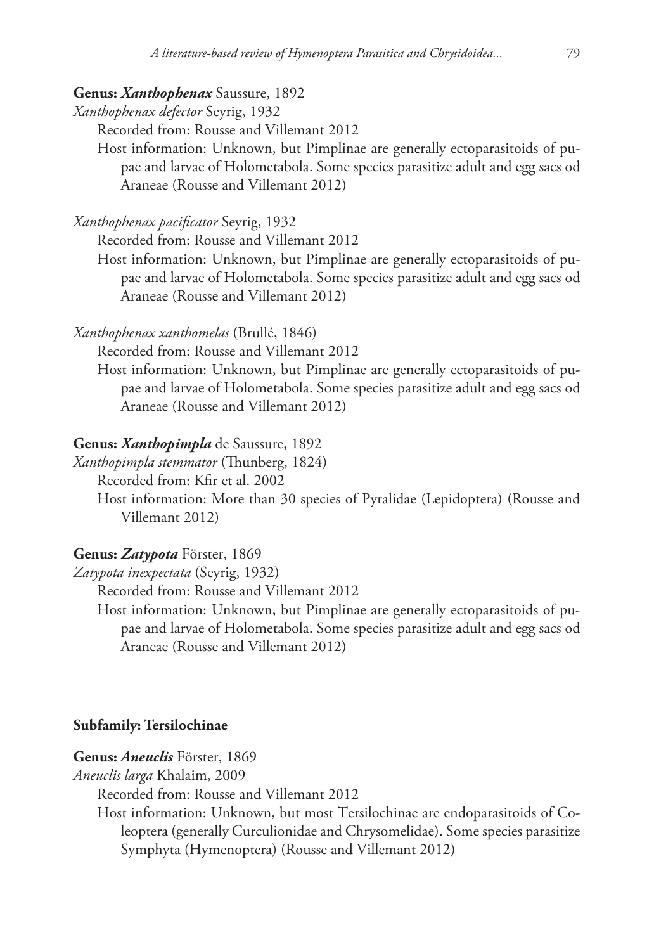# **Genus:** *Xanthophenax* Saussure, 1892

*Xanthophenax defector* Seyrig, 1932

Recorded from: Rousse and Villemant 2012

Host information: Unknown, but Pimplinae are generally ectoparasitoids of pupae and larvae of Holometabola. Some species parasitize adult and egg sacs od Araneae (Rousse and Villemant 2012)

*Xanthophenax pacificator* Seyrig, 1932

Recorded from: Rousse and Villemant 2012

Host information: Unknown, but Pimplinae are generally ectoparasitoids of pupae and larvae of Holometabola. Some species parasitize adult and egg sacs od Araneae (Rousse and Villemant 2012)

# *Xanthophenax xanthomelas* (Brullé, 1846)

Recorded from: Rousse and Villemant 2012

Host information: Unknown, but Pimplinae are generally ectoparasitoids of pupae and larvae of Holometabola. Some species parasitize adult and egg sacs od Araneae (Rousse and Villemant 2012)

#### **Genus:** *Xanthopimpla* de Saussure, 1892

*Xanthopimpla stemmator* (Thunberg, 1824)

Recorded from: Kfir et al. 2002

Host information: More than 30 species of Pyralidae (Lepidoptera) (Rousse and Villemant 2012)

# **Genus:** *Zatypota* Förster, 1869

*Zatypota inexpectata* (Seyrig, 1932)

Recorded from: Rousse and Villemant 2012

Host information: Unknown, but Pimplinae are generally ectoparasitoids of pupae and larvae of Holometabola. Some species parasitize adult and egg sacs od Araneae (Rousse and Villemant 2012)

#### **Subfamily: Tersilochinae**

**Genus:** *Aneuclis* Förster, 1869

*Aneuclis larga* Khalaim, 2009

Recorded from: Rousse and Villemant 2012

Host information: Unknown, but most Tersilochinae are endoparasitoids of Coleoptera (generally Curculionidae and Chrysomelidae). Some species parasitize Symphyta (Hymenoptera) (Rousse and Villemant 2012)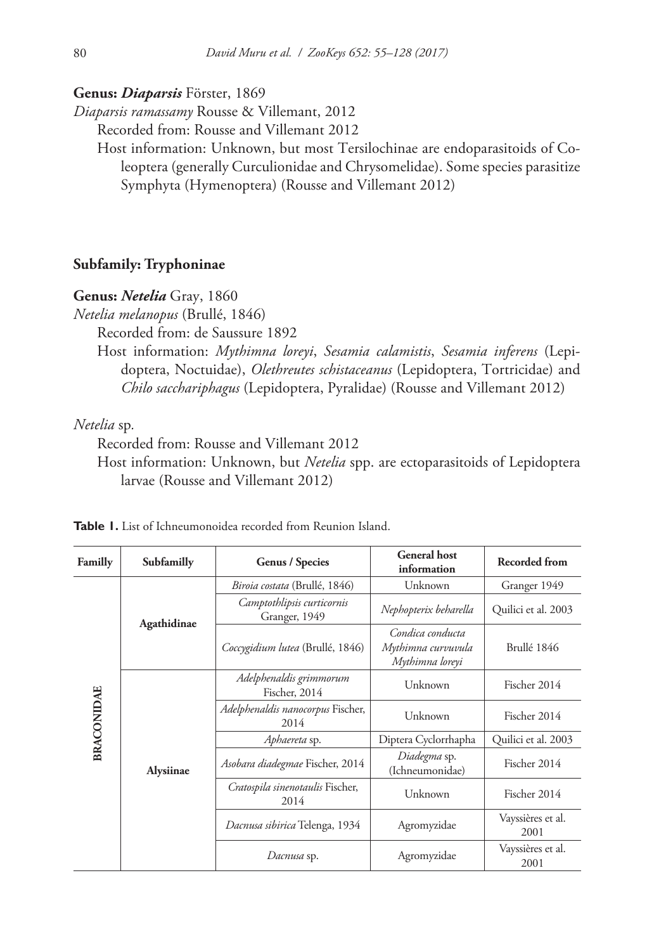#### **Genus:** *Diaparsis* Förster, 1869

*Diaparsis ramassamy* Rousse & Villemant, 2012

Recorded from: Rousse and Villemant 2012

Host information: Unknown, but most Tersilochinae are endoparasitoids of Coleoptera (generally Curculionidae and Chrysomelidae). Some species parasitize Symphyta (Hymenoptera) (Rousse and Villemant 2012)

## **Subfamily: Tryphoninae**

#### **Genus:** *Netelia* Gray, 1860

*Netelia melanopus* (Brullé, 1846)

Recorded from: de Saussure 1892

Host information: *Mythimna loreyi*, *Sesamia calamistis*, *Sesamia inferens* (Lepidoptera, Noctuidae), *Olethreutes schistaceanus* (Lepidoptera, Tortricidae) and *Chilo sacchariphagus* (Lepidoptera, Pyralidae) (Rousse and Villemant 2012)

# *Netelia* sp*.*

Recorded from: Rousse and Villemant 2012

Host information: Unknown, but *Netelia* spp. are ectoparasitoids of Lepidoptera larvae (Rousse and Villemant 2012)

| Familly           | Subfamilly  | <b>Genus / Species</b>                               | <b>General</b> host<br>information                                       | <b>Recorded from</b>                                                                                          |
|-------------------|-------------|------------------------------------------------------|--------------------------------------------------------------------------|---------------------------------------------------------------------------------------------------------------|
| <b>BRACONIDAE</b> | Agathidinae | Biroia costata (Brullé, 1846)                        | Unknown                                                                  | Granger 1949                                                                                                  |
|                   |             | Camptothlipsis curticornis<br>Granger, 1949          | Nephopterix beharella                                                    | Quilici et al. 2003                                                                                           |
|                   |             | Coccygidium lutea (Brullé, 1846)                     | Condica conducta<br>Mythimna curvuvula<br>Brullé 1846<br>Mythimna loreyi |                                                                                                               |
|                   |             | Adelphenaldis grimmorum<br>Fischer, 2014             | Unknown                                                                  | Fischer 2014                                                                                                  |
|                   |             | Adelphenaldis nanocorpus Fischer,<br>Unknown<br>2014 | Fischer 2014                                                             |                                                                                                               |
|                   |             | Aphaereta sp.                                        | Diptera Cyclorrhapha                                                     | Quilici et al. 2003<br>Fischer 2014<br>Fischer 2014<br>Vayssières et al.<br>2001<br>Vayssières et al.<br>2001 |
|                   | Alysiinae   | Asobara diadegmae Fischer, 2014                      | Diadegma sp.<br>(Ichneumonidae)                                          |                                                                                                               |
|                   |             | Cratospila sinenotaulis Fischer,<br>2014             | Unknown                                                                  |                                                                                                               |
|                   |             | Dacnusa sibirica Telenga, 1934                       | Agromyzidae                                                              |                                                                                                               |
|                   |             | Dacnusa sp.                                          | Agromyzidae                                                              |                                                                                                               |

**Table 1.** List of Ichneumonoidea recorded from Reunion Island.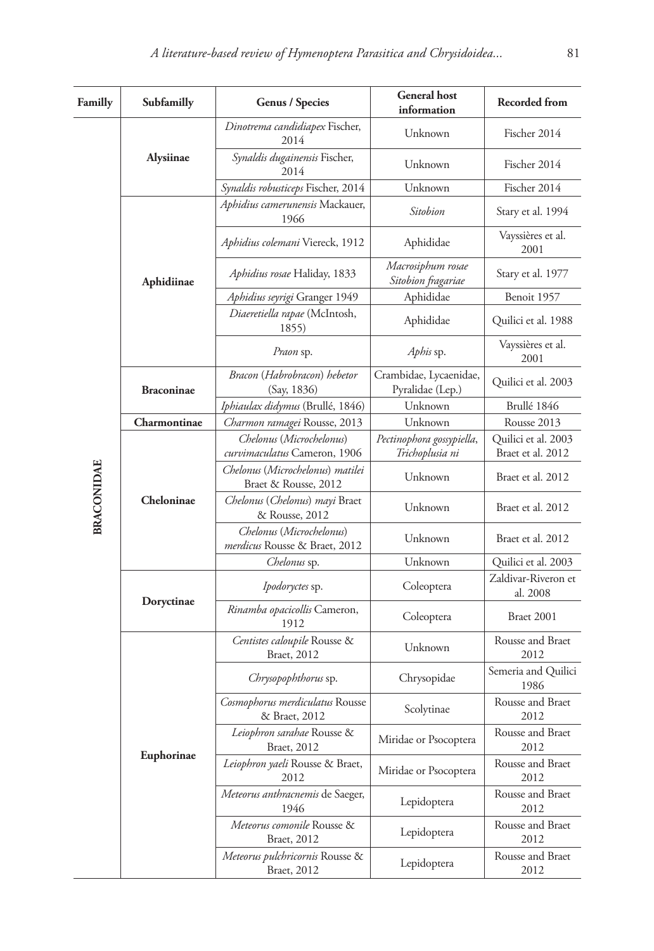| Familly           | Subfamilly        | <b>Genus / Species</b>                                           | <b>General</b> host<br>information           | <b>Recorded from</b>                     |
|-------------------|-------------------|------------------------------------------------------------------|----------------------------------------------|------------------------------------------|
|                   |                   | Dinotrema candidiapex Fischer,<br>2014                           | Unknown                                      | Fischer 2014                             |
|                   | Alysiinae         | Synaldis dugainensis Fischer,<br>2014                            | Unknown                                      | Fischer 2014                             |
|                   |                   | Synaldis robusticeps Fischer, 2014                               | Unknown                                      | Fischer 2014                             |
|                   |                   | Aphidius camerunensis Mackauer,<br>1966                          | Sitobion                                     | Stary et al. 1994                        |
|                   |                   | Aphidius colemani Viereck, 1912                                  | Aphididae                                    | Vayssières et al.<br>2001                |
|                   | Aphidiinae        | Aphidius rosae Haliday, 1833                                     | Macrosiphum rosae<br>Sitobion fragariae      | Stary et al. 1977                        |
|                   |                   | Aphidius seyrigi Granger 1949                                    | Aphididae                                    | Benoit 1957                              |
|                   |                   | Diaeretiella rapae (McIntosh,<br>1855)                           | Aphididae                                    | Quilici et al. 1988                      |
|                   |                   | Praon sp.                                                        | Aphis sp.                                    | Vayssières et al.<br>2001                |
|                   | <b>Braconinae</b> | Bracon (Habrobracon) hebetor<br>(Say, 1836)                      | Crambidae, Lycaenidae,<br>Pyralidae (Lep.)   | Quilici et al. 2003                      |
|                   |                   | Iphiaulax didymus (Brullé, 1846)                                 | Unknown                                      | Brullé 1846                              |
|                   | Charmontinae      | Charmon ramagei Rousse, 2013                                     | Unknown                                      | Rousse 2013                              |
|                   | Cheloninae        | Chelonus (Microchelonus)<br>curvimaculatus Cameron, 1906         | Pectinophora gossypiella,<br>Trichoplusia ni | Quilici et al. 2003<br>Braet et al. 2012 |
|                   |                   | Chelonus (Microchelonus) matilei<br>Braet & Rousse, 2012         | Unknown                                      | Braet et al. 2012                        |
| <b>BRACONIDAE</b> |                   | Chelonus (Chelonus) mayi Braet<br>& Rousse, 2012                 | Unknown                                      | Braet et al. 2012                        |
|                   |                   | Chelonus (Microchelonus)<br><i>merdicus</i> Rousse & Braet, 2012 | Unknown                                      | Braet et al. 2012                        |
|                   |                   | Chelonus sp.                                                     | Unknown                                      | Quilici et al. 2003                      |
|                   |                   | Ipodoryctes sp.                                                  | Coleoptera                                   | Zaldivar-Riveron et<br>al. 2008          |
|                   | Doryctinae        | Rinamba opacicollis Cameron,<br>1912                             | Coleoptera                                   | Braet 2001                               |
|                   |                   | Centistes caloupile Rousse &<br>Braet, 2012                      | Unknown                                      | Rousse and Braet<br>2012                 |
|                   |                   | Chrysopophthorus sp.                                             | Chrysopidae                                  | Semeria and Quilici<br>1986              |
|                   |                   | Cosmophorus merdiculatus Rousse<br>& Braet, 2012                 | Scolytinae                                   | Rousse and Braet<br>2012                 |
|                   |                   | Leiophron sarahae Rousse &<br>Braet, 2012                        | Miridae or Psocoptera                        | Rousse and Braet<br>2012                 |
|                   | Euphorinae        | Leiophron yaeli Rousse & Braet,<br>2012                          | Miridae or Psocoptera                        | Rousse and Braet<br>2012                 |
|                   |                   | Meteorus anthracnemis de Saeger,<br>1946                         | Lepidoptera                                  | Rousse and Braet<br>2012                 |
|                   |                   | Meteorus comonile Rousse &<br>Braet, 2012                        | Lepidoptera                                  | Rousse and Braet<br>2012                 |
|                   |                   | Meteorus pulchricornis Rousse &<br>Braet, 2012                   | Lepidoptera                                  | Rousse and Braet<br>2012                 |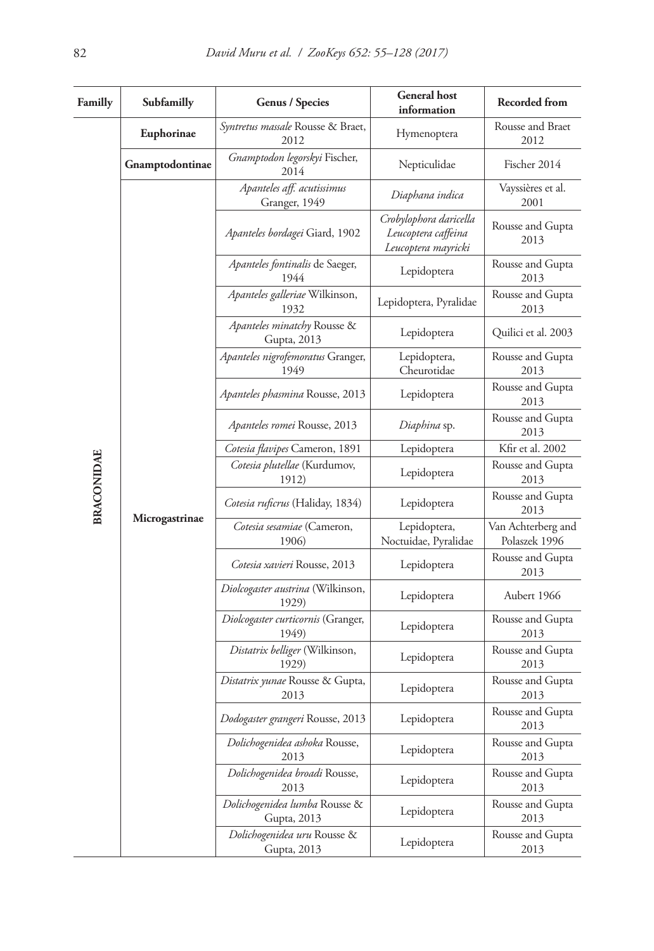| Familly           | Subfamilly      | Genus / Species                              | <b>General</b> host<br>information                                   | Recorded from                       |
|-------------------|-----------------|----------------------------------------------|----------------------------------------------------------------------|-------------------------------------|
|                   | Euphorinae      | Syntretus massale Rousse & Braet,<br>2012    | Hymenoptera                                                          | Rousse and Braet<br>2012            |
|                   | Gnamptodontinae | Gnamptodon legorskyi Fischer,<br>2014        | Nepticulidae                                                         | Fischer 2014                        |
|                   |                 | Apanteles aff. acutissimus<br>Granger, 1949  | Diaphana indica                                                      | Vayssières et al.<br>2001           |
|                   |                 | Apanteles bordagei Giard, 1902               | Crobylophora daricella<br>Leucoptera caffeina<br>Leucoptera mayricki | Rousse and Gupta<br>2013            |
|                   |                 | Apanteles fontinalis de Saeger,<br>1944      | Lepidoptera                                                          | Rousse and Gupta<br>2013            |
|                   |                 | Apanteles galleriae Wilkinson,<br>1932       | Lepidoptera, Pyralidae                                               | Rousse and Gupta<br>2013            |
|                   |                 | Apanteles minatchy Rousse &<br>Gupta, 2013   | Lepidoptera                                                          | Quilici et al. 2003                 |
|                   |                 | Apanteles nigrofemoratus Granger,<br>1949    | Lepidoptera,<br>Cheurotidae                                          | Rousse and Gupta<br>2013            |
|                   |                 | Apanteles phasmina Rousse, 2013              | Lepidoptera                                                          | Rousse and Gupta<br>2013            |
|                   |                 | Apanteles romei Rousse, 2013                 | Diaphina sp.                                                         | Rousse and Gupta<br>2013            |
|                   |                 | Cotesia flavipes Cameron, 1891               | Lepidoptera                                                          | Kfir et al. 2002                    |
|                   |                 | Cotesia plutellae (Kurdumov,<br>1912)        | Lepidoptera                                                          | Rousse and Gupta<br>2013            |
| <b>BRACONIDAE</b> |                 | Cotesia ruficrus (Haliday, 1834)             | Lepidoptera                                                          | Rousse and Gupta<br>2013            |
|                   | Microgastrinae  | Cotesia sesamiae (Cameron,<br>1906)          | Lepidoptera,<br>Noctuidae, Pyralidae                                 | Van Achterberg and<br>Polaszek 1996 |
|                   |                 | Cotesia xavieri Rousse, 2013                 | Lepidoptera                                                          | Rousse and Gupta<br>2013            |
|                   |                 | Diolcogaster austrina (Wilkinson,<br>1929)   | Lepidoptera                                                          | Aubert 1966                         |
|                   |                 | Diolcogaster curticornis (Granger,<br>1949)  | Lepidoptera                                                          | Rousse and Gupta<br>2013            |
|                   |                 | Distatrix belliger (Wilkinson,<br>1929)      | Lepidoptera                                                          | Rousse and Gupta<br>2013            |
|                   |                 | Distatrix yunae Rousse & Gupta,<br>2013      | Lepidoptera                                                          | Rousse and Gupta<br>2013            |
|                   |                 | Dodogaster grangeri Rousse, 2013             | Lepidoptera                                                          | Rousse and Gupta<br>2013            |
|                   |                 | Dolichogenidea ashoka Rousse,<br>2013        | Lepidoptera                                                          | Rousse and Gupta<br>2013            |
|                   |                 | Dolichogenidea broadi Rousse,<br>2013        | Lepidoptera                                                          | Rousse and Gupta<br>2013            |
|                   |                 | Dolichogenidea lumba Rousse &<br>Gupta, 2013 | Lepidoptera                                                          | Rousse and Gupta<br>2013            |
|                   |                 | Dolichogenidea uru Rousse &<br>Gupta, 2013   | Lepidoptera                                                          | Rousse and Gupta<br>2013            |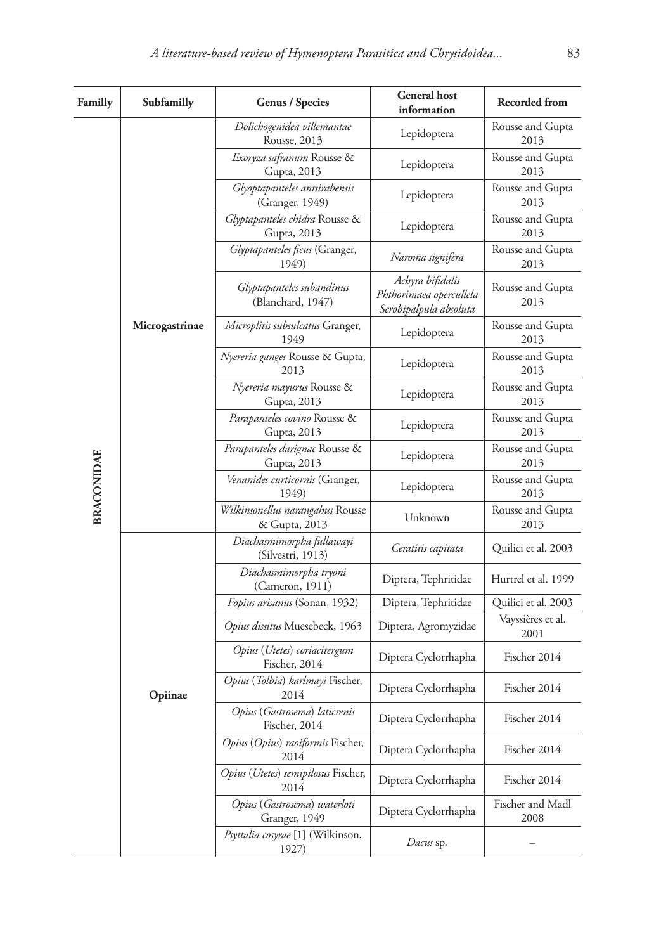| Familly           | Subfamilly     | Genus / Species                                   | <b>General</b> host<br>information                                    | <b>Recorded from</b>      |
|-------------------|----------------|---------------------------------------------------|-----------------------------------------------------------------------|---------------------------|
|                   |                | Dolichogenidea villemantae<br>Rousse, 2013        | Lepidoptera                                                           | Rousse and Gupta<br>2013  |
|                   |                | Exoryza safranum Rousse &<br>Gupta, 2013          | Lepidoptera                                                           | Rousse and Gupta<br>2013  |
|                   |                | Glyoptapanteles antsirabensis<br>(Granger, 1949)  | Lepidoptera                                                           | Rousse and Gupta<br>2013  |
|                   |                | Glyptapanteles chidra Rousse &<br>Gupta, 2013     | Lepidoptera                                                           | Rousse and Gupta<br>2013  |
|                   |                | Glyptapanteles ficus (Granger,<br>1949)           | Naroma signifera                                                      | Rousse and Gupta<br>2013  |
|                   |                | Glyptapanteles subandinus<br>(Blanchard, 1947)    | Achyra bifidalis<br>Phthorimaea opercullela<br>Scrobipalpula absoluta | Rousse and Gupta<br>2013  |
|                   | Microgastrinae | Microplitis subsulcatus Granger,<br>1949          | Lepidoptera                                                           | Rousse and Gupta<br>2013  |
|                   |                | Nyereria ganges Rousse & Gupta,<br>2013           | Lepidoptera                                                           | Rousse and Gupta<br>2013  |
|                   |                | Nyereria mayurus Rousse &<br>Gupta, 2013          | Lepidoptera                                                           | Rousse and Gupta<br>2013  |
|                   |                | Parapanteles covino Rousse &<br>Gupta, 2013       | Lepidoptera                                                           | Rousse and Gupta<br>2013  |
|                   |                | Parapanteles darignac Rousse &<br>Gupta, 2013     | Lepidoptera                                                           | Rousse and Gupta<br>2013  |
| <b>BRACONIDAE</b> |                | Venanides curticornis (Granger,<br>1949)          | Lepidoptera                                                           | Rousse and Gupta<br>2013  |
|                   |                | Wilkinsonellus narangahus Rousse<br>& Gupta, 2013 | Unknown                                                               | Rousse and Gupta<br>2013  |
|                   |                | Diachasmimorpha fullawayi<br>(Silvestri, 1913)    | Ceratitis capitata                                                    | Quilici et al. 2003       |
|                   |                | Diachasmimorpha tryoni<br>(Cameron, 1911)         | Diptera, Tephritidae                                                  | Hurtrel et al. 1999       |
|                   |                | Fopius arisanus (Sonan, 1932)                     | Diptera, Tephritidae                                                  | Quilici et al. 2003       |
|                   |                | Opius dissitus Muesebeck, 1963                    | Diptera, Agromyzidae                                                  | Vayssières et al.<br>2001 |
|                   |                | Opius (Utetes) coriacitergum<br>Fischer, 2014     | Diptera Cyclorrhapha                                                  | Fischer 2014              |
|                   | Opiinae        | Opius (Tolbia) karlmayi Fischer,<br>2014          | Diptera Cyclorrhapha                                                  | Fischer 2014              |
|                   |                | Opius (Gastrosema) laticrenis<br>Fischer, 2014    | Diptera Cyclorrhapha                                                  | Fischer 2014              |
|                   |                | Opius (Opius) raoiformis Fischer,<br>2014         | Diptera Cyclorrhapha                                                  | Fischer 2014              |
|                   |                | Opius (Utetes) semipilosus Fischer,<br>2014       | Diptera Cyclorrhapha                                                  | Fischer 2014              |
|                   |                | Opius (Gastrosema) waterloti<br>Granger, 1949     | Diptera Cyclorrhapha                                                  | Fischer and Madl<br>2008  |
|                   |                | Psyttalia cosyrae [1] (Wilkinson,<br>1927)        | Dacus sp.                                                             |                           |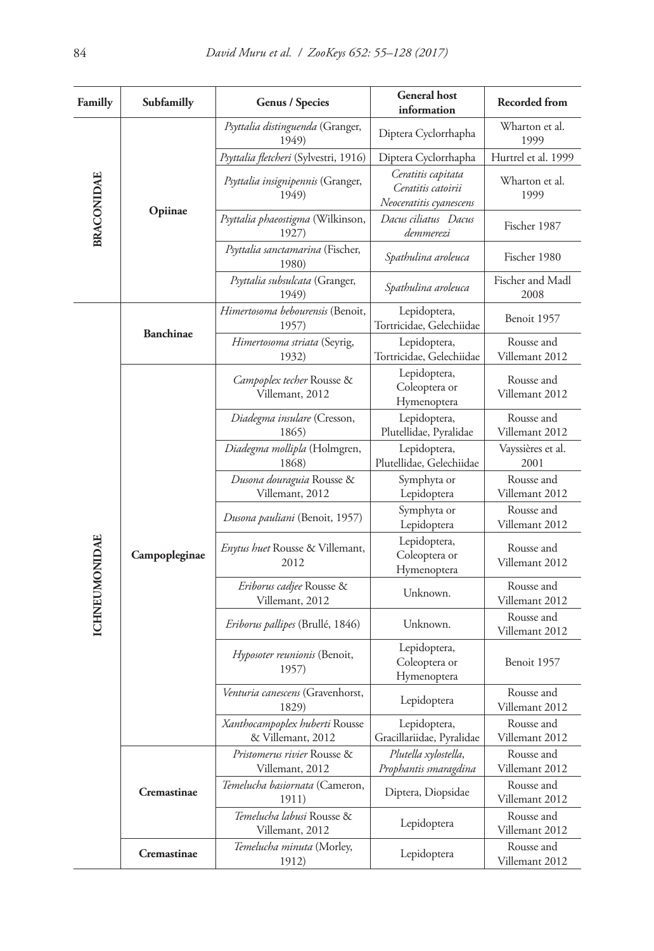| Familly              | Subfamilly       | <b>Genus / Species</b>                              | <b>General</b> host<br>information                                  | Recorded from                |
|----------------------|------------------|-----------------------------------------------------|---------------------------------------------------------------------|------------------------------|
| <b>BRACONIDAE</b>    |                  | Psyttalia distinguenda (Granger,<br>1949)           | Diptera Cyclorrhapha                                                | Wharton et al.<br>1999       |
|                      |                  | Psyttalia fletcheri (Sylvestri, 1916)               | Diptera Cyclorrhapha                                                | Hurtrel et al. 1999          |
|                      | Opiinae          | Psyttalia insignipennis (Granger,<br>1949)          | Ceratitis capitata<br>Ceratitis catoirii<br>Neoceratitis cyanescens | Wharton et al.<br>1999       |
|                      |                  | Psyttalia phaeostigma (Wilkinson,<br>1927)          | Dacus ciliatus Dacus<br>demmerezi                                   | Fischer 1987                 |
|                      |                  | Psyttalia sanctamarina (Fischer,<br>1980)           | Spathulina aroleuca                                                 | Fischer 1980                 |
|                      |                  | Psyttalia subsulcata (Granger,<br>1949)             | Spathulina aroleuca                                                 | Fischer and Madl<br>2008     |
|                      | <b>Banchinae</b> | Himertosoma bebourensis (Benoit,<br>1957)           | Lepidoptera,<br>Tortricidae, Gelechiidae                            | Benoit 1957                  |
|                      |                  | Himertosoma striata (Seyrig,<br>1932)               | Lepidoptera,<br>Tortricidae, Gelechiidae                            | Rousse and<br>Villemant 2012 |
|                      |                  | Campoplex techer Rousse &<br>Villemant, 2012        | Lepidoptera,<br>Coleoptera or<br>Hymenoptera                        | Rousse and<br>Villemant 2012 |
|                      |                  | Diadegma insulare (Cresson,<br>1865)                | Lepidoptera,<br>Plutellidae, Pyralidae                              | Rousse and<br>Villemant 2012 |
|                      |                  | Diadegma mollipla (Holmgren,<br>1868)               | Lepidoptera,<br>Plutellidae, Gelechiidae                            | Vayssières et al.<br>2001    |
|                      |                  | Dusona douraguia Rousse &<br>Villemant, 2012        | Symphyta or<br>Lepidoptera                                          | Rousse and<br>Villemant 2012 |
|                      |                  | Dusona pauliani (Benoit, 1957)                      | Symphyta or<br>Lepidoptera                                          | Rousse and<br>Villemant 2012 |
| <b>ICHNEUMONIDAE</b> | Campopleginae    | <i>Enytus huet</i> Rousse & Villemant,<br>2012      | Lepidoptera,<br>Coleoptera or<br>Hymenoptera                        | Rousse and<br>Villemant 2012 |
|                      |                  | Eriborus cadjee Rousse &<br>Villemant, 2012         | Unknown.                                                            | Rousse and<br>Villemant 2012 |
|                      |                  | <i>Eriborus pallipes</i> (Brullé, 1846)             | Unknown.                                                            | Rousse and<br>Villemant 2012 |
|                      |                  | Hyposoter reunionis (Benoit,<br>1957)               | Lepidoptera,<br>Coleoptera or<br>Hymenoptera                        | Benoit 1957                  |
|                      |                  | Venturia canescens (Gravenhorst,<br>1829)           | Lepidoptera                                                         | Rousse and<br>Villemant 2012 |
|                      |                  | Xanthocampoplex huberti Rousse<br>& Villemant, 2012 | Lepidoptera,<br>Gracillariidae, Pyralidae                           | Rousse and<br>Villemant 2012 |
|                      |                  | Pristomerus rivier Rousse &<br>Villemant, 2012      | Plutella xylostella,<br>Prophantis smaragdina                       | Rousse and<br>Villemant 2012 |
|                      | Cremastinae      | Temelucha basiornata (Cameron,<br>1911)             | Diptera, Diopsidae                                                  | Rousse and<br>Villemant 2012 |
|                      |                  | Temelucha labusi Rousse &<br>Villemant, 2012        | Lepidoptera                                                         | Rousse and<br>Villemant 2012 |
|                      | Cremastinae      | Temelucha minuta (Morley,<br>1912)                  | Lepidoptera                                                         | Rousse and<br>Villemant 2012 |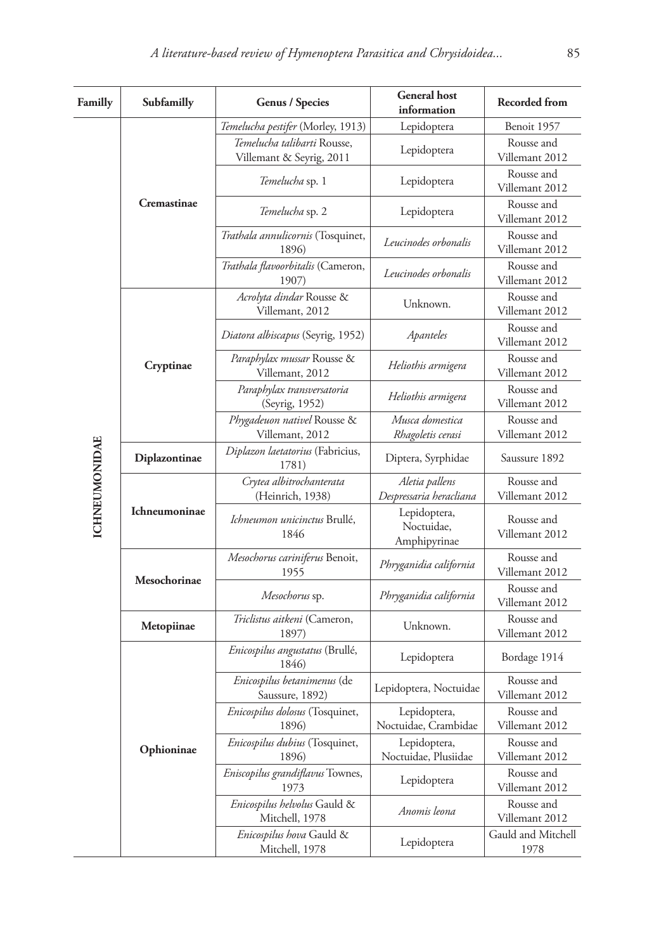| Familly              | Subfamilly    | Genus / Species                                          | <b>General</b> host<br>information         | <b>Recorded from</b>                                                                                                                                                                                                                                                                                                                                                 |
|----------------------|---------------|----------------------------------------------------------|--------------------------------------------|----------------------------------------------------------------------------------------------------------------------------------------------------------------------------------------------------------------------------------------------------------------------------------------------------------------------------------------------------------------------|
|                      | Cremastinae   | <i>Temelucha pestifer</i> (Morley, 1913)                 | Lepidoptera                                | Benoit 1957                                                                                                                                                                                                                                                                                                                                                          |
|                      |               | Temelucha talibarti Rousse,<br>Villemant & Seyrig, 2011  | Lepidoptera                                | Rousse and<br>Villemant 2012                                                                                                                                                                                                                                                                                                                                         |
|                      |               | <i>Temelucha</i> sp. 1                                   | Lepidoptera                                | Rousse and<br>Villemant 2012                                                                                                                                                                                                                                                                                                                                         |
|                      |               | Temelucha sp. 2                                          | Lepidoptera                                | Rousse and                                                                                                                                                                                                                                                                                                                                                           |
|                      |               | Trathala annulicornis (Tosquinet,<br>1896)               | Leucinodes orbonalis                       | Rousse and                                                                                                                                                                                                                                                                                                                                                           |
|                      |               | Trathala flavoorbitalis (Cameron,<br>1907)               | Leucinodes orbonalis                       | Rousse and                                                                                                                                                                                                                                                                                                                                                           |
|                      |               | Acrolyta dindar Rousse &<br>Villemant, 2012              | Unknown.                                   | Rousse and                                                                                                                                                                                                                                                                                                                                                           |
|                      |               | Diatora albiscapus (Seyrig, 1952)                        | Apanteles                                  | Rousse and<br>Villemant 2012                                                                                                                                                                                                                                                                                                                                         |
|                      | Cryptinae     | Paraphylax mussar Rousse &<br>Villemant, 2012            | Heliothis armigera                         | Rousse and<br>Villemant 2012                                                                                                                                                                                                                                                                                                                                         |
|                      |               | Paraphylax transversatoria<br>(Seyrig, 1952)             | Heliothis armigera                         | Rousse and                                                                                                                                                                                                                                                                                                                                                           |
|                      |               | Phygadeuon nativel Rousse &<br>Villemant, 2012           | Musca domestica<br>Rhagoletis cerasi       | Rousse and<br>Villemant 2012                                                                                                                                                                                                                                                                                                                                         |
|                      | Diplazontinae | Diplazon laetatorius (Fabricius,<br>1781)                | Diptera, Syrphidae                         | Saussure 1892                                                                                                                                                                                                                                                                                                                                                        |
|                      |               | Crytea albitrochanterata<br>(Heinrich, 1938)             | Aletia pallens<br>Despressaria heracliana  | Rousse and<br>Villemant 2012                                                                                                                                                                                                                                                                                                                                         |
| <b>ICHNEUMONIDAE</b> | Ichneumoninae | Ichneumon unicinctus Brullé,<br>1846                     | Lepidoptera,<br>Noctuidae,<br>Amphipyrinae | Rousse and<br>Villemant 2012                                                                                                                                                                                                                                                                                                                                         |
|                      |               | Mesochorus cariniferus Benoit,<br>1955                   | Phryganidia california                     | Rousse and<br>Villemant 2012                                                                                                                                                                                                                                                                                                                                         |
|                      | Mesochorinae  | Mesochorus sp.                                           | Phryganidia california                     | Villemant 2012<br>Villemant 2012<br>Villemant 2012<br>Villemant 2012<br>Villemant 2012<br>Rousse and<br>Villemant 2012<br>Rousse and<br>Villemant 2012<br>Bordage 1914<br>Rousse and<br>Villemant 2012<br>Rousse and<br>Villemant 2012<br>Rousse and<br>Villemant 2012<br>Rousse and<br>Villemant 2012<br>Rousse and<br>Villemant 2012<br>Gauld and Mitchell<br>1978 |
|                      | Metopiinae    | Triclistus aitkeni (Cameron,<br>1897)                    | Unknown.                                   |                                                                                                                                                                                                                                                                                                                                                                      |
|                      |               | Enicospilus angustatus (Brullé,<br>1846)                 | Lepidoptera                                |                                                                                                                                                                                                                                                                                                                                                                      |
|                      |               | Enicospilus betanimenus (de<br>Saussure, 1892)           | Lepidoptera, Noctuidae                     |                                                                                                                                                                                                                                                                                                                                                                      |
|                      |               | Enicospilus dolosus (Tosquinet,<br>Lepidoptera,<br>1896) | Noctuidae, Crambidae                       |                                                                                                                                                                                                                                                                                                                                                                      |
|                      | Ophioninae    | Enicospilus dubius (Tosquinet,<br>1896)                  | Lepidoptera,<br>Noctuidae, Plusiidae       |                                                                                                                                                                                                                                                                                                                                                                      |
|                      |               | Eniscopilus grandiflavus Townes,<br>1973                 | Lepidoptera                                |                                                                                                                                                                                                                                                                                                                                                                      |
|                      |               | Enicospilus helvolus Gauld &<br>Mitchell, 1978           | Anomis leona                               |                                                                                                                                                                                                                                                                                                                                                                      |
|                      |               | Enicospilus hova Gauld &<br>Mitchell, 1978               | Lepidoptera                                |                                                                                                                                                                                                                                                                                                                                                                      |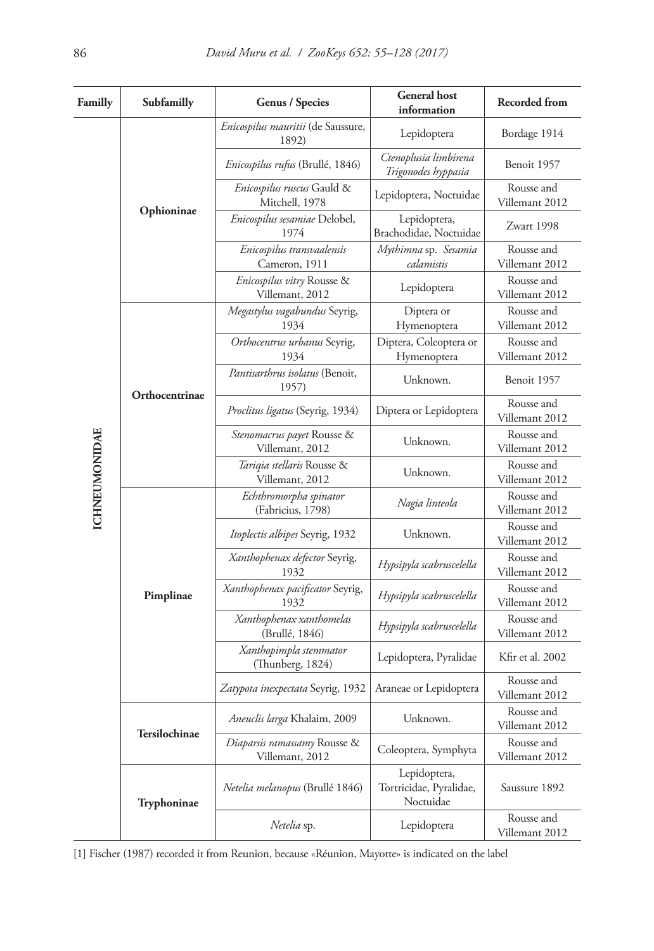| Familly              | Subfamilly         | Genus / Species                                 | <b>General</b> host<br>information                   | <b>Recorded from</b>         |
|----------------------|--------------------|-------------------------------------------------|------------------------------------------------------|------------------------------|
|                      | Ophioninae         | Enicospilus mauritii (de Saussure,<br>1892)     | Lepidoptera                                          | Bordage 1914                 |
|                      |                    | Enicospilus rufus (Brullé, 1846)                | Ctenoplusia limbirena<br>Trigonodes hyppasia         | Benoit 1957                  |
|                      |                    | Enicospilus ruscus Gauld &<br>Mitchell, 1978    | Lepidoptera, Noctuidae                               | Rousse and<br>Villemant 2012 |
|                      |                    | Enicospilus sesamiae Delobel,<br>1974           | Lepidoptera,<br>Brachodidae, Noctuidae               | Zwart 1998                   |
|                      |                    | Enicospilus transvaalensis<br>Cameron, 1911     | Mythimna sp. Sesamia<br>calamistis                   | Rousse and<br>Villemant 2012 |
|                      |                    | Enicospilus vitry Rousse &<br>Villemant, 2012   | Lepidoptera                                          | Rousse and<br>Villemant 2012 |
|                      |                    | Megastylus vagabundus Seyrig,<br>1934           | Diptera or<br>Hymenoptera                            | Rousse and<br>Villemant 2012 |
|                      |                    | Orthocentrus urbanus Seyrig,<br>1934            | Diptera, Coleoptera or<br>Hymenoptera                | Rousse and<br>Villemant 2012 |
|                      | Orthocentrinae     | Pantisarthrus isolatus (Benoit,<br>1957)        | Unknown.                                             | Benoit 1957                  |
|                      |                    | Proclitus ligatus (Seyrig, 1934)                | Diptera or Lepidoptera                               | Rousse and<br>Villemant 2012 |
|                      |                    | Stenomacrus payet Rousse &<br>Villemant, 2012   | Unknown.                                             | Rousse and<br>Villemant 2012 |
|                      |                    | Tariqia stellaris Rousse &<br>Villemant, 2012   | Unknown.                                             | Rousse and<br>Villemant 2012 |
| <b>ICHNEUMONIDAE</b> |                    | Echthromorpha spinator<br>(Fabricius, 1798)     | Nagia linteola                                       | Rousse and<br>Villemant 2012 |
|                      |                    | <i>Itoplectis albipes</i> Seyrig, 1932          | Unknown.                                             | Rousse and<br>Villemant 2012 |
|                      |                    | Xanthophenax defector Seyrig,<br>1932           | Hypsipyla scabruscelella                             | Rousse and<br>Villemant 2012 |
|                      | Pimplinae          | Xanthophenax pacificator Seyrig,<br>1932        | Hypsipyla scabruscelella                             | Rousse and<br>Villemant 2012 |
|                      |                    | Xanthophenax xanthomelas<br>(Brullé, 1846)      | Hypsipyla scabruscelella                             | Rousse and<br>Villemant 2012 |
|                      |                    | Xanthopimpla stemmator<br>(Thunberg, 1824)      | Lepidoptera, Pyralidae                               | Kfir et al. 2002             |
|                      |                    | Zatypota inexpectata Seyrig, 1932               | Araneae or Lepidoptera                               | Rousse and<br>Villemant 2012 |
|                      | Tersilochinae      | Aneuclis larga Khalaim, 2009                    | Unknown.                                             | Rousse and<br>Villemant 2012 |
|                      |                    | Diaparsis ramassamy Rousse &<br>Villemant, 2012 | Coleoptera, Symphyta                                 | Rousse and<br>Villemant 2012 |
|                      | <b>Tryphoninae</b> | Netelia melanopus (Brullé 1846)                 | Lepidoptera,<br>Tortricidae, Pyralidae,<br>Noctuidae | Saussure 1892                |
|                      |                    | Netelia sp.                                     | Lepidoptera                                          | Rousse and<br>Villemant 2012 |

[1] Fischer (1987) recorded it from Reunion, because «Réunion, Mayotte» is indicated on the label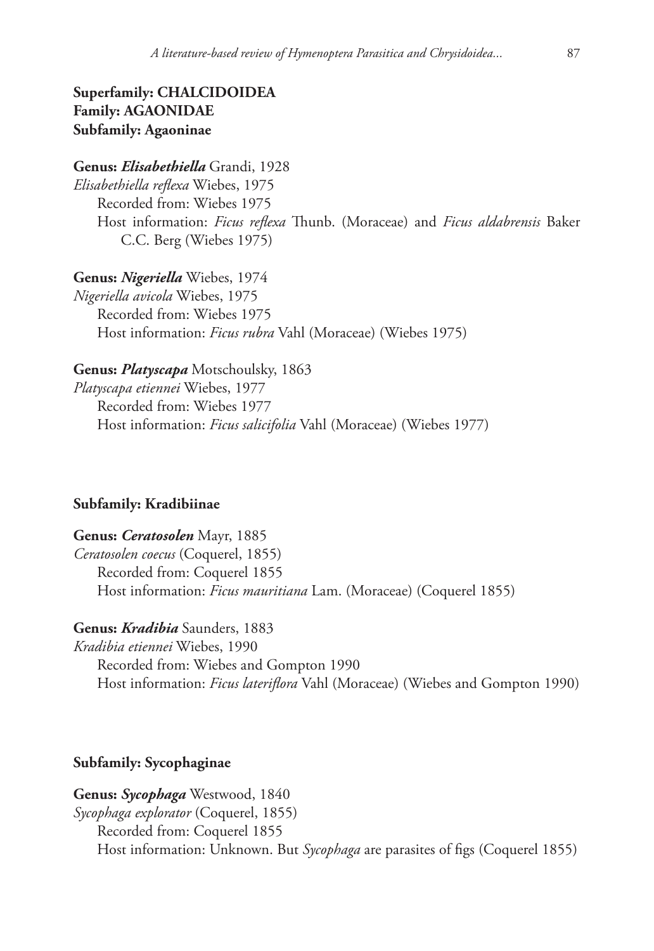# **Superfamily: CHALCIDOIDEA Family: AGAONIDAE Subfamily: Agaoninae**

# **Genus:** *Elisabethiella* Grandi, 1928

*Elisabethiella reflexa* Wiebes, 1975 Recorded from: Wiebes 1975 Host information: *Ficus reflexa* Thunb. (Moraceae) and *Ficus aldabrensis* Baker C.C. Berg (Wiebes 1975)

**Genus:** *Nigeriella* Wiebes, 1974 *Nigeriella avicola* Wiebes, 1975 Recorded from: Wiebes 1975 Host information: *Ficus rubra* Vahl (Moraceae) (Wiebes 1975)

# **Genus:** *Platyscapa* Motschoulsky, 1863

*Platyscapa etiennei* Wiebes, 1977 Recorded from: Wiebes 1977 Host information: *Ficus salicifolia* Vahl (Moraceae) (Wiebes 1977)

# **Subfamily: Kradibiinae**

**Genus:** *Ceratosolen* Mayr, 1885 *Ceratosolen coecus* (Coquerel, 1855) Recorded from: Coquerel 1855 Host information: *Ficus mauritiana* Lam. (Moraceae) (Coquerel 1855)

# **Genus:** *Kradibia* Saunders, 1883

*Kradibia etiennei* Wiebes, 1990 Recorded from: Wiebes and Gompton 1990 Host information: *Ficus lateriflora* Vahl (Moraceae) (Wiebes and Gompton 1990)

# **Subfamily: Sycophaginae**

**Genus:** *Sycophaga* Westwood, 1840 *Sycophaga explorator* (Coquerel, 1855) Recorded from: Coquerel 1855 Host information: Unknown. But *Sycophaga* are parasites of figs (Coquerel 1855)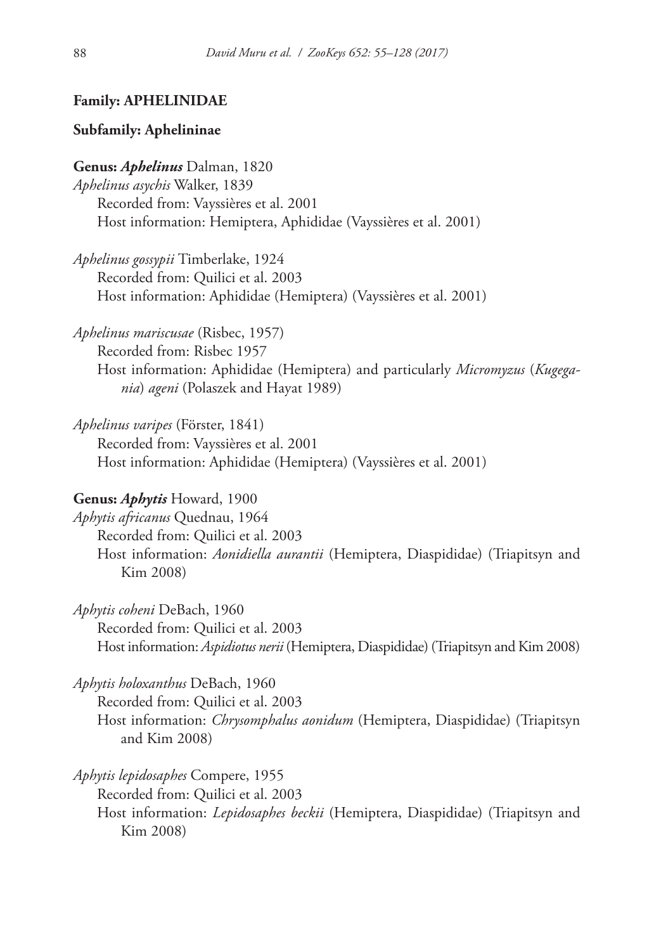# **Family: APHELINIDAE**

# **Subfamily: Aphelininae**

**Genus:** *Aphelinus* Dalman, 1820 *Aphelinus asychis* Walker, 1839 Recorded from: Vayssières et al. 2001 Host information: Hemiptera, Aphididae (Vayssières et al. 2001)

*Aphelinus gossypii* Timberlake, 1924 Recorded from: Quilici et al. 2003 Host information: Aphididae (Hemiptera) (Vayssières et al. 2001)

*Aphelinus mariscusae* (Risbec, 1957) Recorded from: Risbec 1957 Host information: Aphididae (Hemiptera) and particularly *Micromyzus* (*Kugegania*) *ageni* (Polaszek and Hayat 1989)

*Aphelinus varipes* (Förster, 1841) Recorded from: Vayssières et al. 2001 Host information: Aphididae (Hemiptera) (Vayssières et al. 2001)

### **Genus:** *Aphytis* Howard, 1900

*Aphytis africanus* Quednau, 1964 Recorded from: Quilici et al. 2003 Host information: *Aonidiella aurantii* (Hemiptera, Diaspididae) (Triapitsyn and Kim 2008)

*Aphytis coheni* DeBach, 1960 Recorded from: Quilici et al. 2003 Host information: *Aspidiotus nerii* (Hemiptera, Diaspididae) (Triapitsyn and Kim 2008)

*Aphytis holoxanthus* DeBach, 1960

Recorded from: Quilici et al. 2003 Host information: *Chrysomphalus aonidum* (Hemiptera, Diaspididae) (Triapitsyn and Kim 2008)

*Aphytis lepidosaphes* Compere, 1955 Recorded from: Quilici et al. 2003 Host information: *Lepidosaphes beckii* (Hemiptera, Diaspididae) (Triapitsyn and Kim 2008)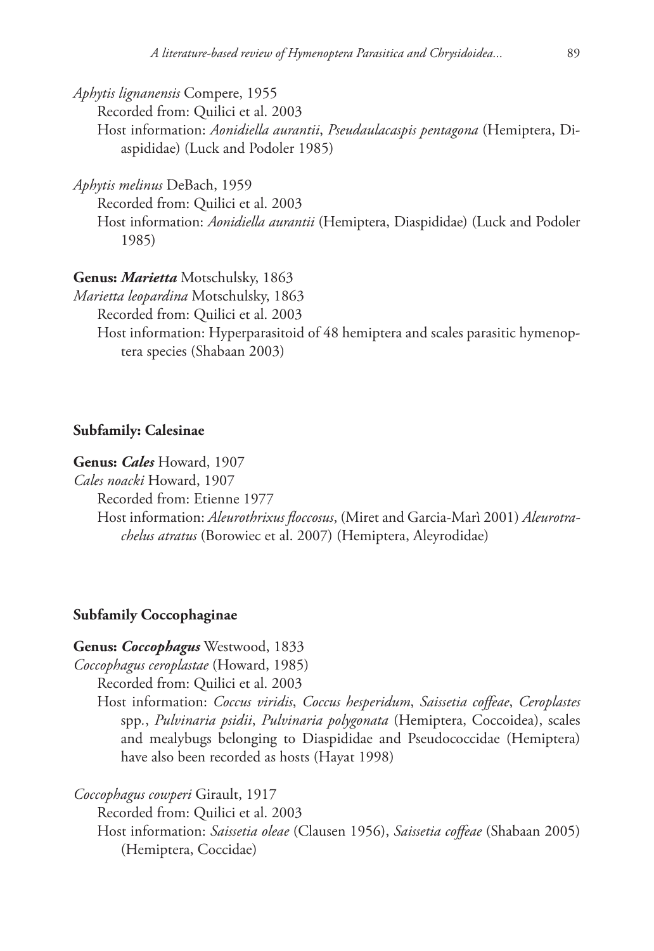*Aphytis lignanensis* Compere, 1955

Recorded from: Quilici et al. 2003 Host information: *Aonidiella aurantii*, *Pseudaulacaspis pentagona* (Hemiptera, Diaspididae) (Luck and Podoler 1985)

*Aphytis melinus* DeBach, 1959

Recorded from: Quilici et al. 2003

Host information: *Aonidiella aurantii* (Hemiptera, Diaspididae) (Luck and Podoler 1985)

**Genus:** *Marietta* Motschulsky, 1863

*Marietta leopardina* Motschulsky, 1863

Recorded from: Quilici et al. 2003

Host information: Hyperparasitoid of 48 hemiptera and scales parasitic hymenoptera species (Shabaan 2003)

### **Subfamily: Calesinae**

**Genus:** *Cales* Howard, 1907

*Cales noacki* Howard, 1907

Recorded from: Etienne 1977

Host information: *Aleurothrixus floccosus*, (Miret and Garcia-Marì 2001) *Aleurotrachelus atratus* (Borowiec et al. 2007) (Hemiptera, Aleyrodidae)

### **Subfamily Coccophaginae**

# **Genus:** *Coccophagus* Westwood, 1833

*Coccophagus ceroplastae* (Howard, 1985)

Recorded from: Quilici et al. 2003

Host information: *Coccus viridis*, *Coccus hesperidum*, *Saissetia coffeae*, *Ceroplastes*  spp*.*, *Pulvinaria psidii*, *Pulvinaria polygonata* (Hemiptera, Coccoidea), scales and mealybugs belonging to Diaspididae and Pseudococcidae (Hemiptera) have also been recorded as hosts (Hayat 1998)

*Coccophagus cowperi* Girault, 1917

Recorded from: Quilici et al. 2003

Host information: *Saissetia oleae* (Clausen 1956), *Saissetia coffeae* (Shabaan 2005) (Hemiptera, Coccidae)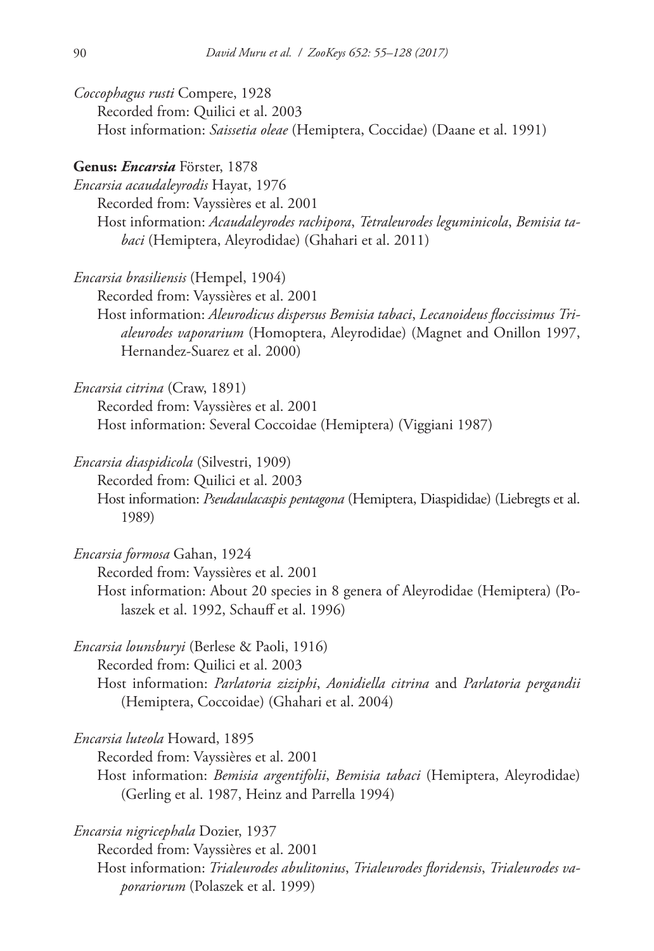*Coccophagus rusti* Compere, 1928 Recorded from: Quilici et al. 2003 Host information: *Saissetia oleae* (Hemiptera, Coccidae) (Daane et al. 1991)

### **Genus:** *Encarsia* Förster, 1878

Hernandez-Suarez et al. 2000)

*Encarsia acaudaleyrodis* Hayat, 1976 Recorded from: Vayssières et al. 2001 Host information: *Acaudaleyrodes rachipora*, *Tetraleurodes leguminicola*, *Bemisia tabaci* (Hemiptera, Aleyrodidae) (Ghahari et al. 2011)

*Encarsia brasiliensis* (Hempel, 1904) Recorded from: Vayssières et al. 2001 Host information: *Aleurodicus dispersus Bemisia tabaci*, *Lecanoideus floccissimus Trialeurodes vaporarium* (Homoptera, Aleyrodidae) (Magnet and Onillon 1997,

*Encarsia citrina* (Craw, 1891) Recorded from: Vayssières et al. 2001 Host information: Several Coccoidae (Hemiptera) (Viggiani 1987)

*Encarsia diaspidicola* (Silvestri, 1909) Recorded from: Quilici et al. 2003 Host information: *Pseudaulacaspis pentagona* (Hemiptera, Diaspididae) (Liebregts et al. 1989)

*Encarsia formosa* Gahan, 1924 Recorded from: Vayssières et al. 2001 Host information: About 20 species in 8 genera of Aleyrodidae (Hemiptera) (Polaszek et al. 1992, Schauff et al. 1996)

*Encarsia lounsburyi* (Berlese & Paoli, 1916) Recorded from: Quilici et al. 2003 Host information: *Parlatoria ziziphi*, *Aonidiella citrina* and *Parlatoria pergandii*  (Hemiptera, Coccoidae) (Ghahari et al. 2004)

*Encarsia luteola* Howard, 1895

Recorded from: Vayssières et al. 2001

Host information: *Bemisia argentifolii*, *Bemisia tabaci* (Hemiptera, Aleyrodidae) (Gerling et al. 1987, Heinz and Parrella 1994)

*Encarsia nigricephala* Dozier, 1937 Recorded from: Vayssières et al. 2001 Host information: *Trialeurodes abulitonius*, *Trialeurodes floridensis*, *Trialeurodes vaporariorum* (Polaszek et al. 1999)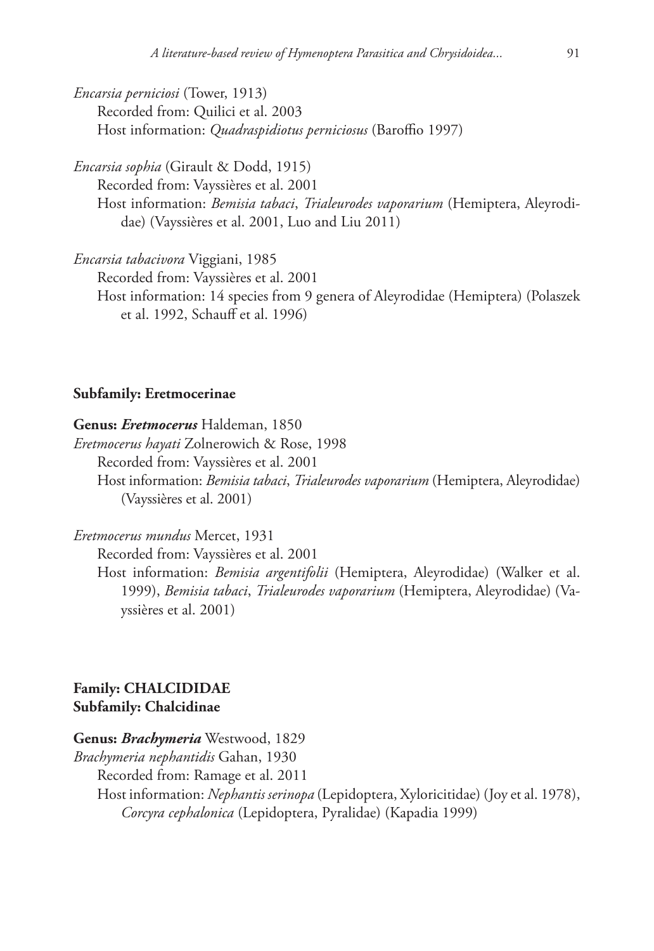*Encarsia perniciosi* (Tower, 1913) Recorded from: Quilici et al. 2003 Host information: *Quadraspidiotus perniciosus* (Baroffio 1997)

*Encarsia sophia* (Girault & Dodd, 1915)

Recorded from: Vayssières et al. 2001 Host information: *Bemisia tabaci*, *Trialeurodes vaporarium* (Hemiptera, Aleyrodidae) (Vayssières et al. 2001, Luo and Liu 2011)

*Encarsia tabacivora* Viggiani, 1985

Recorded from: Vayssières et al. 2001

Host information: 14 species from 9 genera of Aleyrodidae (Hemiptera) (Polaszek et al. 1992, Schauff et al. 1996)

### **Subfamily: Eretmocerinae**

### **Genus:** *Eretmocerus* Haldeman, 1850

*Eretmocerus hayati* Zolnerowich & Rose, 1998 Recorded from: Vayssières et al. 2001 Host information: *Bemisia tabaci*, *Trialeurodes vaporarium* (Hemiptera, Aleyrodidae) (Vayssières et al. 2001)

*Eretmocerus mundus* Mercet, 1931 Recorded from: Vayssières et al. 2001 Host information: *Bemisia argentifolii* (Hemiptera, Aleyrodidae) (Walker et al. 1999), *Bemisia tabaci*, *Trialeurodes vaporarium* (Hemiptera, Aleyrodidae) (Vayssières et al. 2001)

# **Family: CHALCIDIDAE Subfamily: Chalcidinae**

**Genus:** *Brachymeria* Westwood, 1829

*Brachymeria nephantidis* Gahan, 1930

Recorded from: Ramage et al. 2011

Host information: *Nephantis serinopa* (Lepidoptera, Xyloricitidae) (Joy et al. 1978), *Corcyra cephalonica* (Lepidoptera, Pyralidae) (Kapadia 1999)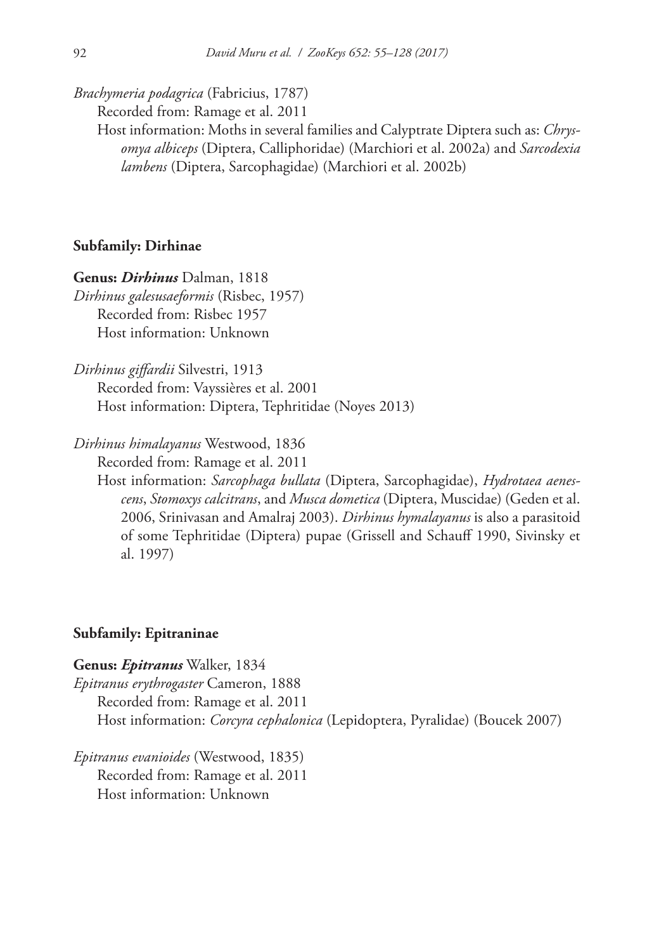*Brachymeria podagrica* (Fabricius, 1787)

Recorded from: Ramage et al. 2011

Host information: Moths in several families and Calyptrate Diptera such as: *Chrysomya albiceps* (Diptera, Calliphoridae) (Marchiori et al. 2002a) and *Sarcodexia lambens* (Diptera, Sarcophagidae) (Marchiori et al. 2002b)

### **Subfamily: Dirhinae**

**Genus:** *Dirhinus* Dalman, 1818 *Dirhinus galesusaeformis* (Risbec, 1957) Recorded from: Risbec 1957 Host information: Unknown

*Dirhinus giffardii* Silvestri, 1913 Recorded from: Vayssières et al. 2001 Host information: Diptera, Tephritidae (Noyes 2013)

*Dirhinus himalayanus* Westwood, 1836

Recorded from: Ramage et al. 2011

Host information: *Sarcophaga bullata* (Diptera, Sarcophagidae), *Hydrotaea aenescens*, *Stomoxys calcitrans*, and *Musca dometica* (Diptera, Muscidae) (Geden et al. 2006, Srinivasan and Amalraj 2003). *Dirhinus hymalayanus* is also a parasitoid of some Tephritidae (Diptera) pupae (Grissell and Schauff 1990, Sivinsky et al. 1997)

### **Subfamily: Epitraninae**

**Genus:** *Epitranus* Walker, 1834 *Epitranus erythrogaster* Cameron, 1888 Recorded from: Ramage et al. 2011 Host information: *Corcyra cephalonica* (Lepidoptera, Pyralidae) (Boucek 2007)

*Epitranus evanioides* (Westwood, 1835) Recorded from: Ramage et al. 2011 Host information: Unknown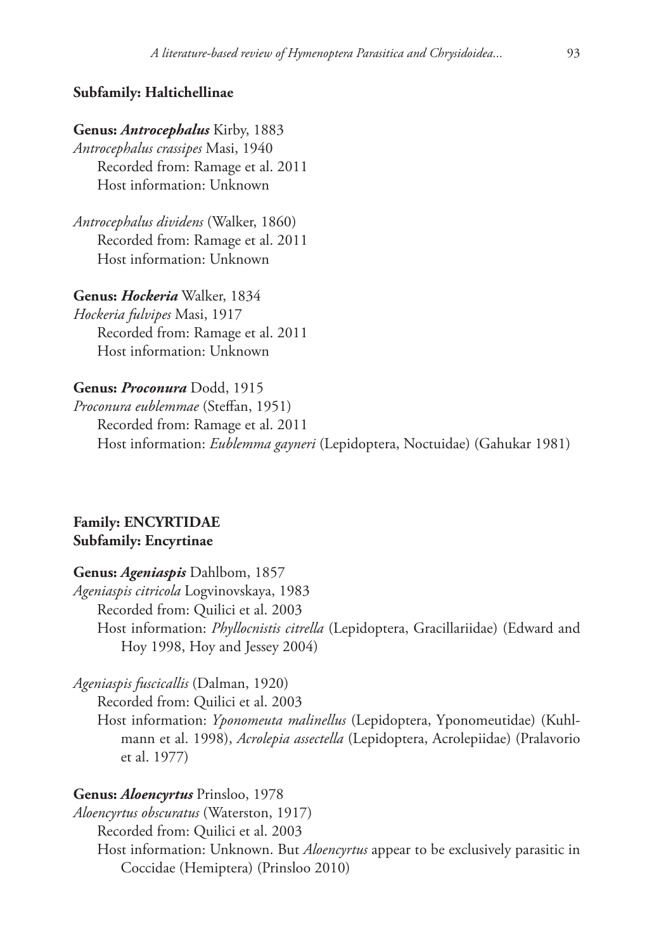### **Subfamily: Haltichellinae**

# **Genus:** *Antrocephalus* Kirby, 1883

*Antrocephalus crassipes* Masi, 1940 Recorded from: Ramage et al. 2011 Host information: Unknown

*Antrocephalus dividens* (Walker, 1860) Recorded from: Ramage et al. 2011 Host information: Unknown

**Genus:** *Hockeria* Walker, 1834 *Hockeria fulvipes* Masi, 1917 Recorded from: Ramage et al. 2011 Host information: Unknown

#### **Genus:** *Proconura* Dodd, 1915

*Proconura eublemmae* (Steffan, 1951) Recorded from: Ramage et al. 2011 Host information: *Eublemma gayneri* (Lepidoptera, Noctuidae) (Gahukar 1981)

# **Family: ENCYRTIDAE Subfamily: Encyrtinae**

### **Genus:** *Ageniaspis* Dahlbom, 1857

*Ageniaspis citricola* Logvinovskaya, 1983 Recorded from: Quilici et al. 2003 Host information: *Phyllocnistis citrella* (Lepidoptera, Gracillariidae) (Edward and Hoy 1998, Hoy and Jessey 2004)

*Ageniaspis fuscicallis* (Dalman, 1920)

Recorded from: Quilici et al. 2003

Host information: *Yponomeuta malinellus* (Lepidoptera, Yponomeutidae) (Kuhlmann et al. 1998), *Acrolepia assectella* (Lepidoptera, Acrolepiidae) (Pralavorio et al. 1977)

# **Genus:** *Aloencyrtus* Prinsloo, 1978

*Aloencyrtus obscuratus* (Waterston, 1917) Recorded from: Quilici et al. 2003 Host information: Unknown. But *Aloencyrtus* appear to be exclusively parasitic in Coccidae (Hemiptera) (Prinsloo 2010)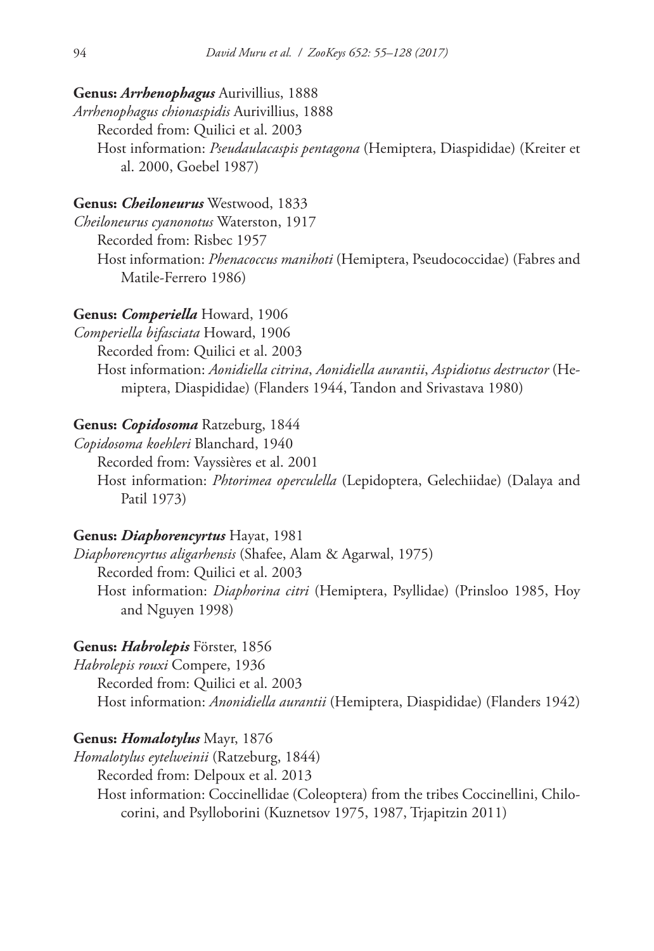# **Genus:** *Arrhenophagus* Aurivillius, 1888

*Arrhenophagus chionaspidis* Aurivillius, 1888 Recorded from: Quilici et al. 2003 Host information: *Pseudaulacaspis pentagona* (Hemiptera, Diaspididae) (Kreiter et al. 2000, Goebel 1987)

### **Genus:** *Cheiloneurus* Westwood, 1833

*Cheiloneurus cyanonotus* Waterston, 1917 Recorded from: Risbec 1957 Host information: *Phenacoccus manihoti* (Hemiptera, Pseudococcidae) (Fabres and Matile-Ferrero 1986)

### **Genus:** *Comperiella* Howard, 1906

*Comperiella bifasciata* Howard, 1906 Recorded from: Quilici et al. 2003 Host information: *Aonidiella citrina*, *Aonidiella aurantii*, *Aspidiotus destructor* (Hemiptera, Diaspididae) (Flanders 1944, Tandon and Srivastava 1980)

### **Genus:** *Copidosoma* Ratzeburg, 1844

*Copidosoma koehleri* Blanchard, 1940 Recorded from: Vayssières et al. 2001 Host information: *Phtorimea operculella* (Lepidoptera, Gelechiidae) (Dalaya and Patil 1973)

# **Genus:** *Diaphorencyrtus* Hayat, 1981

*Diaphorencyrtus aligarhensis* (Shafee, Alam & Agarwal, 1975) Recorded from: Quilici et al. 2003 Host information: *Diaphorina citri* (Hemiptera, Psyllidae) (Prinsloo 1985, Hoy and Nguyen 1998)

### **Genus:** *Habrolepis* Förster, 1856

*Habrolepis rouxi* Compere, 1936 Recorded from: Quilici et al. 2003 Host information: *Anonidiella aurantii* (Hemiptera, Diaspididae) (Flanders 1942)

### **Genus:** *Homalotylus* Mayr, 1876

*Homalotylus eytelweinii* (Ratzeburg, 1844) Recorded from: Delpoux et al. 2013 Host information: Coccinellidae (Coleoptera) from the tribes Coccinellini, Chilocorini, and Psylloborini (Kuznetsov 1975, 1987, Trjapitzin 2011)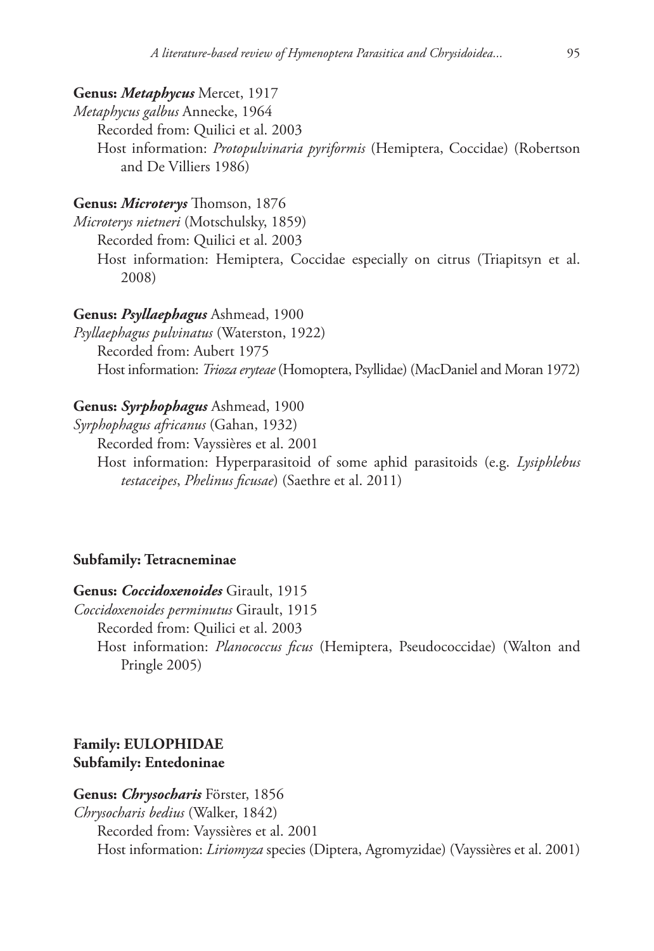# **Genus:** *Metaphycus* Mercet, 1917

*Metaphycus galbus* Annecke, 1964 Recorded from: Quilici et al. 2003 Host information: *Protopulvinaria pyriformis* (Hemiptera, Coccidae) (Robertson and De Villiers 1986)

### **Genus:** *Microterys* Thomson, 1876

*Microterys nietneri* (Motschulsky, 1859)

Recorded from: Quilici et al. 2003

Host information: Hemiptera, Coccidae especially on citrus (Triapitsyn et al. 2008)

### **Genus:** *Psyllaephagus* Ashmead, 1900

*Psyllaephagus pulvinatus* (Waterston, 1922) Recorded from: Aubert 1975 Host information: *Trioza eryteae* (Homoptera, Psyllidae) (MacDaniel and Moran 1972)

# **Genus:** *Syrphophagus* Ashmead, 1900

*Syrphophagus africanus* (Gahan, 1932)

Recorded from: Vayssières et al. 2001

Host information: Hyperparasitoid of some aphid parasitoids (e.g. *Lysiphlebus testaceipes*, *Phelinus ficusae*) (Saethre et al. 2011)

### **Subfamily: Tetracneminae**

**Genus:** *Coccidoxenoides* Girault, 1915

*Coccidoxenoides perminutus* Girault, 1915

Recorded from: Quilici et al. 2003

Host information: *Planococcus ficus* (Hemiptera, Pseudococcidae) (Walton and Pringle 2005)

# **Family: EULOPHIDAE Subfamily: Entedoninae**

# **Genus:** *Chrysocharis* Förster, 1856 *Chrysocharis bedius* (Walker, 1842) Recorded from: Vayssières et al. 2001 Host information: *Liriomyza* species (Diptera, Agromyzidae) (Vayssières et al. 2001)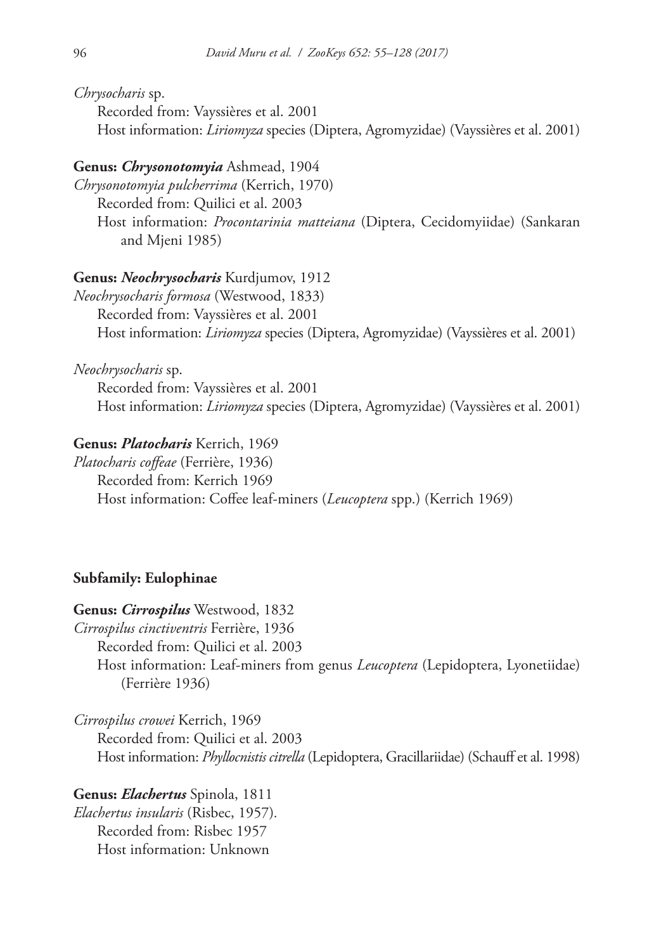*Chrysocharis* sp.

Recorded from: Vayssières et al. 2001 Host information: *Liriomyza* species (Diptera, Agromyzidae) (Vayssières et al. 2001)

# **Genus:** *Chrysonotomyia* Ashmead, 1904

*Chrysonotomyia pulcherrima* (Kerrich, 1970) Recorded from: Quilici et al. 2003 Host information: *Procontarinia matteiana* (Diptera, Cecidomyiidae) (Sankaran and Mjeni 1985)

# **Genus:** *Neochrysocharis* Kurdjumov, 1912

*Neochrysocharis formosa* (Westwood, 1833) Recorded from: Vayssières et al. 2001 Host information: *Liriomyza* species (Diptera, Agromyzidae) (Vayssières et al. 2001)

*Neochrysocharis* sp.

Recorded from: Vayssières et al. 2001 Host information: *Liriomyza* species (Diptera, Agromyzidae) (Vayssières et al. 2001)

# **Genus:** *Platocharis* Kerrich, 1969

*Platocharis coffeae* (Ferrière, 1936) Recorded from: Kerrich 1969 Host information: Coffee leaf-miners (*Leucoptera* spp.) (Kerrich 1969)

# **Subfamily: Eulophinae**

**Genus:** *Cirrospilus* Westwood, 1832

*Cirrospilus cinctiventris* Ferrière, 1936

Recorded from: Quilici et al. 2003

Host information: Leaf-miners from genus *Leucoptera* (Lepidoptera, Lyonetiidae) (Ferrière 1936)

*Cirrospilus crowei* Kerrich, 1969 Recorded from: Quilici et al. 2003 Host information: *Phyllocnistis citrella* (Lepidoptera, Gracillariidae) (Schauff et al. 1998)

**Genus:** *Elachertus* Spinola, 1811 *Elachertus insularis* (Risbec, 1957)*.* Recorded from: Risbec 1957 Host information: Unknown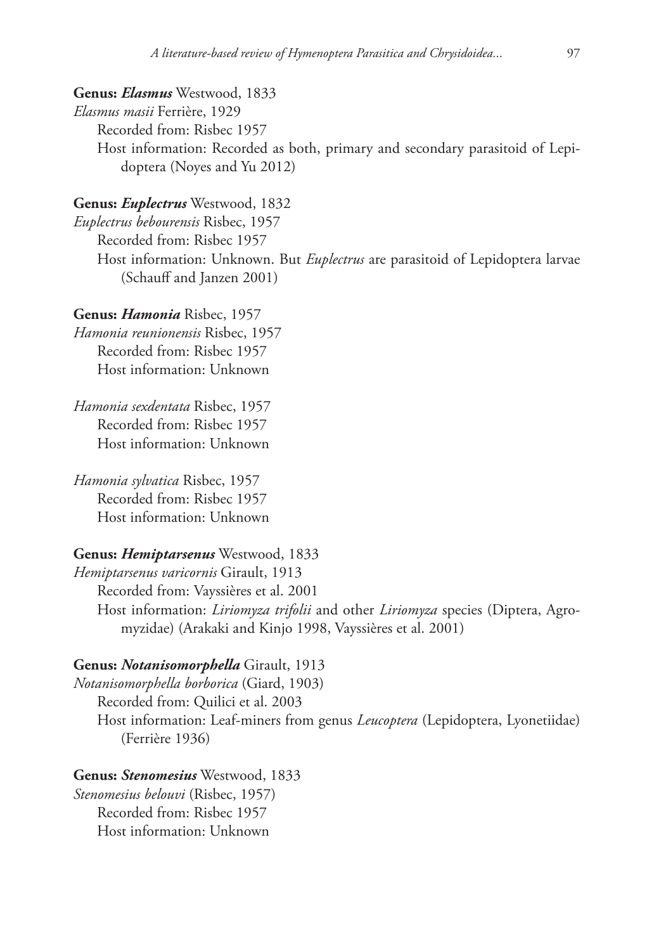**Genus:** *Elasmus* Westwood, 1833 *Elasmus masii* Ferrière, 1929 Recorded from: Risbec 1957 Host information: Recorded as both, primary and secondary parasitoid of Lepidoptera (Noyes and Yu 2012)

### **Genus:** *Euplectrus* Westwood, 1832

*Euplectrus bebourensis* Risbec, 1957 Recorded from: Risbec 1957 Host information: Unknown. But *Euplectrus* are parasitoid of Lepidoptera larvae (Schauff and Janzen 2001)

#### **Genus:** *Hamonia* Risbec, 1957

*Hamonia reunionensis* Risbec, 1957 Recorded from: Risbec 1957 Host information: Unknown

*Hamonia sexdentata* Risbec, 1957 Recorded from: Risbec 1957 Host information: Unknown

*Hamonia sylvatica* Risbec, 1957 Recorded from: Risbec 1957 Host information: Unknown

**Genus:** *Hemiptarsenus* Westwood, 1833 *Hemiptarsenus varicornis* Girault, 1913 Recorded from: Vayssières et al. 2001 Host information: *Liriomyza trifolii* and other *Liriomyza* species (Diptera, Agromyzidae) (Arakaki and Kinjo 1998, Vayssières et al. 2001)

#### **Genus:** *Notanisomorphella* Girault, 1913

*Notanisomorphella borborica* (Giard, 1903) Recorded from: Quilici et al. 2003 Host information: Leaf-miners from genus *Leucoptera* (Lepidoptera, Lyonetiidae) (Ferrière 1936)

**Genus:** *Stenomesius* Westwood, 1833 *Stenomesius belouvi* (Risbec, 1957) Recorded from: Risbec 1957 Host information: Unknown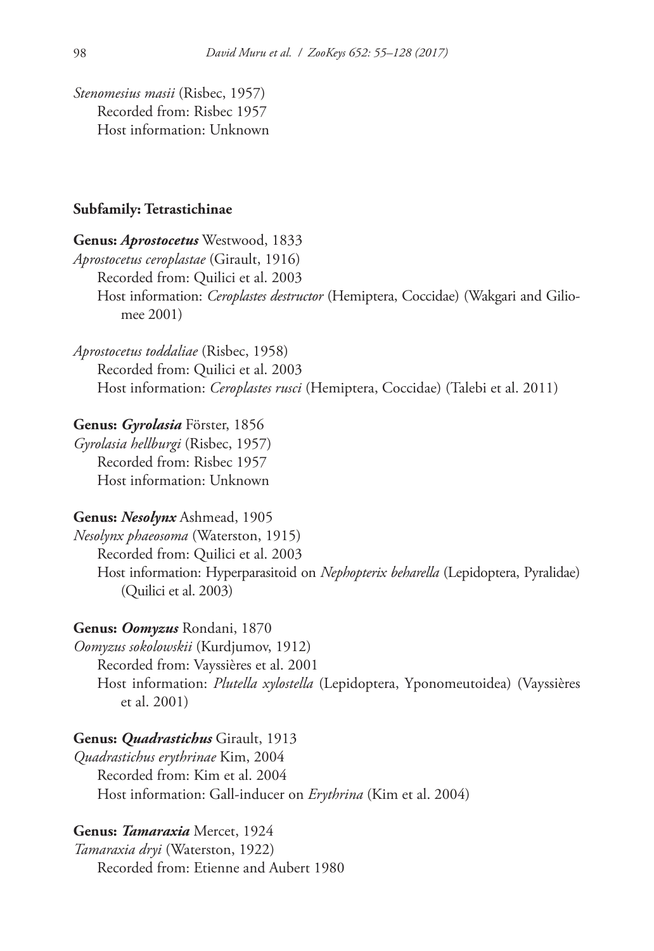*Stenomesius masii* (Risbec, 1957) Recorded from: Risbec 1957 Host information: Unknown

#### **Subfamily: Tetrastichinae**

# **Genus:** *Aprostocetus* Westwood, 1833

*Aprostocetus ceroplastae* (Girault, 1916) Recorded from: Quilici et al. 2003 Host information: *Ceroplastes destructor* (Hemiptera, Coccidae) (Wakgari and Giliomee 2001)

*Aprostocetus toddaliae* (Risbec, 1958) Recorded from: Quilici et al. 2003 Host information: *Ceroplastes rusci* (Hemiptera, Coccidae) (Talebi et al. 2011)

#### **Genus:** *Gyrolasia* Förster, 1856

*Gyrolasia hellburgi* (Risbec, 1957) Recorded from: Risbec 1957 Host information: Unknown

### **Genus:** *Nesolynx* Ashmead, 1905

*Nesolynx phaeosoma* (Waterston, 1915) Recorded from: Quilici et al. 2003 Host information: Hyperparasitoid on *Nephopterix beharella* (Lepidoptera, Pyralidae) (Quilici et al. 2003)

#### **Genus:** *Oomyzus* Rondani, 1870

*Oomyzus sokolowskii* (Kurdjumov, 1912) Recorded from: Vayssières et al. 2001 Host information: *Plutella xylostella* (Lepidoptera, Yponomeutoidea) (Vayssières et al. 2001)

# **Genus:** *Quadrastichus* Girault, 1913

*Quadrastichus erythrinae* Kim, 2004 Recorded from: Kim et al. 2004 Host information: Gall-inducer on *Erythrina* (Kim et al. 2004)

### **Genus:** *Tamaraxia* Mercet, 1924

*Tamaraxia dryi* (Waterston, 1922) Recorded from: Etienne and Aubert 1980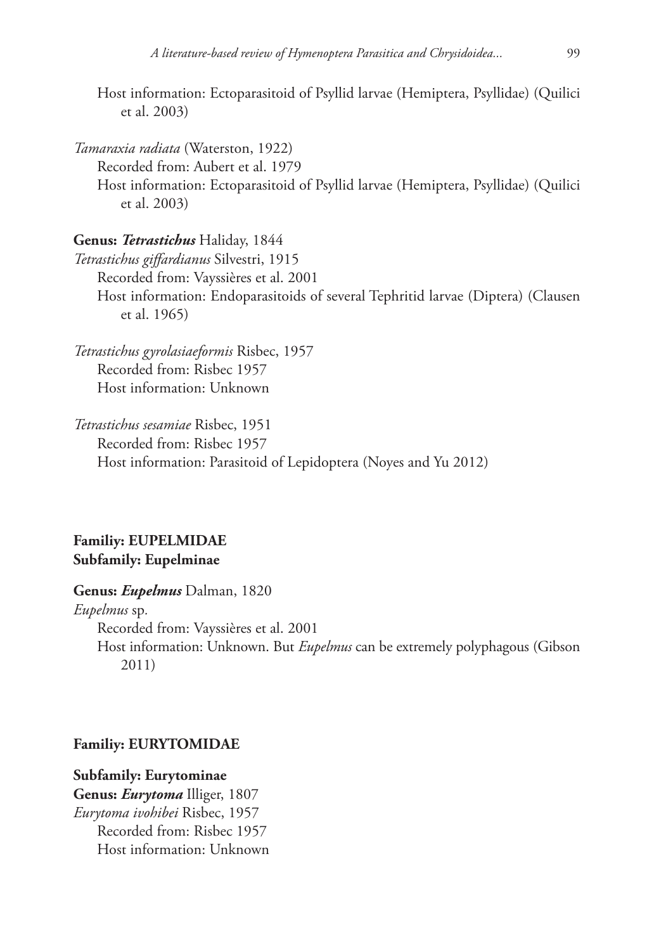Host information: Ectoparasitoid of Psyllid larvae (Hemiptera, Psyllidae) (Quilici et al. 2003)

*Tamaraxia radiata* (Waterston, 1922) Recorded from: Aubert et al. 1979 Host information: Ectoparasitoid of Psyllid larvae (Hemiptera, Psyllidae) (Quilici et al. 2003)

**Genus:** *Tetrastichus* Haliday, 1844 *Tetrastichus giffardianus* Silvestri, 1915 Recorded from: Vayssières et al. 2001 Host information: Endoparasitoids of several Tephritid larvae (Diptera) (Clausen et al. 1965)

*Tetrastichus gyrolasiaeformis* Risbec, 1957 Recorded from: Risbec 1957 Host information: Unknown

*Tetrastichus sesamiae* Risbec, 1951 Recorded from: Risbec 1957 Host information: Parasitoid of Lepidoptera (Noyes and Yu 2012)

# **Familiy: EUPELMIDAE Subfamily: Eupelminae**

**Genus:** *Eupelmus* Dalman, 1820 *Eupelmus* sp*.* Recorded from: Vayssières et al. 2001 Host information: Unknown. But *Eupelmus* can be extremely polyphagous (Gibson 2011)

### **Familiy: EURYTOMIDAE**

# **Subfamily: Eurytominae**

**Genus:** *Eurytoma* Illiger, 1807 *Eurytoma ivohibei* Risbec, 1957 Recorded from: Risbec 1957 Host information: Unknown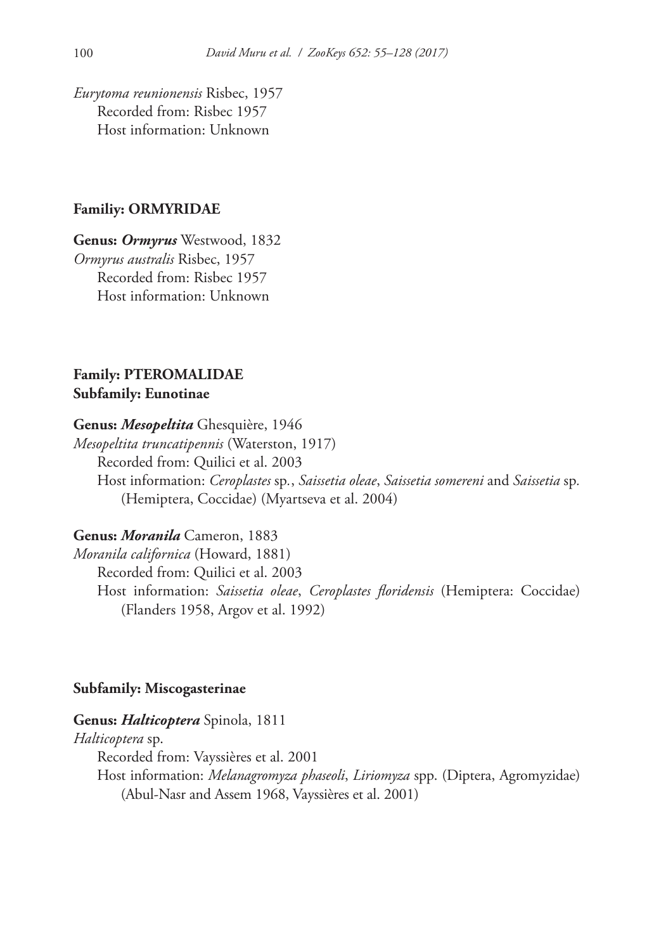*Eurytoma reunionensis* Risbec, 1957 Recorded from: Risbec 1957 Host information: Unknown

### **Familiy: ORMYRIDAE**

**Genus:** *Ormyrus* Westwood, 1832 *Ormyrus australis* Risbec, 1957 Recorded from: Risbec 1957 Host information: Unknown

# **Family: PTEROMALIDAE Subfamily: Eunotinae**

### **Genus:** *Mesopeltita* Ghesquière, 1946

*Mesopeltita truncatipennis* (Waterston, 1917) Recorded from: Quilici et al. 2003 Host information: *Ceroplastes* sp*.*, *Saissetia oleae*, *Saissetia somereni* and *Saissetia* sp*.*  (Hemiptera, Coccidae) (Myartseva et al. 2004)

### **Genus:** *Moranila* Cameron, 1883

*Moranila californica* (Howard, 1881) Recorded from: Quilici et al. 2003 Host information: *Saissetia oleae*, *Ceroplastes floridensis* (Hemiptera: Coccidae) (Flanders 1958, Argov et al. 1992)

### **Subfamily: Miscogasterinae**

### **Genus:** *Halticoptera* Spinola, 1811

*Halticoptera* sp.

Recorded from: Vayssières et al. 2001

Host information: *Melanagromyza phaseoli*, *Liriomyza* spp. (Diptera, Agromyzidae) (Abul-Nasr and Assem 1968, Vayssières et al. 2001)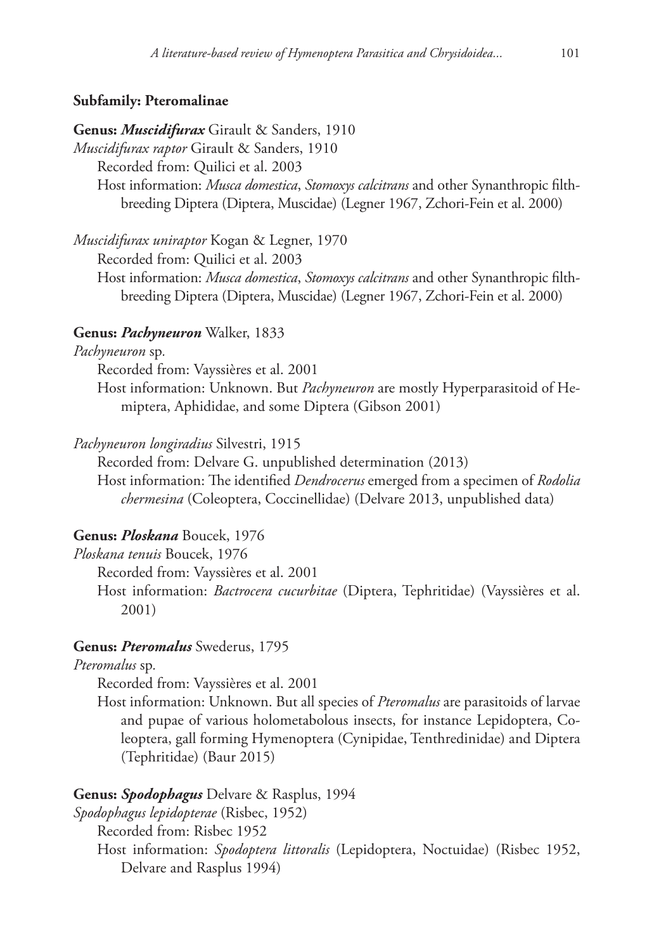# **Subfamily: Pteromalinae**

**Genus:** *Muscidifurax* Girault & Sanders, 1910

*Muscidifurax raptor* Girault & Sanders, 1910

Recorded from: Quilici et al. 2003

Host information: *Musca domestica*, *Stomoxys calcitrans* and other Synanthropic filthbreeding Diptera (Diptera, Muscidae) (Legner 1967, Zchori-Fein et al. 2000)

*Muscidifurax uniraptor* Kogan & Legner, 1970

Recorded from: Quilici et al. 2003

Host information: *Musca domestica*, *Stomoxys calcitrans* and other Synanthropic filthbreeding Diptera (Diptera, Muscidae) (Legner 1967, Zchori-Fein et al. 2000)

### **Genus:** *Pachyneuron* Walker, 1833

#### *Pachyneuron* sp*.*

Recorded from: Vayssières et al. 2001

Host information: Unknown. But *Pachyneuron* are mostly Hyperparasitoid of Hemiptera, Aphididae, and some Diptera (Gibson 2001)

### *Pachyneuron longiradius* Silvestri, 1915

Recorded from: Delvare G. unpublished determination (2013)

Host information: The identified *Dendrocerus* emerged from a specimen of *Rodolia chermesina* (Coleoptera, Coccinellidae) (Delvare 2013, unpublished data)

### **Genus:** *Ploskana* Boucek, 1976

*Ploskana tenuis* Boucek, 1976

Recorded from: Vayssières et al. 2001

Host information: *Bactrocera cucurbitae* (Diptera, Tephritidae) (Vayssières et al. 2001)

# **Genus:** *Pteromalus* Swederus, 1795

*Pteromalus* sp*.*

Recorded from: Vayssières et al. 2001

Host information: Unknown. But all species of *Pteromalus* are parasitoids of larvae and pupae of various holometabolous insects, for instance Lepidoptera, Coleoptera, gall forming Hymenoptera (Cynipidae, Tenthredinidae) and Diptera (Tephritidae) (Baur 2015)

### **Genus:** *Spodophagus* Delvare & Rasplus, 1994

*Spodophagus lepidopterae* (Risbec, 1952)

Recorded from: Risbec 1952

Host information: *Spodoptera littoralis* (Lepidoptera, Noctuidae) (Risbec 1952, Delvare and Rasplus 1994)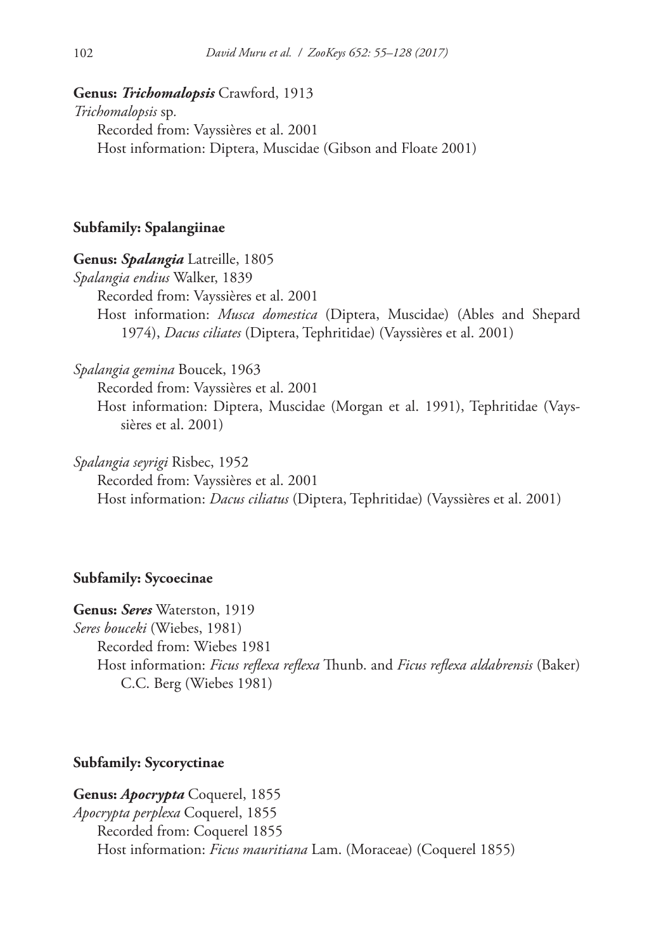# **Genus:** *Trichomalopsis* Crawford, 1913

*Trichomalopsis* sp*.* Recorded from: Vayssières et al. 2001 Host information: Diptera, Muscidae (Gibson and Floate 2001)

### **Subfamily: Spalangiinae**

### **Genus:** *Spalangia* Latreille, 1805

*Spalangia endius* Walker, 1839 Recorded from: Vayssières et al. 2001 Host information: *Musca domestica* (Diptera, Muscidae) (Ables and Shepard 1974), *Dacus ciliates* (Diptera, Tephritidae) (Vayssières et al. 2001)

*Spalangia gemina* Boucek, 1963

Recorded from: Vayssières et al. 2001

Host information: Diptera, Muscidae (Morgan et al. 1991), Tephritidae (Vayssières et al. 2001)

*Spalangia seyrigi* Risbec, 1952

Recorded from: Vayssières et al. 2001 Host information: *Dacus ciliatus* (Diptera, Tephritidae) (Vayssières et al. 2001)

# **Subfamily: Sycoecinae**

**Genus:** *Seres* Waterston, 1919 *Seres bouceki* (Wiebes, 1981) Recorded from: Wiebes 1981 Host information: *Ficus reflexa reflexa* Thunb. and *Ficus reflexa aldabrensis* (Baker) C.C. Berg (Wiebes 1981)

# **Subfamily: Sycoryctinae**

**Genus:** *Apocrypta* Coquerel, 1855 *Apocrypta perplexa* Coquerel, 1855 Recorded from: Coquerel 1855 Host information: *Ficus mauritiana* Lam. (Moraceae) (Coquerel 1855)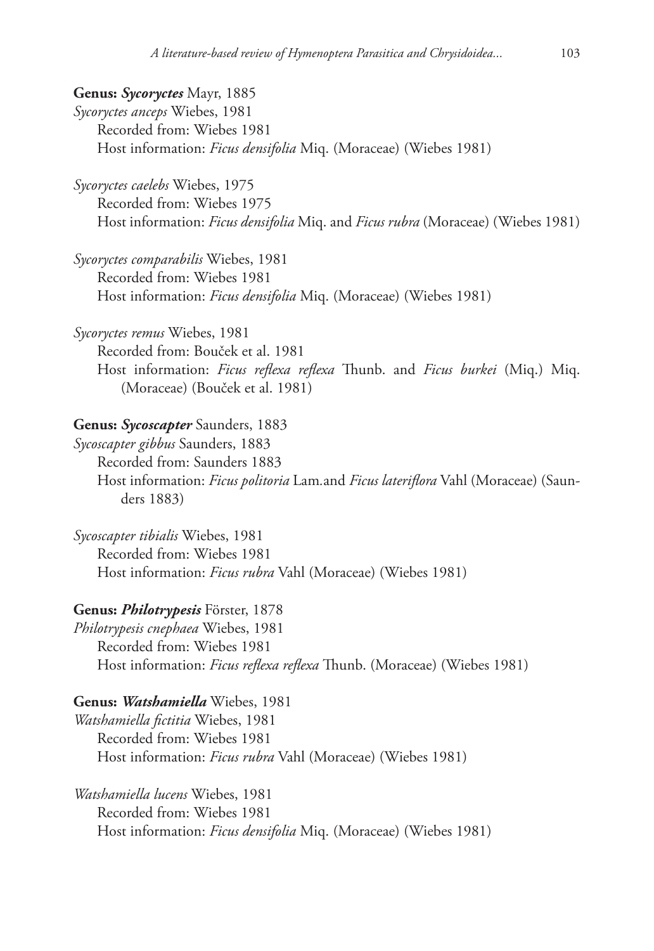**Genus:** *Sycoryctes* Mayr, 1885 *Sycoryctes anceps* Wiebes, 1981 Recorded from: Wiebes 1981 Host information: *Ficus densifolia* Miq. (Moraceae) (Wiebes 1981)

*Sycoryctes caelebs* Wiebes, 1975 Recorded from: Wiebes 1975 Host information: *Ficus densifolia* Miq. and *Ficus rubra* (Moraceae) (Wiebes 1981)

*Sycoryctes comparabilis* Wiebes, 1981 Recorded from: Wiebes 1981 Host information: *Ficus densifolia* Miq. (Moraceae) (Wiebes 1981)

*Sycoryctes remus* Wiebes, 1981 Recorded from: Bouček et al. 1981 Host information: *Ficus reflexa reflexa* Thunb. and *Ficus burkei* (Miq.) Miq. (Moraceae) (Bouček et al. 1981)

### **Genus:** *Sycoscapter* Saunders, 1883

*Sycoscapter gibbus* Saunders, 1883 Recorded from: Saunders 1883 Host information: *Ficus politoria* Lam*.*and *Ficus lateriflora* Vahl (Moraceae) (Saunders 1883)

*Sycoscapter tibialis* Wiebes, 1981 Recorded from: Wiebes 1981 Host information: *Ficus rubra* Vahl (Moraceae) (Wiebes 1981)

### **Genus:** *Philotrypesis* Förster, 1878

*Philotrypesis cnephaea* Wiebes, 1981 Recorded from: Wiebes 1981 Host information: *Ficus reflexa reflexa* Thunb. (Moraceae) (Wiebes 1981)

### **Genus:** *Watshamiella* Wiebes, 1981

*Watshamiella fictitia* Wiebes, 1981 Recorded from: Wiebes 1981 Host information: *Ficus rubra* Vahl (Moraceae) (Wiebes 1981)

*Watshamiella lucens* Wiebes, 1981 Recorded from: Wiebes 1981 Host information: *Ficus densifolia* Miq. (Moraceae) (Wiebes 1981)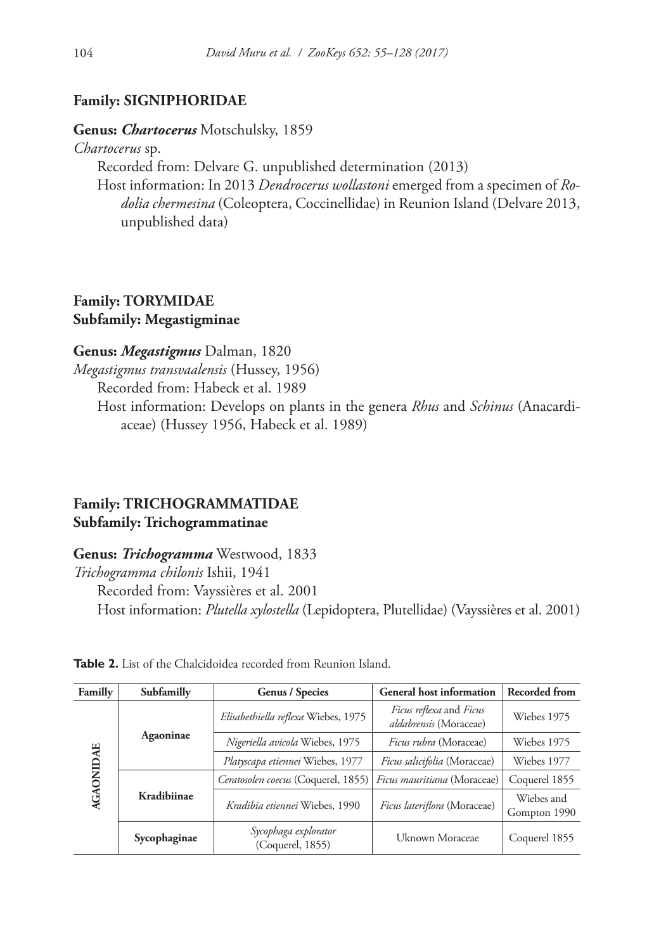# **Family: SIGNIPHORIDAE**

### **Genus:** *Chartocerus* Motschulsky, 1859

*Chartocerus* sp.

Recorded from: Delvare G. unpublished determination (2013)

Host information: In 2013 *Dendrocerus wollastoni* emerged from a specimen of *Rodolia chermesina* (Coleoptera, Coccinellidae) in Reunion Island (Delvare 2013, unpublished data)

# **Family: TORYMIDAE Subfamily: Megastigminae**

# **Genus:** *Megastigmus* Dalman, 1820

*Megastigmus transvaalensis* (Hussey, 1956)

Recorded from: Habeck et al. 1989

Host information: Develops on plants in the genera *Rhus* and *Schinus* (Anacardiaceae) (Hussey 1956, Habeck et al. 1989)

# **Family: TRICHOGRAMMATIDAE Subfamily: Trichogrammatinae**

# **Genus:** *Trichogramma* Westwood, 1833

*Trichogramma chilonis* Ishii, 1941

Recorded from: Vayssières et al. 2001 Host information: *Plutella xylostella* (Lepidoptera, Plutellidae) (Vayssières et al. 2001)

| Familly          | Subfamilly   | <b>Genus / Species</b>                   | <b>General host information</b>                                 | <b>Recorded from</b>       |  |  |  |
|------------------|--------------|------------------------------------------|-----------------------------------------------------------------|----------------------------|--|--|--|
| <b>AGAONIDAE</b> |              | Elisabethiella reflexa Wiebes, 1975      | <i>Ficus reflexa</i> and <i>Ficus</i><br>aldabrensis (Moraceae) | Wiebes 1975                |  |  |  |
|                  | Agaoninae    | Nigeriella avicola Wiebes, 1975          | Ficus rubra (Moraceae)                                          | Wiebes 1975                |  |  |  |
|                  |              | Platyscapa etiennei Wiebes, 1977         | Ficus salicifolia (Moraceae)                                    | Wiebes 1977                |  |  |  |
|                  |              | Ceratosolen coecus (Coquerel, 1855)      | Ficus mauritiana (Moraceae)                                     | Coquerel 1855              |  |  |  |
|                  | Kradibiinae  | Kradibia etiennei Wiebes, 1990           | <i>Ficus lateriflora</i> (Moraceae)                             | Wiebes and<br>Gompton 1990 |  |  |  |
|                  | Sycophaginae | Sycophaga explorator<br>(Coquerel, 1855) | Uknown Moraceae                                                 | Coquerel 1855              |  |  |  |

**Table 2.** List of the Chalcidoidea recorded from Reunion Island.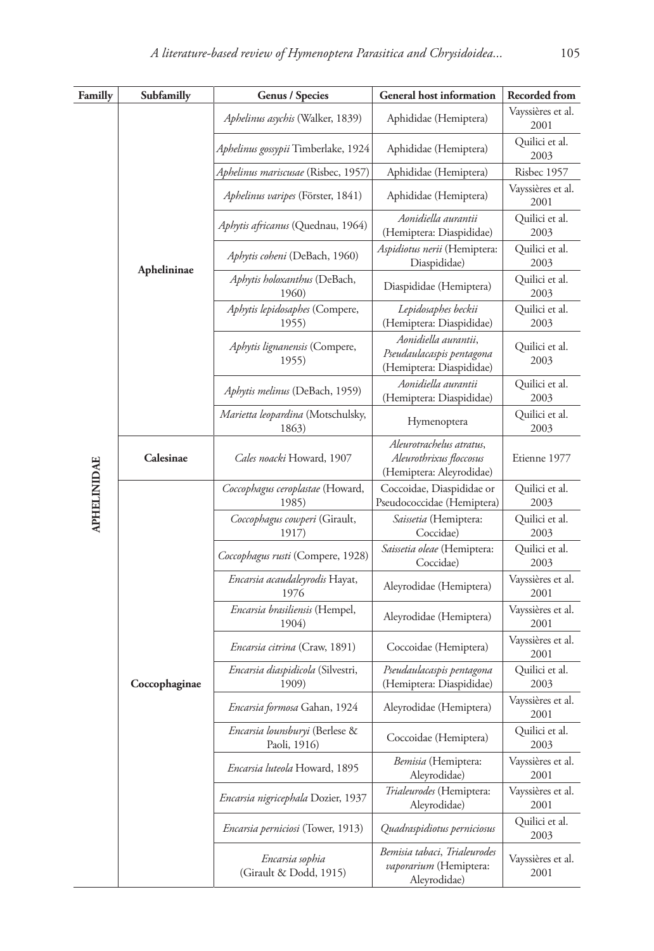| Familly            | Subfamilly    | <b>Genus / Species</b><br><b>General host information</b> |                                                                                 | Recorded from             |
|--------------------|---------------|-----------------------------------------------------------|---------------------------------------------------------------------------------|---------------------------|
|                    |               | Aphelinus asychis (Walker, 1839)                          | Aphididae (Hemiptera)                                                           | Vayssières et al.<br>2001 |
|                    |               | Aphelinus gossypii Timberlake, 1924                       | Aphididae (Hemiptera)                                                           | Quilici et al.<br>2003    |
|                    |               | Aphelinus mariscusae (Risbec, 1957)                       | Aphididae (Hemiptera)                                                           | Risbec 1957               |
|                    |               | Aphelinus varipes (Förster, 1841)                         | Aphididae (Hemiptera)                                                           | Vayssières et al.<br>2001 |
|                    |               | Aphytis africanus (Quednau, 1964)                         | Aonidiella aurantii<br>(Hemiptera: Diaspididae)                                 | Quilici et al.<br>2003    |
|                    | Aphelininae   | Aphytis coheni (DeBach, 1960)                             | Aspidiotus nerii (Hemiptera:<br>Diaspididae)                                    | Quilici et al.<br>2003    |
|                    |               | Aphytis holoxanthus (DeBach,<br>1960)                     | Diaspididae (Hemiptera)                                                         | Quilici et al.<br>2003    |
|                    |               | Aphytis lepidosaphes (Compere,<br>1955)                   | Lepidosaphes beckii<br>(Hemiptera: Diaspididae)                                 | Quilici et al.<br>2003    |
|                    |               | Aphytis lignanensis (Compere,<br>1955)                    | Aonidiella aurantii,<br>Pseudaulacaspis pentagona<br>(Hemiptera: Diaspididae)   | Quilici et al.<br>2003    |
|                    |               | Aphytis melinus (DeBach, 1959)                            | Aonidiella aurantii<br>(Hemiptera: Diaspididae)                                 | Quilici et al.<br>2003    |
|                    |               | Marietta leopardina (Motschulsky,<br>1863)                | Hymenoptera                                                                     | Quilici et al.<br>2003    |
|                    | Calesinae     | Cales noacki Howard, 1907                                 | Aleurotrachelus atratus,<br>Aleurothrixus floccosus<br>(Hemiptera: Aleyrodidae) | Etienne 1977              |
| <b>APHELINIDAE</b> |               | Coccophagus ceroplastae (Howard,<br>1985)                 | Coccoidae, Diaspididae or<br>Pseudococcidae (Hemiptera)                         | Quilici et al.<br>2003    |
|                    |               | Coccophagus cowperi (Girault,<br>1917)                    | Saissetia (Hemiptera:<br>Coccidae)                                              | Quilici et al.<br>2003    |
|                    |               | Coccophagus rusti (Compere, 1928)                         | Saissetia oleae (Hemiptera:<br>Coccidae)                                        | Quilici et al.<br>2003    |
|                    |               | Encarsia acaudaleyrodis Hayat,<br>1976                    | Aleyrodidae (Hemiptera)                                                         | Vayssières et al.<br>2001 |
|                    |               | Encarsia brasiliensis (Hempel,<br>1904)                   | Aleyrodidae (Hemiptera)                                                         | Vayssières et al.<br>2001 |
|                    |               | <i>Encarsia citrina</i> (Craw, 1891)                      | Coccoidae (Hemiptera)                                                           | Vayssières et al.<br>2001 |
|                    | Coccophaginae | Encarsia diaspidicola (Silvestri,<br>1909)                | Pseudaulacaspis pentagona<br>(Hemiptera: Diaspididae)                           | Quilici et al.<br>2003    |
|                    |               | Encarsia formosa Gahan, 1924                              | Aleyrodidae (Hemiptera)                                                         | Vayssières et al.<br>2001 |
|                    |               | Encarsia lounsburyi (Berlese &<br>Paoli, 1916)            | Coccoidae (Hemiptera)                                                           | Quilici et al.<br>2003    |
|                    |               | Encarsia luteola Howard, 1895                             | Bemisia (Hemiptera:<br>Aleyrodidae)                                             | Vayssières et al.<br>2001 |
|                    |               | Encarsia nigricephala Dozier, 1937                        | Trialeurodes (Hemiptera:<br>Aleyrodidae)                                        | Vayssières et al.<br>2001 |
|                    |               | <i>Encarsia perniciosi</i> (Tower, 1913)                  | Quadraspidiotus perniciosus                                                     | Quilici et al.<br>2003    |
|                    |               | Encarsia sophia<br>(Girault & Dodd, 1915)                 | Bemisia tabaci, Trialeurodes<br>vaporarium (Hemiptera:<br>Aleyrodidae)          | Vayssières et al.<br>2001 |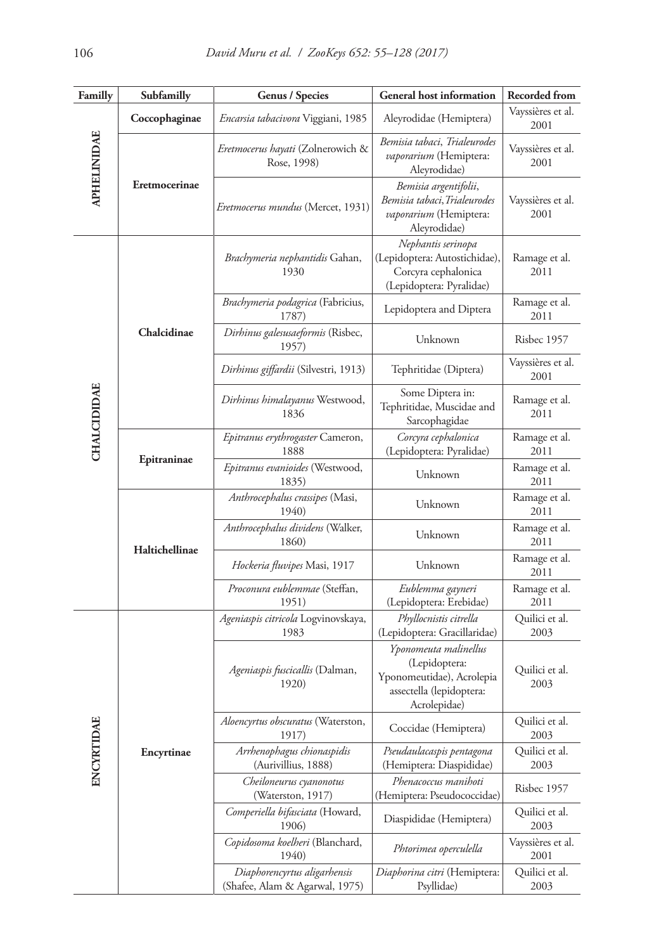| Familly            | <b>General host information</b><br>Subfamilly<br><b>Genus / Species</b> |                                                                | Recorded from                                                                                                   |                           |  |
|--------------------|-------------------------------------------------------------------------|----------------------------------------------------------------|-----------------------------------------------------------------------------------------------------------------|---------------------------|--|
|                    | Coccophaginae                                                           | Encarsia tabacivora Viggiani, 1985                             | Aleyrodidae (Hemiptera)                                                                                         | Vayssières et al.<br>2001 |  |
| <b>APHELINIDAE</b> |                                                                         | Eretmocerus hayati (Zolnerowich &<br>Rose, 1998)               | Bemisia tabaci, Trialeurodes<br>vaporarium (Hemiptera:<br>Aleyrodidae)                                          | Vayssières et al.<br>2001 |  |
|                    | Eretmocerinae                                                           | <i>Eretmocerus mundus</i> (Mercet, 1931)                       | Bemisia argentifolii,<br>Bemisia tabaci,Trialeurodes<br>vaporarium (Hemiptera:<br>Aleyrodidae)                  | Vayssières et al.<br>2001 |  |
|                    |                                                                         | Brachymeria nephantidis Gahan,<br>1930                         | Nephantis serinopa<br>(Lepidoptera: Autostichidae),<br>Corcyra cephalonica<br>(Lepidoptera: Pyralidae)          | Ramage et al.<br>2011     |  |
|                    |                                                                         | Brachymeria podagrica (Fabricius,<br>1787)                     | Lepidoptera and Diptera                                                                                         | Ramage et al.<br>2011     |  |
|                    | Chalcidinae                                                             | Dirhinus galesusaeformis (Risbec,<br>1957)                     | Unknown                                                                                                         | Risbec 1957               |  |
|                    |                                                                         | Dirhinus giffardii (Silvestri, 1913)                           | Tephritidae (Diptera)                                                                                           | Vayssières et al.<br>2001 |  |
| <b>CHALCIDIDAE</b> |                                                                         | Dirhinus himalayanus Westwood,<br>1836                         | Some Diptera in:<br>Tephritidae, Muscidae and<br>Sarcophagidae                                                  | Ramage et al.<br>2011     |  |
|                    |                                                                         | Epitranus erythrogaster Cameron,<br>1888                       | Corcyra cephalonica<br>(Lepidoptera: Pyralidae)                                                                 | Ramage et al.<br>2011     |  |
|                    | Epitraninae                                                             | Epitranus evanioides (Westwood,<br>1835)                       | Unknown                                                                                                         | Ramage et al.<br>2011     |  |
|                    |                                                                         | Anthrocephalus crassipes (Masi,<br>1940)                       | Unknown                                                                                                         | Ramage et al.<br>2011     |  |
|                    | Haltichellinae                                                          | Anthrocephalus dividens (Walker,<br>1860)                      | Unknown                                                                                                         | Ramage et al.<br>2011     |  |
|                    |                                                                         | Hockeria fluvipes Masi, 1917                                   | Unknown                                                                                                         | Ramage et al.<br>2011     |  |
|                    |                                                                         | Proconura eublemmae (Steffan,<br>1951)                         | Eublemma gayneri<br>(Lepidoptera: Erebidae)                                                                     | Ramage et al.<br>2011     |  |
|                    |                                                                         | Ageniaspis citricola Logvinovskaya,<br>1983                    | Phyllocnistis citrella<br>(Lepidoptera: Gracillaridae)                                                          | Quilici et al.<br>2003    |  |
|                    |                                                                         | Ageniaspis fuscicallis (Dalman,<br>1920)                       | Yponomeuta malinellus<br>(Lepidoptera:<br>Yponomeutidae), Acrolepia<br>assectella (lepidoptera:<br>Acrolepidae) | Quilici et al.<br>2003    |  |
| ENCYRTIDAE         |                                                                         | Aloencyrtus obscuratus (Waterston,<br>1917)                    | Coccidae (Hemiptera)                                                                                            | Quilici et al.<br>2003    |  |
|                    | Encyrtinae                                                              | Arrhenophagus chionaspidis<br>(Aurivillius, 1888)              | Pseudaulacaspis pentagona<br>(Hemiptera: Diaspididae)                                                           | Quilici et al.<br>2003    |  |
|                    |                                                                         | Cheiloneurus cyanonotus<br>(Waterston, 1917)                   | Phenacoccus manihoti<br>(Hemiptera: Pseudococcidae)                                                             | Risbec 1957               |  |
|                    |                                                                         | Comperiella bifasciata (Howard,<br>1906)                       | Diaspididae (Hemiptera)                                                                                         | Quilici et al.<br>2003    |  |
|                    |                                                                         | Copidosoma koelheri (Blanchard,<br>1940)                       | Phtorimea operculella                                                                                           | Vayssières et al.<br>2001 |  |
|                    |                                                                         | Diaphorencyrtus aligarhensis<br>(Shafee, Alam & Agarwal, 1975) | Diaphorina citri (Hemiptera:<br>Psyllidae)                                                                      | Quilici et al.<br>2003    |  |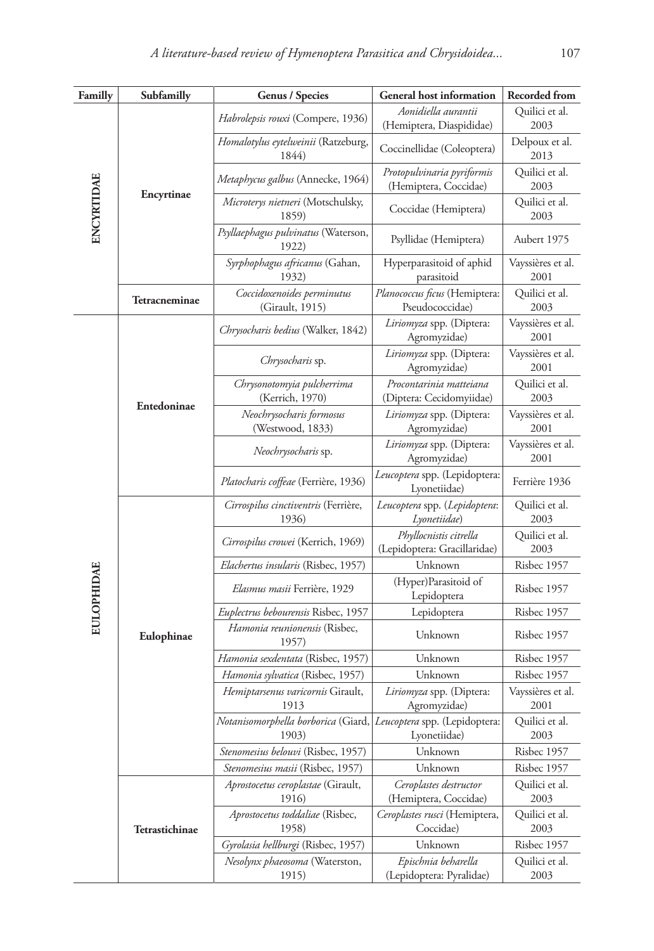| Familly           | Subfamilly     | <b>Genus / Species</b>                                                     | <b>General host information</b>                        | Recorded from             |  |
|-------------------|----------------|----------------------------------------------------------------------------|--------------------------------------------------------|---------------------------|--|
|                   |                | Habrolepsis rouxi (Compere, 1936)                                          | Aonidiella aurantii<br>(Hemiptera, Diaspididae)        | Quilici et al.<br>2003    |  |
|                   | Encyrtinae     | Homalotylus eytelweinii (Ratzeburg,<br>1844)                               | Coccinellidae (Coleoptera)                             | Delpoux et al.<br>2013    |  |
| ENCYRTIDAE        |                | Metaphycus galbus (Annecke, 1964)                                          | Protopulvinaria pyriformis<br>(Hemiptera, Coccidae)    | Quilici et al.<br>2003    |  |
|                   |                | Microterys nietneri (Motschulsky,<br>1859)                                 | Coccidae (Hemiptera)                                   | Quilici et al.<br>2003    |  |
|                   |                | Psyllaephagus pulvinatus (Waterson,<br>1922)                               | Psyllidae (Hemiptera)                                  | Aubert 1975               |  |
|                   |                | Syrphophagus africanus (Gahan,<br>1932)                                    | Hyperparasitoid of aphid<br>parasitoid                 | Vayssières et al.<br>2001 |  |
|                   | Tetracneminae  | Coccidoxenoides perminutus<br>(Girault, 1915)                              | Planococcus ficus (Hemiptera:<br>Pseudococcidae)       | Quilici et al.<br>2003    |  |
|                   |                | Chrysocharis bedius (Walker, 1842)                                         | Liriomyza spp. (Diptera:<br>Agromyzidae)               | Vayssières et al.<br>2001 |  |
|                   |                | Chrysocharis sp.                                                           | Liriomyza spp. (Diptera:<br>Agromyzidae)               | Vayssières et al.<br>2001 |  |
|                   | Entedoninae    | Chrysonotomyia pulcherrima<br>(Kerrich, 1970)                              | Procontarinia matteiana<br>(Diptera: Cecidomyiidae)    | Quilici et al.<br>2003    |  |
|                   |                | Neochrysocharis formosus<br>(Westwood, 1833)                               | Liriomyza spp. (Diptera:<br>Agromyzidae)               | Vayssières et al.<br>2001 |  |
|                   |                | Neochrysocharis sp.                                                        | Liriomyza spp. (Diptera:<br>Agromyzidae)               | Vayssières et al.<br>2001 |  |
|                   |                | Platocharis coffeae (Ferrière, 1936)                                       | Leucoptera spp. (Lepidoptera:<br>Lyonetiidae)          | Ferrière 1936             |  |
|                   |                | Cirrospilus cinctiventris (Ferrière,<br>1936)                              | Leucoptera spp. (Lepidoptera:<br>Lyonetiidae)          | Quilici et al.<br>2003    |  |
|                   |                | Cirrospilus crowei (Kerrich, 1969)                                         | Phyllocnistis citrella<br>(Lepidoptera: Gracillaridae) | Quilici et al.<br>2003    |  |
|                   |                | <i>Elachertus insularis</i> (Risbec, 1957)                                 | Unknown                                                | Risbec 1957               |  |
| <b>EULOPHIDAE</b> |                | Elasmus masii Ferrière, 1929                                               | (Hyper)Parasitoid of<br>Lepidoptera                    | Risbec 1957               |  |
|                   |                | Euplectrus bebourensis Risbec, 1957                                        | Lepidoptera                                            | Risbec 1957               |  |
|                   | Eulophinae     | Hamonia reunionensis (Risbec,<br>1957)                                     | Unknown<br>Risbec 1957                                 |                           |  |
|                   |                | Hamonia sexdentata (Risbec, 1957)                                          | Unknown                                                | Risbec 1957               |  |
|                   |                | Hamonia sylvatica (Risbec, 1957)                                           | Unknown                                                | Risbec 1957               |  |
|                   |                | Hemiptarsenus varicornis Girault,<br>1913                                  | Liriomyza spp. (Diptera:<br>Agromyzidae)               | Vayssières et al.<br>2001 |  |
|                   |                | Notanisomorphella borborica (Giard, Leucoptera spp. (Lepidoptera:<br>1903) | Lyonetiidae)                                           | Quilici et al.<br>2003    |  |
|                   |                | Stenomesius belouvi (Risbec, 1957)                                         | Unknown                                                | Risbec 1957               |  |
|                   |                | Stenomesius masii (Risbec, 1957)                                           | Unknown                                                | Risbec 1957               |  |
|                   |                | Aprostocetus ceroplastae (Girault,<br>1916)                                | Ceroplastes destructor<br>(Hemiptera, Coccidae)        | Quilici et al.<br>2003    |  |
|                   | Tetrastichinae | Aprostocetus toddaliae (Risbec,<br>1958)                                   | Ceroplastes rusci (Hemiptera,<br>Coccidae)             | Quilici et al.<br>2003    |  |
|                   |                | Gyrolasia hellburgi (Risbec, 1957)                                         | Unknown                                                | Risbec 1957               |  |
|                   |                | Nesolynx phaeosoma (Waterston,<br>1915)                                    | Epischnia beharella<br>(Lepidoptera: Pyralidae)        | Quilici et al.<br>2003    |  |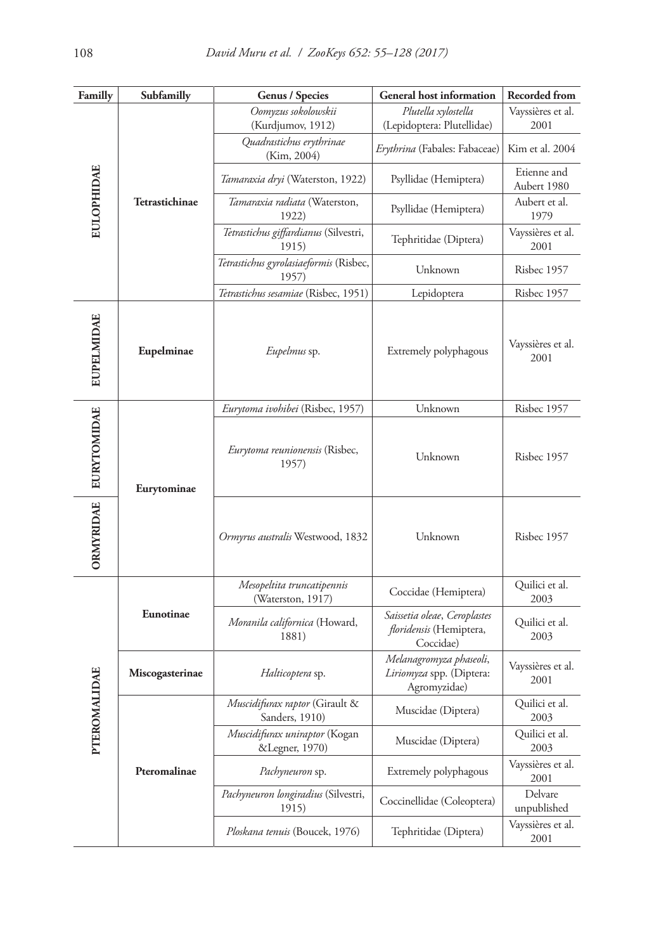| Familly               | Subfamilly      | <b>Genus / Species</b>                           | <b>General host information</b>                                             | <b>Recorded from</b>       |
|-----------------------|-----------------|--------------------------------------------------|-----------------------------------------------------------------------------|----------------------------|
|                       |                 | Oomyzus sokolowskii                              | Plutella xylostella                                                         | Vayssières et al.          |
| <b>EULOPHIDAE</b>     |                 | (Kurdjumov, 1912)                                | (Lepidoptera: Plutellidae)                                                  | 2001                       |
|                       |                 | Quadrastichus erythrinae<br>(Kim, 2004)          | <i>Erythrina</i> (Fabales: Fabaceae)                                        | Kim et al. 2004            |
|                       |                 | Tamaraxia dryi (Waterston, 1922)                 | Psyllidae (Hemiptera)                                                       | Etienne and<br>Aubert 1980 |
|                       | Tetrastichinae  | Tamaraxia radiata (Waterston,<br>1922)           | Psyllidae (Hemiptera)                                                       | Aubert et al.<br>1979      |
|                       |                 | Tetrastichus giffardianus (Silvestri,<br>1915)   | Tephritidae (Diptera)                                                       | Vayssières et al.<br>2001  |
|                       |                 | Tetrastichus gyrolasiaeformis (Risbec,<br>1957)  | Unknown                                                                     | Risbec 1957                |
|                       |                 | Tetrastichus sesamiae (Risbec, 1951)             | Lepidoptera                                                                 | Risbec 1957                |
| <b>EUPELMIDAE</b>     | Eupelminae      | <i>Eupelmus</i> sp.<br>Extremely polyphagous     |                                                                             | Vayssières et al.<br>2001  |
|                       |                 | Eurytoma ivohibei (Risbec, 1957)                 | Unknown                                                                     | Risbec 1957                |
| ORMYRIDAE EURYTOMIDAE | Eurytominae     | Eurytoma reunionensis (Risbec,<br>1957)          | Unknown                                                                     | Risbec 1957                |
|                       |                 | Ormyrus australis Westwood, 1832                 | Unknown                                                                     | Risbec 1957                |
|                       |                 | Mesopeltita truncatipennis<br>(Waterston, 1917)  | Coccidae (Hemiptera)                                                        | Quilici et al.<br>2003     |
|                       | Eunotinae       | Moranila californica (Howard,<br>1881)           | Saissetia oleae, Ceroplastes<br><i>floridensis</i> (Hemiptera,<br>Coccidae) | Quilici et al.<br>2003     |
|                       | Miscogasterinae | Halticoptera sp.                                 | Melanagromyza phaseoli,<br>Liriomyza spp. (Diptera:<br>Agromyzidae)         | Vayssières et al.<br>2001  |
|                       |                 | Muscidifurax raptor (Girault &<br>Sanders, 1910) | Muscidae (Diptera)                                                          | Quilici et al.<br>2003     |
| PTEROMALIDAE          |                 | Muscidifurax uniraptor (Kogan<br>&Legner, 1970)  | Muscidae (Diptera)                                                          | Quilici et al.<br>2003     |
|                       | Pteromalinae    | Pachyneuron sp.                                  | Extremely polyphagous                                                       | Vayssières et al.<br>2001  |
|                       |                 | Pachyneuron longiradius (Silvestri,<br>1915)     | Coccinellidae (Coleoptera)                                                  | Delvare<br>unpublished     |
|                       |                 | Ploskana tenuis (Boucek, 1976)                   | Tephritidae (Diptera)                                                       | Vayssières et al.<br>2001  |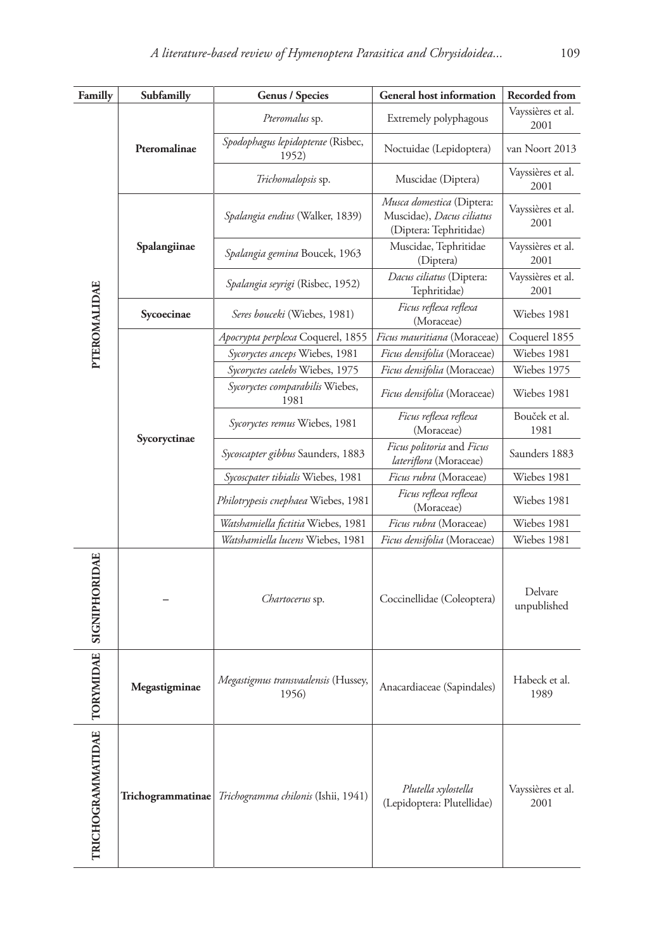| Familly                | Subfamilly<br>Genus / Species                              |                                              | <b>General host information</b>                                                  | Recorded from             |  |
|------------------------|------------------------------------------------------------|----------------------------------------------|----------------------------------------------------------------------------------|---------------------------|--|
|                        |                                                            | Pteromalus sp.                               | Extremely polyphagous                                                            | Vayssières et al.<br>2001 |  |
|                        | Spodophagus lepidopterae (Risbec,<br>Pteromalinae<br>1952) | Noctuidae (Lepidoptera)                      | van Noort 2013                                                                   |                           |  |
|                        |                                                            | Trichomalopsis sp.                           | Muscidae (Diptera)                                                               | Vayssières et al.<br>2001 |  |
|                        |                                                            | Spalangia endius (Walker, 1839)              | Musca domestica (Diptera:<br>Muscidae), Dacus ciliatus<br>(Diptera: Tephritidae) | Vayssières et al.<br>2001 |  |
|                        | Spalangiinae                                               | Spalangia gemina Boucek, 1963                | Muscidae, Tephritidae<br>(Diptera)                                               | Vayssières et al.<br>2001 |  |
|                        |                                                            | Spalangia seyrigi (Risbec, 1952)             | Dacus ciliatus (Diptera:<br>Tephritidae)                                         | Vayssières et al.<br>2001 |  |
| PTEROMALIDAE           | Sycoecinae                                                 | Seres bouceki (Wiebes, 1981)                 | Ficus reflexa reflexa<br>(Moraceae)                                              | Wiebes 1981               |  |
|                        |                                                            | Apocrypta perplexa Coquerel, 1855            | Ficus mauritiana (Moraceae)                                                      | Coquerel 1855             |  |
|                        |                                                            | Sycoryctes anceps Wiebes, 1981               | Ficus densifolia (Moraceae)                                                      | Wiebes 1981               |  |
|                        |                                                            | Sycoryctes caelebs Wiebes, 1975              | Ficus densifolia (Moraceae)                                                      | Wiebes 1975               |  |
|                        |                                                            | Sycoryctes comparabilis Wiebes,<br>1981      | <i>Ficus densifolia</i> (Moraceae)                                               | Wiebes 1981               |  |
|                        | Sycoryctinae                                               | Sycoryctes remus Wiebes, 1981                | Ficus reflexa reflexa<br>(Moraceae)                                              | Bouček et al.<br>1981     |  |
|                        |                                                            | Sycoscapter gibbus Saunders, 1883            | Ficus politoria and Ficus<br><i>lateriflora</i> (Moraceae)                       | Saunders 1883             |  |
|                        |                                                            | Sycoscpater tibialis Wiebes, 1981            | Ficus rubra (Moraceae)                                                           | Wiebes 1981               |  |
|                        |                                                            | Philotrypesis cnephaea Wiebes, 1981          | Ficus reflexa reflexa<br>(Moraceae)                                              | Wiebes 1981               |  |
|                        |                                                            | Watshamiella fictitia Wiebes, 1981           | Ficus rubra (Moraceae)                                                           | Wiebes 1981               |  |
|                        |                                                            | Watshamiella lucens Wiebes, 1981             | Ficus densifolia (Moraceae)                                                      | Wiebes 1981               |  |
| ORYMIDAE SIGNIPHORIDAE |                                                            | Chartocerus sp.                              | Coccinellidae (Coleoptera)                                                       | Delvare<br>unpublished    |  |
| Ĕ                      | Megastigminae                                              | Megastigmus transvaalensis (Hussey,<br>1956) | Anacardiaceae (Sapindales)                                                       | Habeck et al.<br>1989     |  |
| TRICHOGRAMMATIDAE      | Trichogrammatinae                                          | Trichogramma chilonis (Ishii, 1941)          | Plutella xylostella<br>(Lepidoptera: Plutellidae)                                | Vayssières et al.<br>2001 |  |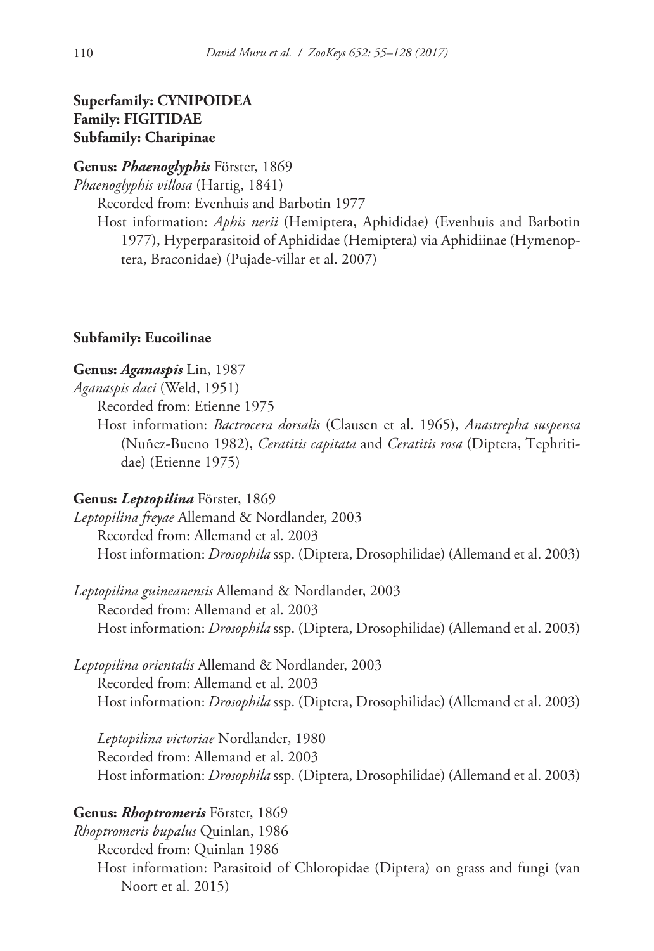# **Superfamily: CYNIPOIDEA Family: FIGITIDAE Subfamily: Charipinae**

# **Genus:** *Phaenoglyphis* Förster, 1869

*Phaenoglyphis villosa* (Hartig, 1841)

Recorded from: Evenhuis and Barbotin 1977

Host information: *Aphis nerii* (Hemiptera, Aphididae) (Evenhuis and Barbotin 1977), Hyperparasitoid of Aphididae (Hemiptera) via Aphidiinae (Hymenoptera, Braconidae) (Pujade-villar et al. 2007)

### **Subfamily: Eucoilinae**

### **Genus:** *Aganaspis* Lin, 1987

*Aganaspis daci* (Weld, 1951)

Recorded from: Etienne 1975

Host information: *Bactrocera dorsalis* (Clausen et al. 1965), *Anastrepha suspensa* (Nuñez-Bueno 1982), *Ceratitis capitata* and *Ceratitis rosa* (Diptera, Tephritidae) (Etienne 1975)

### **Genus:** *Leptopilina* Förster, 1869

*Leptopilina freyae* Allemand & Nordlander, 2003 Recorded from: Allemand et al. 2003 Host information: *Drosophila* ssp. (Diptera, Drosophilidae) (Allemand et al. 2003)

*Leptopilina guineanensis* Allemand & Nordlander, 2003 Recorded from: Allemand et al. 2003 Host information: *Drosophila* ssp. (Diptera, Drosophilidae) (Allemand et al. 2003)

*Leptopilina orientalis* Allemand & Nordlander, 2003 Recorded from: Allemand et al. 2003 Host information: *Drosophila* ssp. (Diptera, Drosophilidae) (Allemand et al. 2003)

*Leptopilina victoriae* Nordlander, 1980 Recorded from: Allemand et al. 2003 Host information: *Drosophila* ssp. (Diptera, Drosophilidae) (Allemand et al. 2003)

### **Genus:** *Rhoptromeris* Förster, 1869

*Rhoptromeris bupalus* Quinlan, 1986 Recorded from: Quinlan 1986 Host information: Parasitoid of Chloropidae (Diptera) on grass and fungi (van Noort et al. 2015)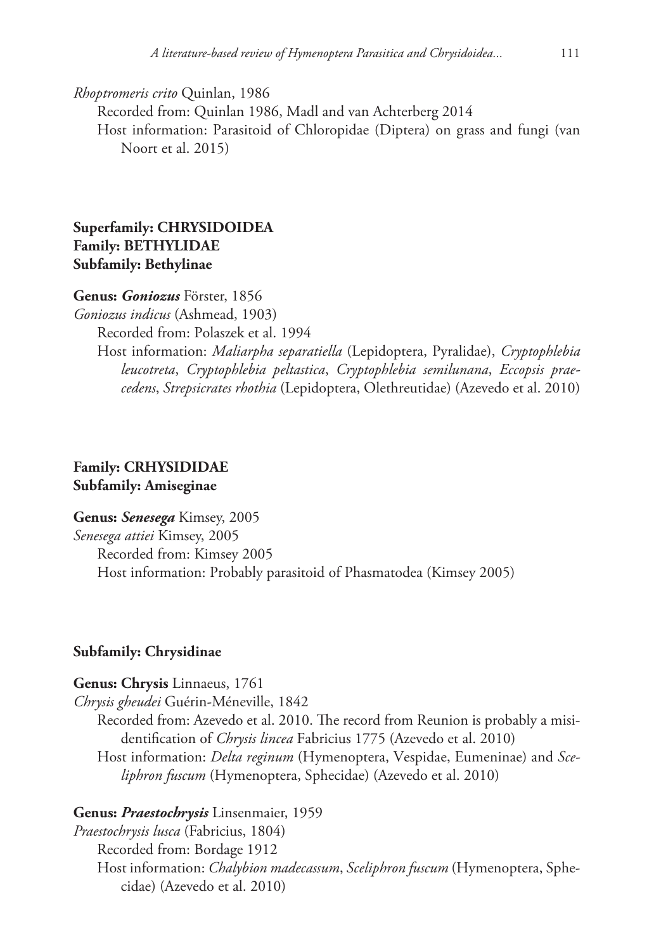*Rhoptromeris crito* Quinlan, 1986

Recorded from: Quinlan 1986, Madl and van Achterberg 2014

Host information: Parasitoid of Chloropidae (Diptera) on grass and fungi (van Noort et al. 2015)

# **Superfamily: CHRYSIDOIDEA Family: BETHYLIDAE Subfamily: Bethylinae**

### **Genus:** *Goniozus* Förster, 1856

*Goniozus indicus* (Ashmead, 1903)

Recorded from: Polaszek et al. 1994

Host information: *Maliarpha separatiella* (Lepidoptera, Pyralidae), *Cryptophlebia leucotreta*, *Cryptophlebia peltastica*, *Cryptophlebia semilunana*, *Eccopsis praecedens*, *Strepsicrates rhothia* (Lepidoptera, Olethreutidae) (Azevedo et al. 2010)

# **Family: CRHYSIDIDAE Subfamily: Amiseginae**

**Genus:** *Senesega* Kimsey, 2005 *Senesega attiei* Kimsey, 2005 Recorded from: Kimsey 2005 Host information: Probably parasitoid of Phasmatodea (Kimsey 2005)

### **Subfamily: Chrysidinae**

#### **Genus: Chrysis** Linnaeus, 1761

*Chrysis gheudei* Guérin-Méneville, 1842

Recorded from: Azevedo et al. 2010. The record from Reunion is probably a misidentification of *Chrysis lincea* Fabricius 1775 (Azevedo et al. 2010)

Host information: *Delta reginum* (Hymenoptera, Vespidae, Eumeninae) and *Sceliphron fuscum* (Hymenoptera, Sphecidae) (Azevedo et al. 2010)

### **Genus:** *Praestochrysis* Linsenmaier, 1959

*Praestochrysis lusca* (Fabricius, 1804) Recorded from: Bordage 1912 Host information: *Chalybion madecassum*, *Sceliphron fuscum* (Hymenoptera, Sphecidae) (Azevedo et al. 2010)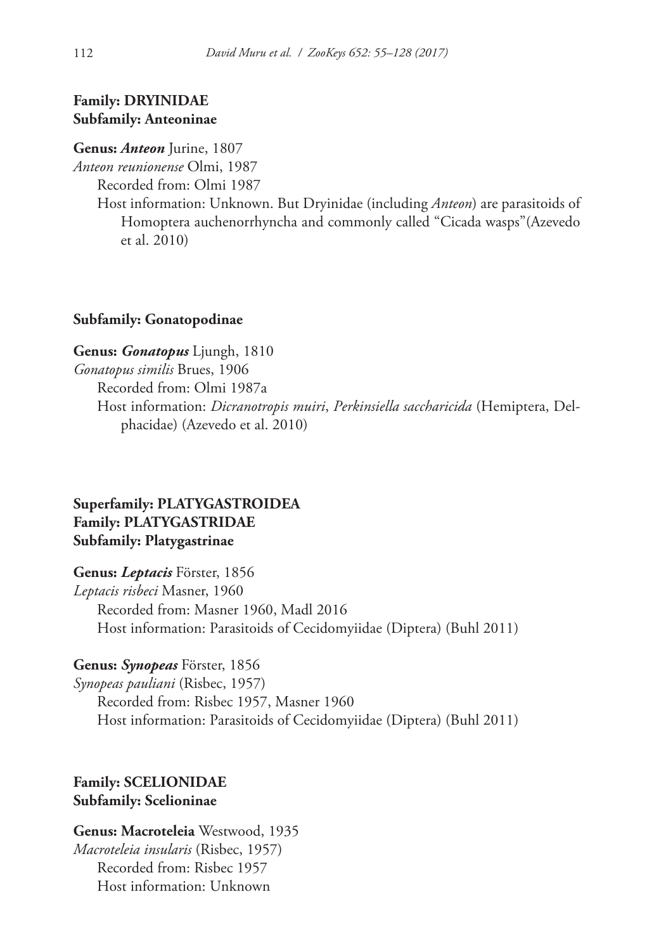# **Family: DRYINIDAE Subfamily: Anteoninae**

#### **Genus:** *Anteon* Jurine, 1807

*Anteon reunionense* Olmi, 1987

Recorded from: Olmi 1987

Host information: Unknown. But Dryinidae (including *Anteon*) are parasitoids of Homoptera auchenorrhyncha and commonly called "Cicada wasps"(Azevedo et al. 2010)

#### **Subfamily: Gonatopodinae**

**Genus:** *Gonatopus* Ljungh, 1810 *Gonatopus similis* Brues, 1906 Recorded from: Olmi 1987a Host information: *Dicranotropis muiri*, *Perkinsiella saccharicida* (Hemiptera, Delphacidae) (Azevedo et al. 2010)

# **Superfamily: PLATYGASTROIDEA Family: PLATYGASTRIDAE Subfamily: Platygastrinae**

**Genus:** *Leptacis* Förster, 1856

*Leptacis risbeci* Masner, 1960 Recorded from: Masner 1960, Madl 2016 Host information: Parasitoids of Cecidomyiidae (Diptera) (Buhl 2011)

#### **Genus:** *Synopeas* Förster, 1856

*Synopeas pauliani* (Risbec, 1957) Recorded from: Risbec 1957, Masner 1960 Host information: Parasitoids of Cecidomyiidae (Diptera) (Buhl 2011)

# **Family: SCELIONIDAE Subfamily: Scelioninae**

**Genus: Macroteleia** Westwood, 1935 *Macroteleia insularis* (Risbec, 1957) Recorded from: Risbec 1957 Host information: Unknown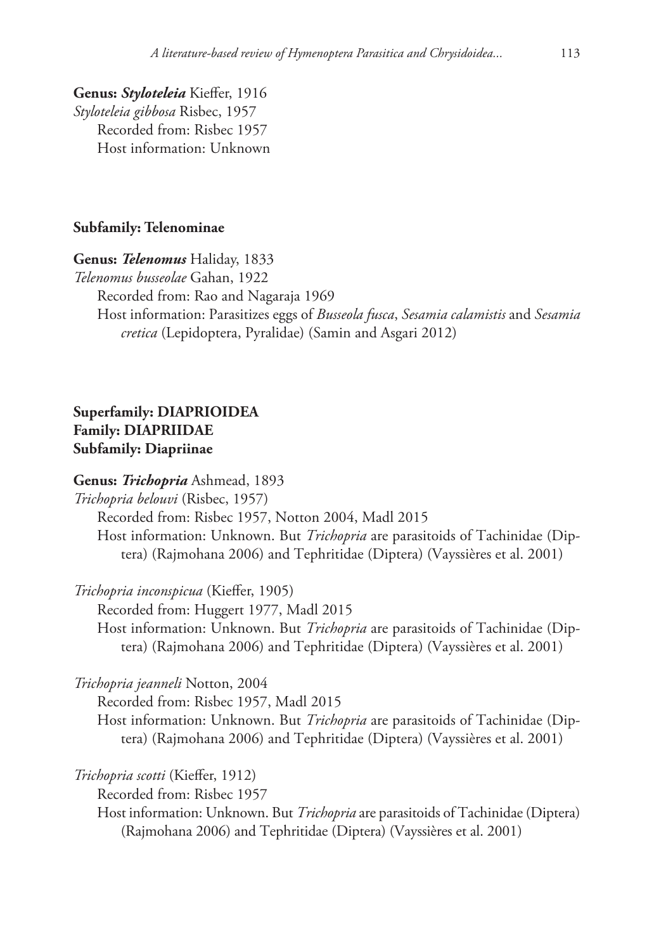**Genus:** *Styloteleia* Kieffer, 1916 *Styloteleia gibbosa* Risbec, 1957 Recorded from: Risbec 1957 Host information: Unknown

#### **Subfamily: Telenominae**

**Genus:** *Telenomus* Haliday, 1833

*Telenomus busseolae* Gahan, 1922

Recorded from: Rao and Nagaraja 1969

Host information: Parasitizes eggs of *Busseola fusca*, *Sesamia calamistis* and *Sesamia cretica* (Lepidoptera, Pyralidae) (Samin and Asgari 2012)

# **Superfamily: DIAPRIOIDEA Family: DIAPRIIDAE Subfamily: Diapriinae**

**Genus:** *Trichopria* Ashmead, 1893

*Trichopria belouvi* (Risbec, 1957)

Recorded from: Risbec 1957, Notton 2004, Madl 2015

Host information: Unknown. But *Trichopria* are parasitoids of Tachinidae (Diptera) (Rajmohana 2006) and Tephritidae (Diptera) (Vayssières et al. 2001)

*Trichopria inconspicua* (Kieffer, 1905)

Recorded from: Huggert 1977, Madl 2015 Host information: Unknown. But *Trichopria* are parasitoids of Tachinidae (Diptera) (Rajmohana 2006) and Tephritidae (Diptera) (Vayssières et al. 2001)

*Trichopria jeanneli* Notton, 2004

Recorded from: Risbec 1957, Madl 2015

Host information: Unknown. But *Trichopria* are parasitoids of Tachinidae (Diptera) (Rajmohana 2006) and Tephritidae (Diptera) (Vayssières et al. 2001)

*Trichopria scotti* (Kieffer, 1912)

Recorded from: Risbec 1957

Host information: Unknown. But *Trichopria* are parasitoids of Tachinidae (Diptera) (Rajmohana 2006) and Tephritidae (Diptera) (Vayssières et al. 2001)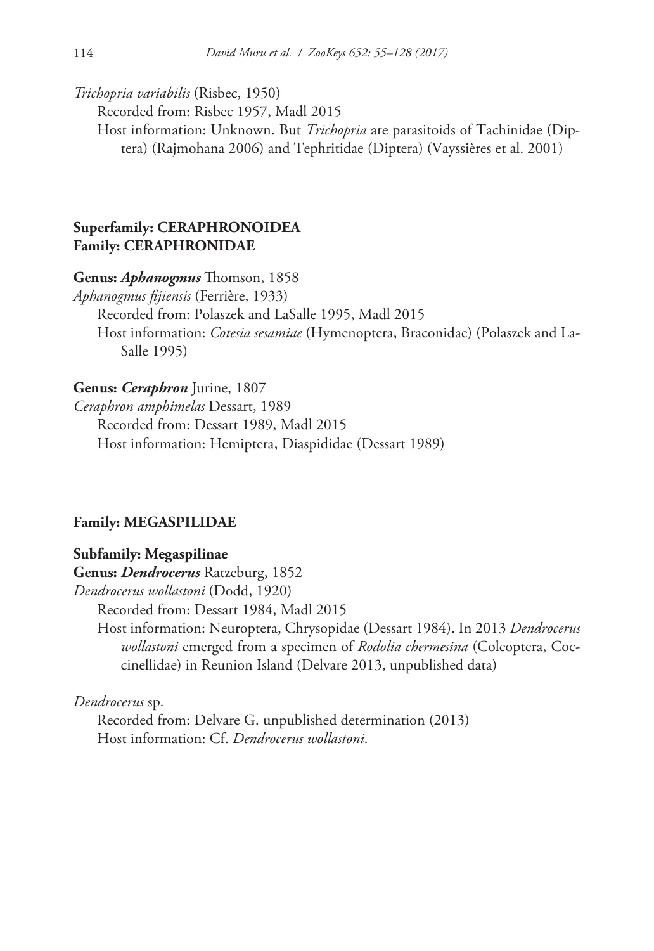*Trichopria variabilis* (Risbec, 1950)

Recorded from: Risbec 1957, Madl 2015

Host information: Unknown. But *Trichopria* are parasitoids of Tachinidae (Diptera) (Rajmohana 2006) and Tephritidae (Diptera) (Vayssières et al. 2001)

# **Superfamily: CERAPHRONOIDEA Family: CERAPHRONIDAE**

**Genus:** *Aphanogmus* Thomson, 1858

*Aphanogmus fijiensis* (Ferrière, 1933)

Recorded from: Polaszek and LaSalle 1995, Madl 2015

Host information: *Cotesia sesamiae* (Hymenoptera, Braconidae) (Polaszek and La-Salle 1995)

# **Genus:** *Ceraphron* Jurine, 1807

*Ceraphron amphimelas* Dessart, 1989 Recorded from: Dessart 1989, Madl 2015 Host information: Hemiptera, Diaspididae (Dessart 1989)

### **Family: MEGASPILIDAE**

### **Subfamily: Megaspilinae**

**Genus:** *Dendrocerus* Ratzeburg, 1852

*Dendrocerus wollastoni* (Dodd, 1920)

Recorded from: Dessart 1984, Madl 2015

Host information: Neuroptera, Chrysopidae (Dessart 1984). In 2013 *Dendrocerus wollastoni* emerged from a specimen of *Rodolia chermesina* (Coleoptera, Coccinellidae) in Reunion Island (Delvare 2013, unpublished data)

### *Dendrocerus* sp.

Recorded from: Delvare G. unpublished determination (2013) Host information: Cf. *Dendrocerus wollastoni*.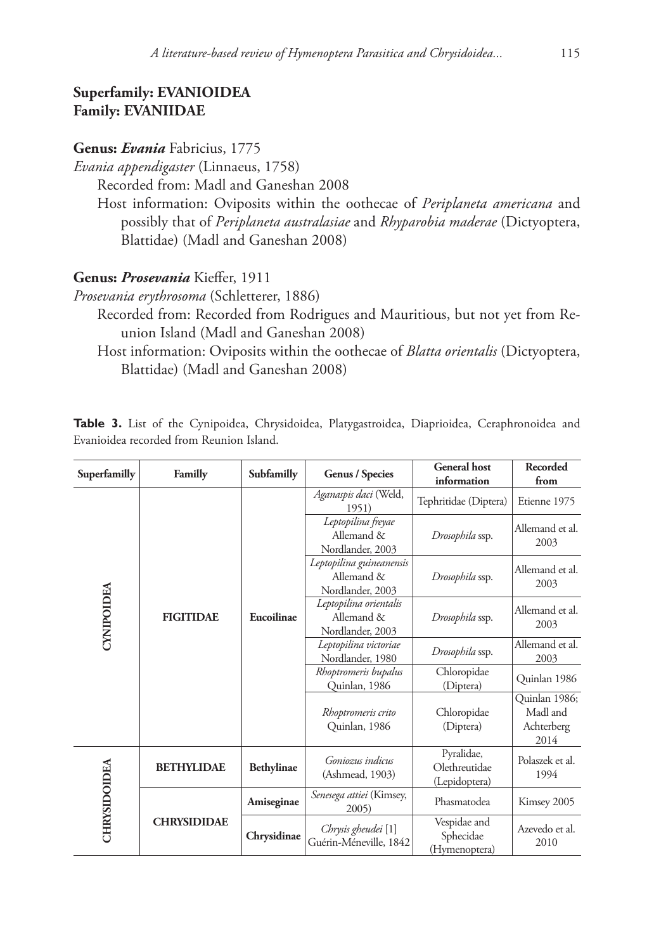# **Superfamily: EVANIOIDEA Family: EVANIIDAE**

# **Genus:** *Evania* Fabricius, 1775

*Evania appendigaster* (Linnaeus, 1758)

Recorded from: Madl and Ganeshan 2008

Host information: Oviposits within the oothecae of *Periplaneta americana* and possibly that of *Periplaneta australasiae* and *Rhyparobia maderae* (Dictyoptera, Blattidae) (Madl and Ganeshan 2008)

# **Genus:** *Prosevania* Kieffer, 1911

*Prosevania erythrosoma* (Schletterer, 1886)

- Recorded from: Recorded from Rodrigues and Mauritious, but not yet from Reunion Island (Madl and Ganeshan 2008)
	- Host information: Oviposits within the oothecae of *Blatta orientalis* (Dictyoptera, Blattidae) (Madl and Ganeshan 2008)

|  |  |                                          |  | Table 3. List of the Cynipoidea, Chrysidoidea, Platygastroidea, Diaprioidea, Ceraphronoidea and |  |
|--|--|------------------------------------------|--|-------------------------------------------------------------------------------------------------|--|
|  |  | Evanioidea recorded from Reunion Island. |  |                                                                                                 |  |

| Superfamilly | Familly            | Subfamilly        | <b>Genus / Species</b>                                     | <b>General</b> host<br>information           | <b>Recorded</b><br>from  |
|--------------|--------------------|-------------------|------------------------------------------------------------|----------------------------------------------|--------------------------|
|              | <b>FIGITIDAE</b>   |                   | Aganaspis daci (Weld,<br>1951)                             | Tephritidae (Diptera)                        | Etienne 1975             |
|              |                    |                   | Leptopilina freyae<br>Allemand &<br>Nordlander, 2003       | Drosophila ssp.                              | Allemand et al.<br>2003  |
|              |                    | Eucoilinae        | Leptopilina guineanensis<br>Allemand &<br>Nordlander, 2003 | Drosophila ssp.                              | Allemand et al.<br>2003  |
| CYNIPOIDEA   |                    |                   | Leptopilina orientalis<br>Allemand &<br>Nordlander, 2003   | Drosophila ssp.                              | Allemand et al.<br>2003  |
|              |                    |                   | Leptopilina victoriae<br>Nordlander, 1980                  | Drosophila ssp.                              | Allemand et al.<br>2003  |
|              |                    |                   | Rhoptromeris bupalus<br>Quinlan, 1986                      | Chloropidae<br>(Diptera)                     | Quinlan 1986             |
|              |                    |                   |                                                            | Rhoptromeris crito<br>Quinlan, 1986          | Chloropidae<br>(Diptera) |
| CHRYSIDOIDEA | <b>BETHYLIDAE</b>  | <b>Bethylinae</b> | Goniozus indicus<br>(Ashmead, 1903)                        | Pyralidae,<br>Olethreutidae<br>(Lepidoptera) | Polaszek et al.<br>1994  |
|              |                    | Amiseginae        | Senesega attiei (Kimsey,<br>2005)                          | Phasmatodea                                  | Kimsey 2005              |
|              | <b>CHRYSIDIDAE</b> | Chrysidinae       | Chrysis gheudei [1]<br>Guérin-Méneville, 1842              | Vespidae and<br>Sphecidae<br>(Hymenoptera)   | Azevedo et al.<br>2010   |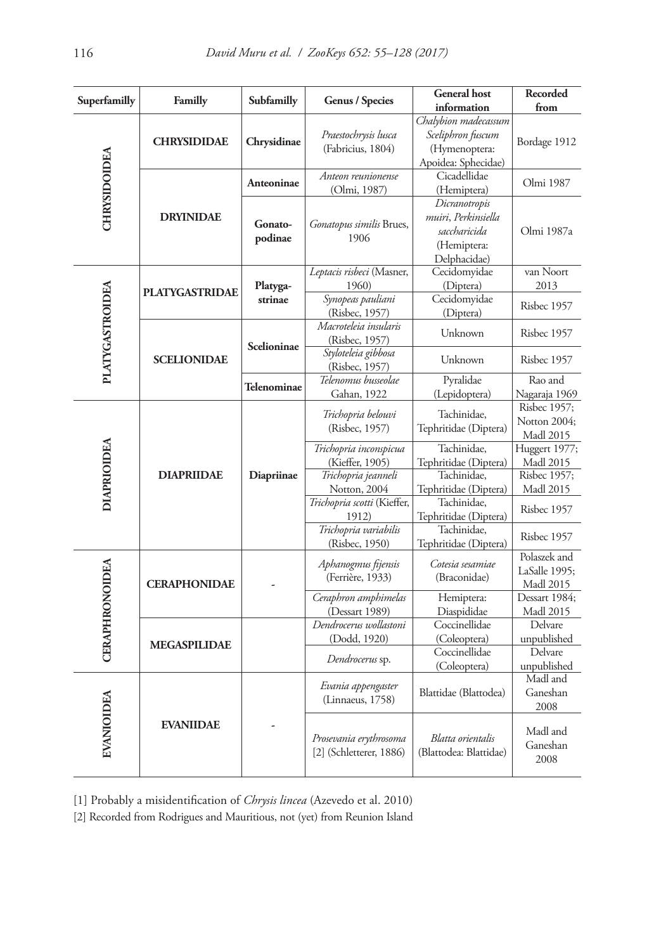| Superfamilly          | Familly               | Subfamilly         | <b>Genus / Species</b>                               | <b>General</b> host                                                                 | Recorded                                          |
|-----------------------|-----------------------|--------------------|------------------------------------------------------|-------------------------------------------------------------------------------------|---------------------------------------------------|
|                       |                       |                    |                                                      | information                                                                         | from                                              |
|                       | <b>CHRYSIDIDAE</b>    | Chrysidinae        | Praestochrysis lusca<br>(Fabricius, 1804)            | Chalybion madecassum<br>Sceliphron fuscum<br>(Hymenoptera:<br>Apoidea: Sphecidae)   | Bordage 1912                                      |
|                       |                       | <b>Anteoninae</b>  | Anteon reunionense<br>(Olmi, 1987)                   | Cicadellidae<br>(Hemiptera)                                                         | Olmi 1987                                         |
| CHRYSIDOIDEA          | <b>DRYINIDAE</b>      | Gonato-<br>podinae | Gonatopus similis Brues,<br>1906                     | Dicranotropis<br>muiri, Perkinsiella<br>saccharicida<br>(Hemiptera:<br>Delphacidae) | Olmi 1987a                                        |
|                       | <b>PLATYGASTRIDAE</b> | Platyga-           | Leptacis risbeci (Masner,<br>1960)                   | Cecidomyidae<br>(Diptera)                                                           | van Noort<br>2013                                 |
|                       |                       | strinae            | Synopeas pauliani<br>(Risbec, 1957)                  | Cecidomyidae<br>(Diptera)                                                           | Risbec 1957                                       |
| PLATYGASTROIDEA       |                       | Scelioninae        | Macroteleia insularis<br>(Risbec, 1957)              | Unknown                                                                             | Risbec 1957                                       |
|                       | <b>SCELIONIDAE</b>    |                    | Styloteleia gibbosa<br>(Risbec, 1957)                | Unknown                                                                             | Risbec 1957                                       |
|                       |                       | Telenominae        | Telenomus busseolae<br>Gahan, 1922                   | Pyralidae<br>(Lepidoptera)                                                          | Rao and<br>Nagaraja 1969                          |
|                       | <b>DIAPRIIDAE</b>     | Diapriinae         | Trichopria belouvi<br>(Risbec, 1957)                 | Tachinidae,<br>Tephritidae (Diptera)                                                | Risbec 1957;<br>Notton 2004;<br><b>Madl 2015</b>  |
| DIAPRIOIDEA           |                       |                    | Trichopria inconspicua<br>(Kieffer, 1905)            | Tachinidae,<br>Tephritidae (Diptera)                                                | Huggert 1977;<br><b>Madl 2015</b>                 |
|                       |                       |                    | Trichopria jeanneli                                  | Tachinidae,                                                                         | Risbec 1957;                                      |
|                       |                       |                    | Notton, 2004<br>Trichopria scotti (Kieffer,<br>1912) | Tephritidae (Diptera)<br>Tachinidae,<br>Tephritidae (Diptera)                       | <b>Madl 2015</b><br>Risbec 1957                   |
|                       |                       |                    | Trichopria variabilis<br>(Risbec, 1950)              | Tachinidae,<br>Tephritidae (Diptera)                                                | Risbec 1957                                       |
| <b>CERAPHRONOIDEA</b> | <b>CERAPHONIDAE</b>   |                    | Aphanogmus fijensis<br>(Ferrière, 1933)              | Cotesia sesamiae<br>(Braconidae)                                                    | Polaszek and<br>LaSalle 1995:<br><b>Madl 2015</b> |
|                       |                       |                    | Ceraphron amphimelas<br>(Dessart 1989)               | Hemiptera:<br>Diaspididae                                                           | Dessart 1984;<br><b>Madl 2015</b>                 |
|                       |                       |                    | Dendrocerus wollastoni                               | Coccinellidae                                                                       | Delvare                                           |
|                       | <b>MEGASPILIDAE</b>   |                    | (Dodd, 1920)                                         | (Coleoptera)<br>Coccinellidae                                                       | unpublished<br>Delvare                            |
|                       |                       |                    | Dendrocerus sp.                                      | (Coleoptera)                                                                        | unpublished                                       |
| EVANIOIDEA            |                       |                    | Evania appengaster<br>(Linnaeus, 1758)               | Blattidae (Blattodea)                                                               | Madl and<br>Ganeshan<br>2008                      |
|                       | <b>EVANIIDAE</b>      |                    | Prosevania erythrosoma<br>[2] (Schletterer, 1886)    | Blatta orientalis<br>(Blattodea: Blattidae)                                         | Madl and<br>Ganeshan<br>2008                      |

[1] Probably a misidentification of *Chrysis lincea* (Azevedo et al. 2010)

[2] Recorded from Rodrigues and Mauritious, not (yet) from Reunion Island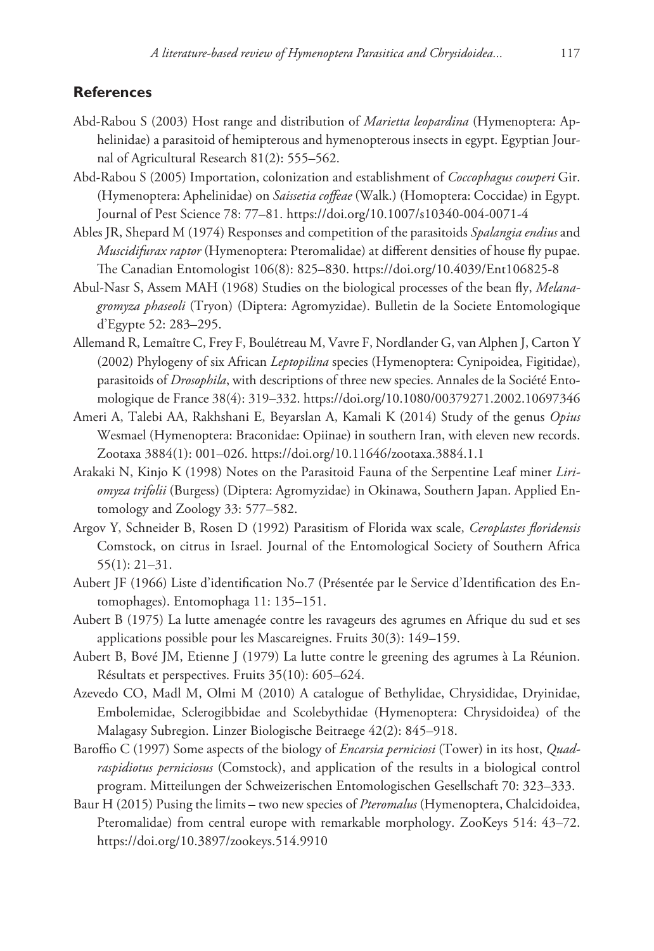### **References**

- Abd-Rabou S (2003) Host range and distribution of *Marietta leopardina* (Hymenoptera: Aphelinidae) a parasitoid of hemipterous and hymenopterous insects in egypt. Egyptian Journal of Agricultural Research 81(2): 555–562.
- Abd-Rabou S (2005) Importation, colonization and establishment of *Coccophagus cowperi* Gir. (Hymenoptera: Aphelinidae) on *Saissetia coffeae* (Walk.) (Homoptera: Coccidae) in Egypt. Journal of Pest Science 78: 77–81.<https://doi.org/10.1007/s10340-004-0071-4>
- Ables JR, Shepard M (1974) Responses and competition of the parasitoids *Spalangia endius* and *Muscidifurax raptor* (Hymenoptera: Pteromalidae) at different densities of house fly pupae. The Canadian Entomologist 106(8): 825–830. <https://doi.org/10.4039/Ent106825-8>
- Abul-Nasr S, Assem MAH (1968) Studies on the biological processes of the bean fly, *Melanagromyza phaseoli* (Tryon) (Diptera: Agromyzidae). Bulletin de la Societe Entomologique d'Egypte 52: 283–295.
- Allemand R, Lemaître C, Frey F, Boulétreau M, Vavre F, Nordlander G, van Alphen J, Carton Y (2002) Phylogeny of six African *Leptopilina* species (Hymenoptera: Cynipoidea, Figitidae), parasitoids of *Drosophila*, with descriptions of three new species. Annales de la Société Entomologique de France 38(4): 319–332.<https://doi.org/10.1080/00379271.2002.10697346>
- Ameri A, Talebi AA, Rakhshani E, Beyarslan A, Kamali K (2014) Study of the genus *Opius* Wesmael (Hymenoptera: Braconidae: Opiinae) in southern Iran, with eleven new records. Zootaxa 3884(1): 001–026. <https://doi.org/10.11646/zootaxa.3884.1.1>
- Arakaki N, Kinjo K (1998) Notes on the Parasitoid Fauna of the Serpentine Leaf miner *Liriomyza trifolii* (Burgess) (Diptera: Agromyzidae) in Okinawa, Southern Japan. Applied Entomology and Zoology 33: 577–582.
- Argov Y, Schneider B, Rosen D (1992) Parasitism of Florida wax scale, *Ceroplastes floridensis*  Comstock, on citrus in Israel. Journal of the Entomological Society of Southern Africa 55(1): 21–31.
- Aubert JF (1966) Liste d'identification No.7 (Présentée par le Service d'Identification des Entomophages). Entomophaga 11: 135–151.
- Aubert B (1975) La lutte amenagée contre les ravageurs des agrumes en Afrique du sud et ses applications possible pour les Mascareignes. Fruits 30(3): 149–159.
- Aubert B, Bové JM, Etienne J (1979) La lutte contre le greening des agrumes à La Réunion. Résultats et perspectives. Fruits 35(10): 605–624.
- Azevedo CO, Madl M, Olmi M (2010) A catalogue of Bethylidae, Chrysididae, Dryinidae, Embolemidae, Sclerogibbidae and Scolebythidae (Hymenoptera: Chrysidoidea) of the Malagasy Subregion. Linzer Biologische Beitraege 42(2): 845–918.
- Baroffio C (1997) Some aspects of the biology of *Encarsia perniciosi* (Tower) in its host, *Quadraspidiotus perniciosus* (Comstock), and application of the results in a biological control program. Mitteilungen der Schweizerischen Entomologischen Gesellschaft 70: 323–333.
- Baur H (2015) Pusing the limits two new species of *Pteromalus* (Hymenoptera, Chalcidoidea, Pteromalidae) from central europe with remarkable morphology. ZooKeys 514: 43–72. <https://doi.org/10.3897/zookeys.514.9910>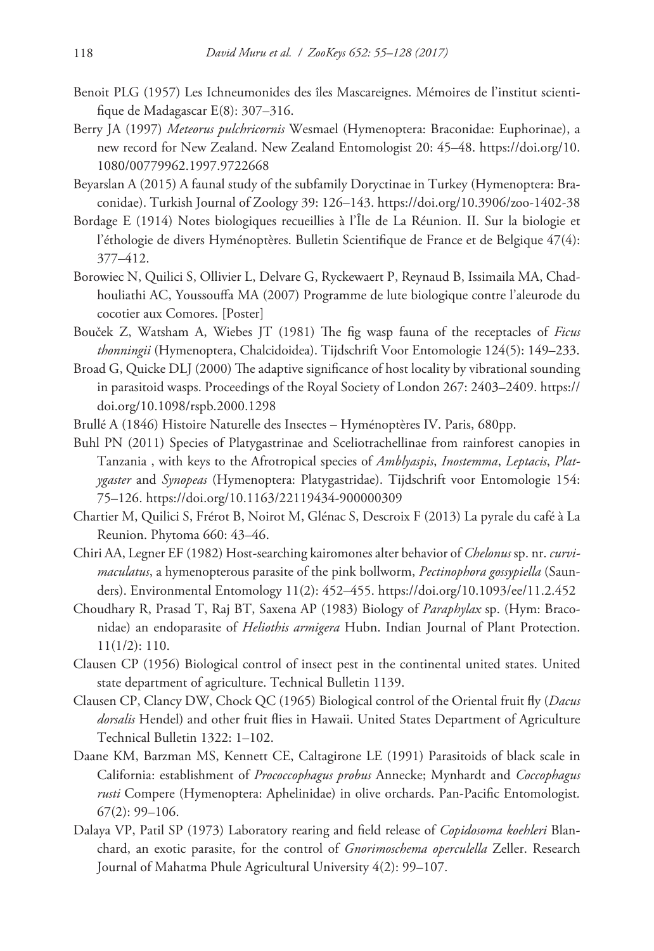- Benoit PLG (1957) Les Ichneumonides des îles Mascareignes. Mémoires de l'institut scientifique de Madagascar E(8): 307–316.
- Berry JA (1997) *Meteorus pulchricornis* Wesmael (Hymenoptera: Braconidae: Euphorinae), a new record for New Zealand. New Zealand Entomologist 20: 45–48. [https://doi.org/10.](https://doi.org/10.1080/00779962.1997.9722668) [1080/00779962.1997.9722668](https://doi.org/10.1080/00779962.1997.9722668)
- Beyarslan A (2015) A faunal study of the subfamily Doryctinae in Turkey (Hymenoptera: Braconidae). Turkish Journal of Zoology 39: 126–143.<https://doi.org/10.3906/zoo-1402-38>
- Bordage E (1914) Notes biologiques recueillies à l'Île de La Réunion. II. Sur la biologie et l'éthologie de divers Hyménoptères. Bulletin Scientifique de France et de Belgique 47(4): 377–412.
- Borowiec N, Quilici S, Ollivier L, Delvare G, Ryckewaert P, Reynaud B, Issimaila MA, Chadhouliathi AC, Youssouffa MA (2007) Programme de lute biologique contre l'aleurode du cocotier aux Comores. [Poster]
- Bouček Z, Watsham A, Wiebes JT (1981) The fig wasp fauna of the receptacles of *Ficus thonningii* (Hymenoptera, Chalcidoidea). Tijdschrift Voor Entomologie 124(5): 149–233.
- Broad G, Quicke DLJ (2000) The adaptive significance of host locality by vibrational sounding in parasitoid wasps. Proceedings of the Royal Society of London 267: 2403–2409. [https://](https://doi.org/10.1098/rspb.2000.1298) [doi.org/10.1098/rspb.2000.1298](https://doi.org/10.1098/rspb.2000.1298)
- Brullé A (1846) Histoire Naturelle des Insectes Hyménoptères IV. Paris, 680pp.
- Buhl PN (2011) Species of Platygastrinae and Sceliotrachellinae from rainforest canopies in Tanzania , with keys to the Afrotropical species of *Amblyaspis*, *Inostemma*, *Leptacis*, *Platygaster* and *Synopeas* (Hymenoptera: Platygastridae). Tijdschrift voor Entomologie 154: 75–126.<https://doi.org/10.1163/22119434-900000309>
- Chartier M, Quilici S, Frérot B, Noirot M, Glénac S, Descroix F (2013) La pyrale du café à La Reunion. Phytoma 660: 43–46.
- Chiri AA, Legner EF (1982) Host-searching kairomones alter behavior of *Chelonus* sp. nr. *curvimaculatus*, a hymenopterous parasite of the pink bollworm, *Pectinophora gossypiella* (Saunders). Environmental Entomology 11(2): 452–455. <https://doi.org/10.1093/ee/11.2.452>
- Choudhary R, Prasad T, Raj BT, Saxena AP (1983) Biology of *Paraphylax* sp. (Hym: Braconidae) an endoparasite of *Heliothis armigera* Hubn. Indian Journal of Plant Protection. 11(1/2): 110.
- Clausen CP (1956) Biological control of insect pest in the continental united states. United state department of agriculture. Technical Bulletin 1139.
- Clausen CP, Clancy DW, Chock QC (1965) Biological control of the Oriental fruit fly (*Dacus dorsalis* Hendel) and other fruit flies in Hawaii. United States Department of Agriculture Technical Bulletin 1322: 1–102.
- Daane KM, Barzman MS, Kennett CE, Caltagirone LE (1991) Parasitoids of black scale in California: establishment of *Prococcophagus probus* Annecke; Mynhardt and *Coccophagus rusti* Compere (Hymenoptera: Aphelinidae) in olive orchards. Pan-Pacific Entomologist*.* 67(2): 99–106.
- Dalaya VP, Patil SP (1973) Laboratory rearing and field release of *Copidosoma koehleri* Blanchard, an exotic parasite, for the control of *Gnorimoschema operculella* Zeller. Research Journal of Mahatma Phule Agricultural University 4(2): 99–107.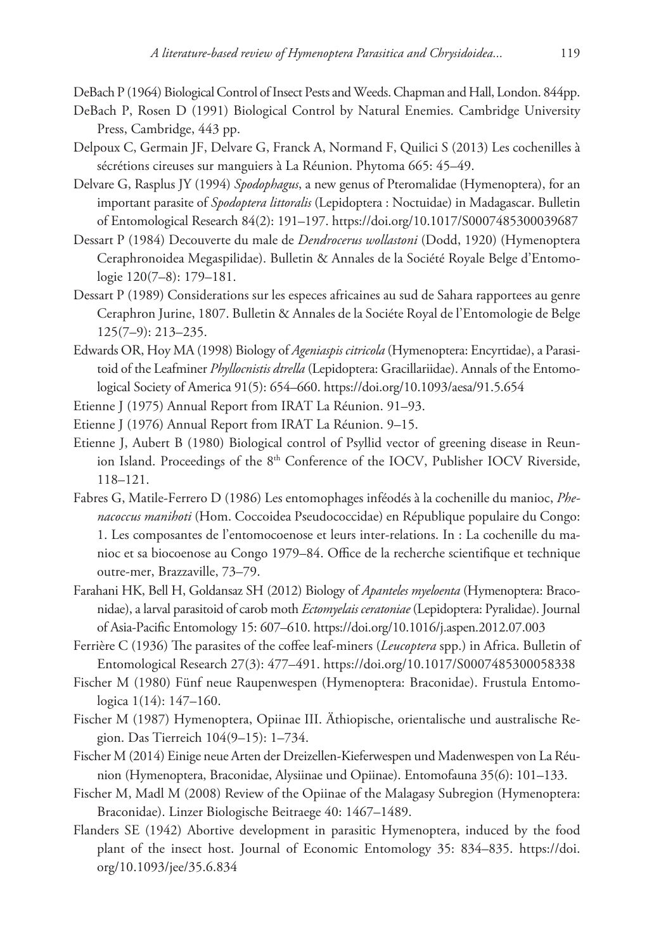DeBach P (1964) Biological Control of Insect Pests and Weeds. Chapman and Hall, London. 844pp.

- DeBach P, Rosen D (1991) Biological Control by Natural Enemies. Cambridge University Press, Cambridge, 443 pp.
- Delpoux C, Germain JF, Delvare G, Franck A, Normand F, Quilici S (2013) Les cochenilles à sécrétions cireuses sur manguiers à La Réunion. Phytoma 665: 45–49.
- Delvare G, Rasplus JY (1994) *Spodophagus*, a new genus of Pteromalidae (Hymenoptera), for an important parasite of *Spodoptera littoralis* (Lepidoptera : Noctuidae) in Madagascar. Bulletin of Entomological Research 84(2): 191–197. <https://doi.org/10.1017/S0007485300039687>
- Dessart P (1984) Decouverte du male de *Dendrocerus wollastoni* (Dodd, 1920) (Hymenoptera Ceraphronoidea Megaspilidae). Bulletin & Annales de la Société Royale Belge d'Entomologie 120(7–8): 179–181.
- Dessart P (1989) Considerations sur les especes africaines au sud de Sahara rapportees au genre Ceraphron Jurine, 1807. Bulletin & Annales de la Sociéte Royal de l'Entomologie de Belge 125(7–9): 213–235.
- Edwards OR, Hoy MA (1998) Biology of *Ageniaspis citricola* (Hymenoptera: Encyrtidae), a Parasitoid of the Leafminer *Phyllocnistis dtrella* (Lepidoptera: Gracillariidae). Annals of the Entomological Society of America 91(5): 654–660. <https://doi.org/10.1093/aesa/91.5.654>
- Etienne J (1975) Annual Report from IRAT La Réunion. 91–93.
- Etienne J (1976) Annual Report from IRAT La Réunion. 9–15.
- Etienne J, Aubert B (1980) Biological control of Psyllid vector of greening disease in Reunion Island. Proceedings of the 8<sup>th</sup> Conference of the IOCV, Publisher IOCV Riverside, 118–121.
- Fabres G, Matile-Ferrero D (1986) Les entomophages inféodés à la cochenille du manioc, *Phenacoccus manihoti* (Hom. Coccoidea Pseudococcidae) en République populaire du Congo: 1. Les composantes de l'entomocoenose et leurs inter-relations. In : La cochenille du manioc et sa biocoenose au Congo 1979–84. Office de la recherche scientifique et technique outre-mer, Brazzaville, 73–79.
- Farahani HK, Bell H, Goldansaz SH (2012) Biology of *Apanteles myeloenta* (Hymenoptera: Braconidae), a larval parasitoid of carob moth *Ectomyelais ceratoniae* (Lepidoptera: Pyralidae). Journal of Asia-Pacific Entomology 15: 607–610.<https://doi.org/10.1016/j.aspen.2012.07.003>
- Ferrière C (1936) The parasites of the coffee leaf-miners (*Leucoptera* spp.) in Africa. Bulletin of Entomological Research 27(3): 477–491. <https://doi.org/10.1017/S0007485300058338>
- Fischer M (1980) Fünf neue Raupenwespen (Hymenoptera: Braconidae). Frustula Entomologica 1(14): 147–160.
- Fischer M (1987) Hymenoptera, Opiinae III. Äthiopische, orientalische und australische Region. Das Tierreich 104(9–15): 1–734.
- Fischer M (2014) Einige neue Arten der Dreizellen-Kieferwespen und Madenwespen von La Réunion (Hymenoptera, Braconidae, Alysiinae und Opiinae). Entomofauna 35(6): 101–133.
- Fischer M, Madl M (2008) Review of the Opiinae of the Malagasy Subregion (Hymenoptera: Braconidae). Linzer Biologische Beitraege 40: 1467–1489.
- Flanders SE (1942) Abortive development in parasitic Hymenoptera, induced by the food plant of the insect host. Journal of Economic Entomology 35: 834–835. [https://doi.](https://doi.org/10.1093/jee/35.6.834) [org/10.1093/jee/35.6.834](https://doi.org/10.1093/jee/35.6.834)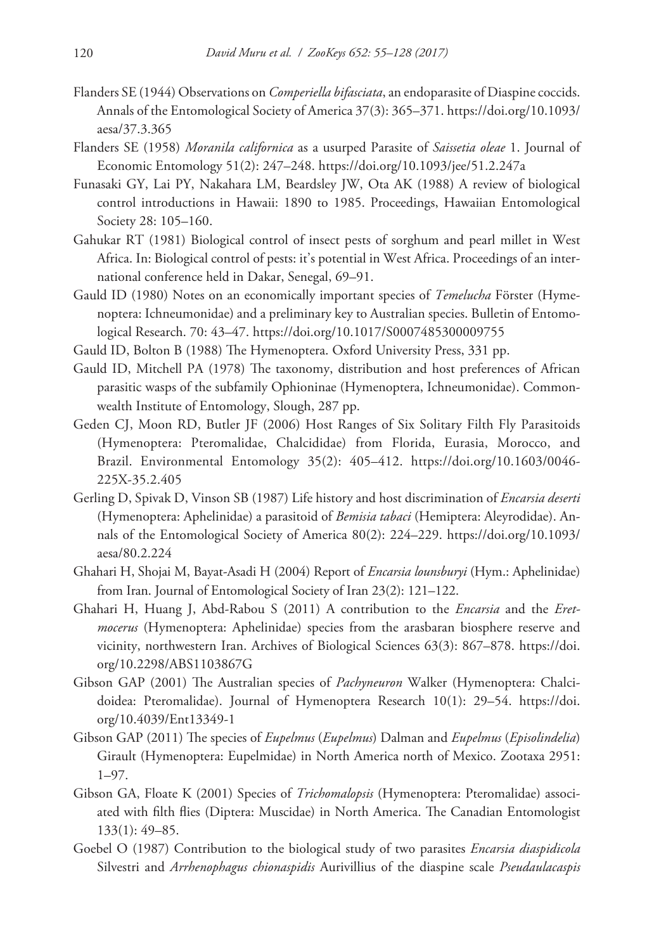- Flanders SE (1944) Observations on *Comperiella bifasciata*, an endoparasite of Diaspine coccids. Annals of the Entomological Society of America 37(3): 365–371. [https://doi.org/10.1093/](https://doi.org/10.1093/aesa/37.3.365) [aesa/37.3.365](https://doi.org/10.1093/aesa/37.3.365)
- Flanders SE (1958) *Moranila californica* as a usurped Parasite of *Saissetia oleae* 1. Journal of Economic Entomology 51(2): 247–248.<https://doi.org/10.1093/jee/51.2.247a>
- Funasaki GY, Lai PY, Nakahara LM, Beardsley JW, Ota AK (1988) A review of biological control introductions in Hawaii: 1890 to 1985. Proceedings, Hawaiian Entomological Society 28: 105–160.
- Gahukar RT (1981) Biological control of insect pests of sorghum and pearl millet in West Africa. In: Biological control of pests: it's potential in West Africa. Proceedings of an international conference held in Dakar, Senegal, 69–91.
- Gauld ID (1980) Notes on an economically important species of *Temelucha* Förster (Hymenoptera: Ichneumonidae) and a preliminary key to Australian species. Bulletin of Entomological Research. 70: 43–47. <https://doi.org/10.1017/S0007485300009755>
- Gauld ID, Bolton B (1988) The Hymenoptera. Oxford University Press, 331 pp.
- Gauld ID, Mitchell PA (1978) The taxonomy, distribution and host preferences of African parasitic wasps of the subfamily Ophioninae (Hymenoptera, Ichneumonidae). Commonwealth Institute of Entomology, Slough, 287 pp.
- Geden CJ, Moon RD, Butler JF (2006) Host Ranges of Six Solitary Filth Fly Parasitoids (Hymenoptera: Pteromalidae, Chalcididae) from Florida, Eurasia, Morocco, and Brazil. Environmental Entomology 35(2): 405–412. [https://doi.org/10.1603/0046-](https://doi.org/10.1603/0046-225X-35.2.405) [225X-35.2.405](https://doi.org/10.1603/0046-225X-35.2.405)
- Gerling D, Spivak D, Vinson SB (1987) Life history and host discrimination of *Encarsia deserti* (Hymenoptera: Aphelinidae) a parasitoid of *Bemisia tabaci* (Hemiptera: Aleyrodidae). Annals of the Entomological Society of America 80(2): 224–229. [https://doi.org/10.1093/](https://doi.org/10.1093/aesa/80.2.224) [aesa/80.2.224](https://doi.org/10.1093/aesa/80.2.224)
- Ghahari H, Shojai M, Bayat-Asadi H (2004) Report of *Encarsia lounsburyi* (Hym.: Aphelinidae) from Iran. Journal of Entomological Society of Iran 23(2): 121–122.
- Ghahari H, Huang J, Abd-Rabou S (2011) A contribution to the *Encarsia* and the *Eretmocerus* (Hymenoptera: Aphelinidae) species from the arasbaran biosphere reserve and vicinity, northwestern Iran. Archives of Biological Sciences 63(3): 867–878. [https://doi.](https://doi.org/10.2298/ABS1103867G) [org/10.2298/ABS1103867G](https://doi.org/10.2298/ABS1103867G)
- Gibson GAP (2001) The Australian species of *Pachyneuron* Walker (Hymenoptera: Chalcidoidea: Pteromalidae). Journal of Hymenoptera Research 10(1): 29–54. [https://doi.](https://doi.org/10.4039/Ent13349-1) [org/10.4039/Ent13349-1](https://doi.org/10.4039/Ent13349-1)
- Gibson GAP (2011) The species of *Eupelmus* (*Eupelmus*) Dalman and *Eupelmus* (*Episolindelia*) Girault (Hymenoptera: Eupelmidae) in North America north of Mexico. Zootaxa 2951: 1–97.
- Gibson GA, Floate K (2001) Species of *Trichomalopsis* (Hymenoptera: Pteromalidae) associated with filth flies (Diptera: Muscidae) in North America. The Canadian Entomologist 133(1): 49–85.
- Goebel O (1987) Contribution to the biological study of two parasites *Encarsia diaspidicola* Silvestri and *Arrhenophagus chionaspidis* Aurivillius of the diaspine scale *Pseudaulacaspis*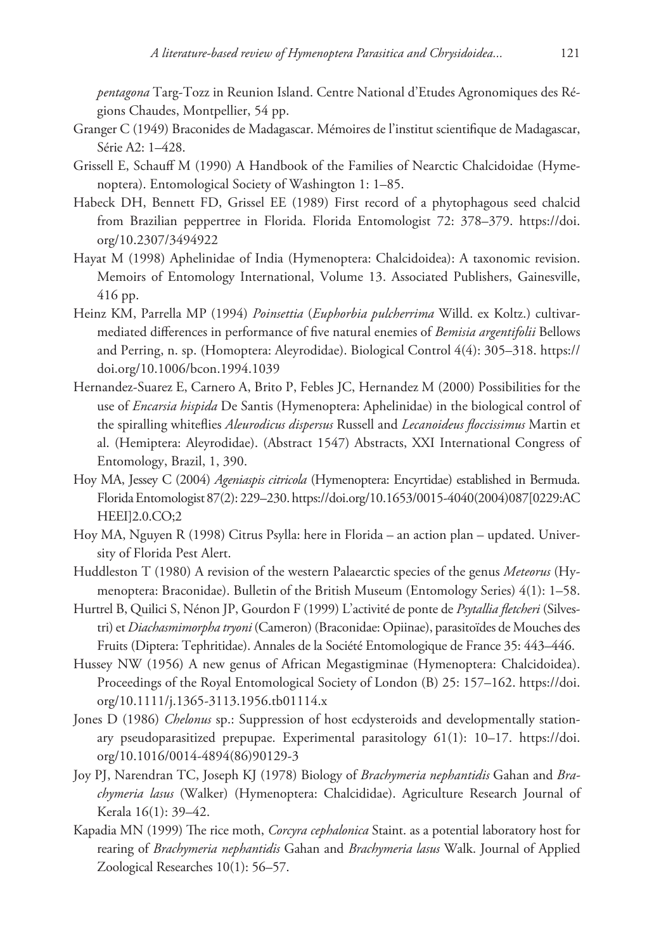*pentagona* Targ-Tozz in Reunion Island. Centre National d'Etudes Agronomiques des Régions Chaudes, Montpellier, 54 pp.

- Granger C (1949) Braconides de Madagascar. Mémoires de l'institut scientifique de Madagascar, Série A2: 1–428.
- Grissell E, Schauff M (1990) A Handbook of the Families of Nearctic Chalcidoidae (Hymenoptera). Entomological Society of Washington 1: 1–85.
- Habeck DH, Bennett FD, Grissel EE (1989) First record of a phytophagous seed chalcid from Brazilian peppertree in Florida. Florida Entomologist 72: 378–379. [https://doi.](https://doi.org/10.2307/3494922) [org/10.2307/3494922](https://doi.org/10.2307/3494922)
- Hayat M (1998) Aphelinidae of India (Hymenoptera: Chalcidoidea): A taxonomic revision. Memoirs of Entomology International, Volume 13. Associated Publishers, Gainesville, 416 pp.
- Heinz KM, Parrella MP (1994) *Poinsettia* (*Euphorbia pulcherrima* Willd. ex Koltz.) cultivarmediated differences in performance of five natural enemies of *Bemisia argentifolii* Bellows and Perring, n. sp. (Homoptera: Aleyrodidae). Biological Control 4(4): 305–318. [https://](https://doi.org/10.1006/bcon.1994.1039) [doi.org/10.1006/bcon.1994.1039](https://doi.org/10.1006/bcon.1994.1039)
- Hernandez-Suarez E, Carnero A, Brito P, Febles JC, Hernandez M (2000) Possibilities for the use of *Encarsia hispida* De Santis (Hymenoptera: Aphelinidae) in the biological control of the spiralling whiteflies *Aleurodicus dispersus* Russell and *Lecanoideus floccissimus* Martin et al. (Hemiptera: Aleyrodidae). (Abstract 1547) Abstracts, XXI International Congress of Entomology, Brazil, 1, 390.
- Hoy MA, Jessey C (2004) *Ageniaspis citricola* (Hymenoptera: Encyrtidae) established in Bermuda. Florida Entomologist87(2): 229–230. [https://doi.org/10.1653/0015-4040\(2004\)087\[0229:AC](https://doi.org/10.1653/0015-4040(2004)087[0229:ACHEEI]2.0.CO;2) [HEEI\]2.0.CO;2](https://doi.org/10.1653/0015-4040(2004)087[0229:ACHEEI]2.0.CO;2)
- Hoy MA, Nguyen R (1998) Citrus Psylla: here in Florida an action plan updated. University of Florida Pest Alert.
- Huddleston T (1980) A revision of the western Palaearctic species of the genus *Meteorus* (Hymenoptera: Braconidae). Bulletin of the British Museum (Entomology Series) 4(1): 1–58.
- Hurtrel B, Quilici S, Nénon JP, Gourdon F (1999) L'activité de ponte de *Psytallia fletcheri* (Silvestri) et *Diachasmimorpha tryoni* (Cameron) (Braconidae: Opiinae), parasitoïdes de Mouches des Fruits (Diptera: Tephritidae). Annales de la Société Entomologique de France 35: 443–446.
- Hussey NW (1956) A new genus of African Megastigminae (Hymenoptera: Chalcidoidea). Proceedings of the Royal Entomological Society of London (B) 25: 157–162. [https://doi.](https://doi.org/10.1111/j.1365-3113.1956.tb01114.x) [org/10.1111/j.1365-3113.1956.tb01114.x](https://doi.org/10.1111/j.1365-3113.1956.tb01114.x)
- Jones D (1986) *Chelonus* sp.: Suppression of host ecdysteroids and developmentally stationary pseudoparasitized prepupae. Experimental parasitology 61(1): 10–17. [https://doi.](https://doi.org/10.1016/0014-4894(86)90129-3) [org/10.1016/0014-4894\(86\)90129-3](https://doi.org/10.1016/0014-4894(86)90129-3)
- Joy PJ, Narendran TC, Joseph KJ (1978) Biology of *Brachymeria nephantidis* Gahan and *Brachymeria lasus* (Walker) (Hymenoptera: Chalcididae). Agriculture Research Journal of Kerala 16(1): 39–42.
- Kapadia MN (1999) The rice moth, *Corcyra cephalonica* Staint. as a potential laboratory host for rearing of *Brachymeria nephantidis* Gahan and *Brachymeria lasus* Walk. Journal of Applied Zoological Researches 10(1): 56–57.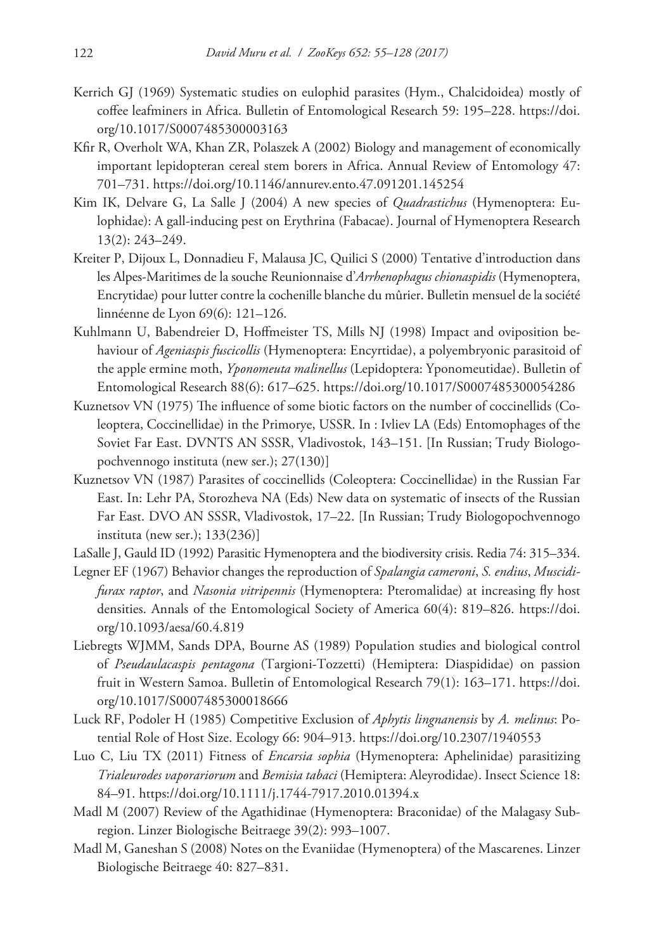- Kerrich GJ (1969) Systematic studies on eulophid parasites (Hym., Chalcidoidea) mostly of coffee leafminers in Africa. Bulletin of Entomological Research 59: 195–228. [https://doi.](https://doi.org/10.1017/S0007485300003163) [org/10.1017/S0007485300003163](https://doi.org/10.1017/S0007485300003163)
- Kfir R, Overholt WA, Khan ZR, Polaszek A (2002) Biology and management of economically important lepidopteran cereal stem borers in Africa. Annual Review of Entomology 47: 701–731.<https://doi.org/10.1146/annurev.ento.47.091201.145254>
- Kim IK, Delvare G, La Salle J (2004) A new species of *Quadrastichus* (Hymenoptera: Eulophidae): A gall-inducing pest on Erythrina (Fabacae). Journal of Hymenoptera Research 13(2): 243–249.
- Kreiter P, Dijoux L, Donnadieu F, Malausa JC, Quilici S (2000) Tentative d'introduction dans les Alpes-Maritimes de la souche Reunionnaise d'*Arrhenophagus chionaspidis* (Hymenoptera, Encrytidae) pour lutter contre la cochenille blanche du mûrier. Bulletin mensuel de la société linnéenne de Lyon 69(6): 121–126.
- Kuhlmann U, Babendreier D, Hoffmeister TS, Mills NJ (1998) Impact and oviposition behaviour of *Ageniaspis fuscicollis* (Hymenoptera: Encyrtidae), a polyembryonic parasitoid of the apple ermine moth, *Yponomeuta malinellus* (Lepidoptera: Yponomeutidae). Bulletin of Entomological Research 88(6): 617–625.<https://doi.org/10.1017/S0007485300054286>
- Kuznetsov VN (1975) The influence of some biotic factors on the number of coccinellids (Coleoptera, Coccinellidae) in the Primorye, USSR. In : Ivliev LA (Eds) Entomophages of the Soviet Far East. DVNTS AN SSSR, Vladivostok, 143–151. [In Russian; Trudy Biologopochvennogo instituta (new ser.); 27(130)]
- Kuznetsov VN (1987) Parasites of coccinellids (Coleoptera: Coccinellidae) in the Russian Far East. In: Lehr PA, Storozheva NA (Eds) New data on systematic of insects of the Russian Far East. DVO AN SSSR, Vladivostok, 17–22. [In Russian; Trudy Biologopochvennogo instituta (new ser.); 133(236)]
- LaSalle J, Gauld ID (1992) Parasitic Hymenoptera and the biodiversity crisis. Redia 74: 315–334.
- Legner EF (1967) Behavior changes the reproduction of *Spalangia cameroni*, *S. endius*, *Muscidifurax raptor*, and *Nasonia vitripennis* (Hymenoptera: Pteromalidae) at increasing fly host densities. Annals of the Entomological Society of America 60(4): 819–826. [https://doi.](https://doi.org/10.1093/aesa/60.4.819) [org/10.1093/aesa/60.4.819](https://doi.org/10.1093/aesa/60.4.819)
- Liebregts WJMM, Sands DPA, Bourne AS (1989) Population studies and biological control of *Pseudaulacaspis pentagona* (Targioni-Tozzetti) (Hemiptera: Diaspididae) on passion fruit in Western Samoa. Bulletin of Entomological Research 79(1): 163–171. [https://doi.](https://doi.org/10.1017/S0007485300018666) [org/10.1017/S0007485300018666](https://doi.org/10.1017/S0007485300018666)
- Luck RF, Podoler H (1985) Competitive Exclusion of *Aphytis lingnanensis* by *A. melinus*: Potential Role of Host Size. Ecology 66: 904–913.<https://doi.org/10.2307/1940553>
- Luo C, Liu TX (2011) Fitness of *Encarsia sophia* (Hymenoptera: Aphelinidae) parasitizing *Trialeurodes vaporariorum* and *Bemisia tabaci* (Hemiptera: Aleyrodidae). Insect Science 18: 84–91.<https://doi.org/10.1111/j.1744-7917.2010.01394.x>
- Madl M (2007) Review of the Agathidinae (Hymenoptera: Braconidae) of the Malagasy Subregion. Linzer Biologische Beitraege 39(2): 993–1007.
- Madl M, Ganeshan S (2008) Notes on the Evaniidae (Hymenoptera) of the Mascarenes. Linzer Biologische Beitraege 40: 827–831.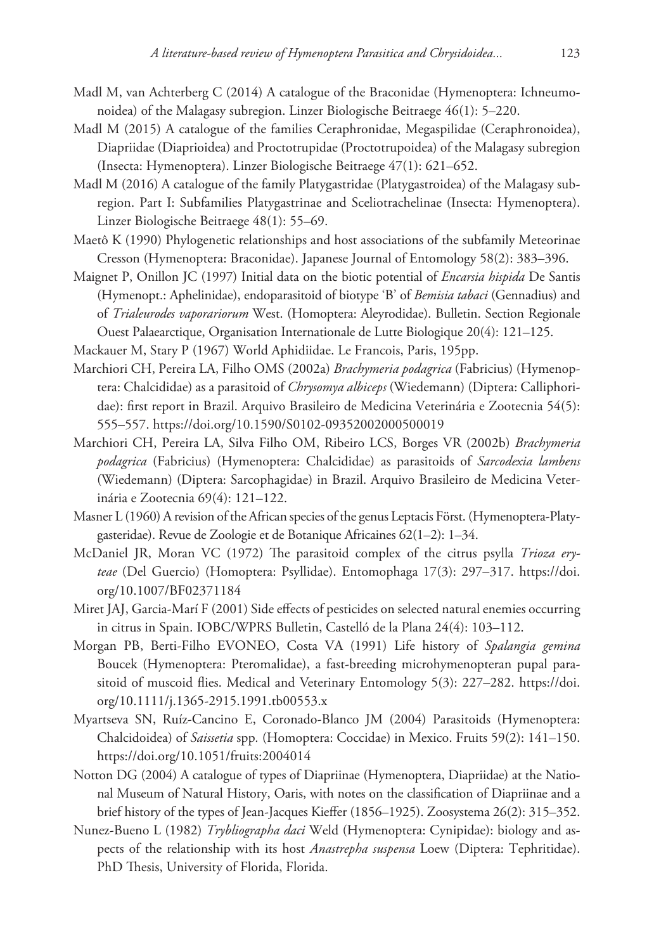- Madl M, van Achterberg C (2014) A catalogue of the Braconidae (Hymenoptera: Ichneumonoidea) of the Malagasy subregion. Linzer Biologische Beitraege 46(1): 5–220.
- Madl M (2015) A catalogue of the families Ceraphronidae, Megaspilidae (Ceraphronoidea), Diapriidae (Diaprioidea) and Proctotrupidae (Proctotrupoidea) of the Malagasy subregion (Insecta: Hymenoptera). Linzer Biologische Beitraege 47(1): 621–652.
- Madl M (2016) A catalogue of the family Platygastridae (Platygastroidea) of the Malagasy subregion. Part I: Subfamilies Platygastrinae and Sceliotrachelinae (Insecta: Hymenoptera). Linzer Biologische Beitraege 48(1): 55–69.
- Maetô K (1990) Phylogenetic relationships and host associations of the subfamily Meteorinae Cresson (Hymenoptera: Braconidae). Japanese Journal of Entomology 58(2): 383–396.
- Maignet P, Onillon JC (1997) Initial data on the biotic potential of *Encarsia hispida* De Santis (Hymenopt.: Aphelinidae), endoparasitoid of biotype 'B' of *Bemisia tabaci* (Gennadius) and of *Trialeurodes vaporariorum* West. (Homoptera: Aleyrodidae). Bulletin. Section Regionale Ouest Palaearctique, Organisation Internationale de Lutte Biologique 20(4): 121–125.
- Mackauer M, Stary P (1967) World Aphidiidae. Le Francois, Paris, 195pp.
- Marchiori CH, Pereira LA, Filho OMS (2002a) *Brachymeria podagrica* (Fabricius) (Hymenoptera: Chalcididae) as a parasitoid of *Chrysomya albiceps* (Wiedemann) (Diptera: Calliphoridae): first report in Brazil. Arquivo Brasileiro de Medicina Veterinária e Zootecnia 54(5): 555–557.<https://doi.org/10.1590/S0102-09352002000500019>
- Marchiori CH, Pereira LA, Silva Filho OM, Ribeiro LCS, Borges VR (2002b) *Brachymeria podagrica* (Fabricius) (Hymenoptera: Chalcididae) as parasitoids of *Sarcodexia lambens* (Wiedemann) (Diptera: Sarcophagidae) in Brazil. Arquivo Brasileiro de Medicina Veterinária e Zootecnia 69(4): 121–122.
- Masner L (1960) A revision of the African species of the genus Leptacis Först. (Hymenoptera-Platygasteridae). Revue de Zoologie et de Botanique Africaines 62(1–2): 1–34.
- McDaniel JR, Moran VC (1972) The parasitoid complex of the citrus psylla *Trioza eryteae* (Del Guercio) (Homoptera: Psyllidae). Entomophaga 17(3): 297–317. [https://doi.](https://doi.org/10.1007/BF02371184) [org/10.1007/BF02371184](https://doi.org/10.1007/BF02371184)
- Miret JAJ, Garcia-Marí F (2001) Side effects of pesticides on selected natural enemies occurring in citrus in Spain. IOBC/WPRS Bulletin, Castelló de la Plana 24(4): 103–112.
- Morgan PB, Berti-Filho EVONEO, Costa VA (1991) Life history of *Spalangia gemina* Boucek (Hymenoptera: Pteromalidae), a fast-breeding microhymenopteran pupal parasitoid of muscoid flies. Medical and Veterinary Entomology 5(3): 227–282. [https://doi.](https://doi.org/10.1111/j.1365-2915.1991.tb00553.x) [org/10.1111/j.1365-2915.1991.tb00553.x](https://doi.org/10.1111/j.1365-2915.1991.tb00553.x)
- Myartseva SN, Ruíz-Cancino E, Coronado-Blanco JM (2004) Parasitoids (Hymenoptera: Chalcidoidea) of *Saissetia* spp*.* (Homoptera: Coccidae) in Mexico. Fruits 59(2): 141–150. <https://doi.org/10.1051/fruits:2004014>
- Notton DG (2004) A catalogue of types of Diapriinae (Hymenoptera, Diapriidae) at the National Museum of Natural History, Oaris, with notes on the classification of Diapriinae and a brief history of the types of Jean-Jacques Kieffer (1856–1925). Zoosystema 26(2): 315–352.
- Nunez-Bueno L (1982) *Trybliographa daci* Weld (Hymenoptera: Cynipidae): biology and aspects of the relationship with its host *Anastrepha suspensa* Loew (Diptera: Tephritidae). PhD Thesis, University of Florida, Florida.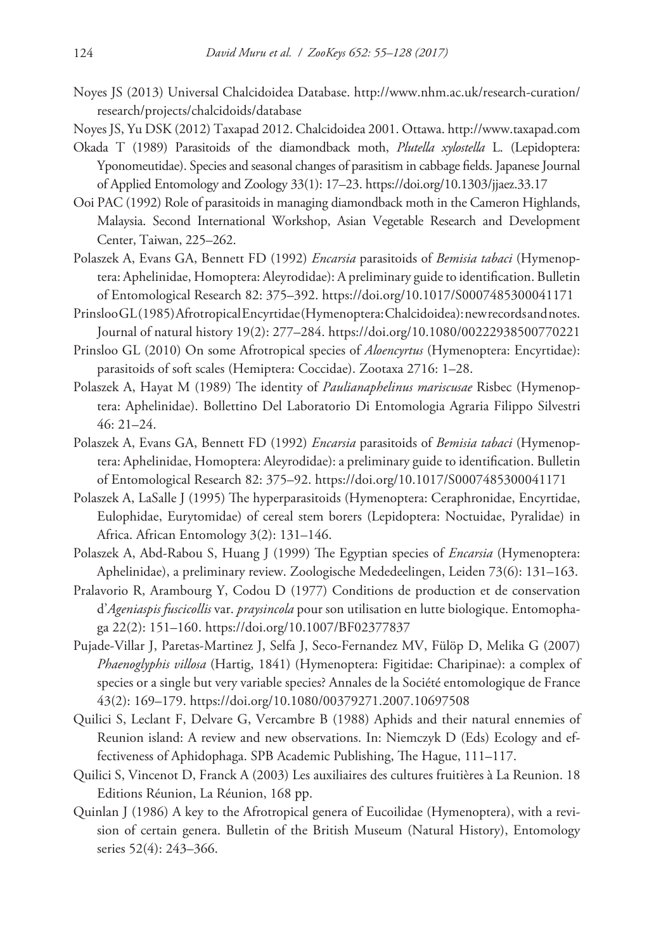Noyes JS (2013) Universal Chalcidoidea Database. [http://www.nhm.ac.uk/research-curation/](http://www.nhm.ac.uk/research-curation/research/projects/chalcidoids/database) [research/projects/chalcidoids/database](http://www.nhm.ac.uk/research-curation/research/projects/chalcidoids/database)

Noyes JS, Yu DSK (2012) Taxapad 2012. Chalcidoidea 2001. Ottawa.<http://www.taxapad.com>

- Okada T (1989) Parasitoids of the diamondback moth, *Plutella xylostella* L. (Lepidoptera: Yponomeutidae). Species and seasonal changes of parasitism in cabbage fields. Japanese Journal of Applied Entomology and Zoology 33(1): 17–23. <https://doi.org/10.1303/jjaez.33.17>
- Ooi PAC (1992) Role of parasitoids in managing diamondback moth in the Cameron Highlands, Malaysia. Second International Workshop, Asian Vegetable Research and Development Center, Taiwan, 225–262.
- Polaszek A, Evans GA, Bennett FD (1992) *Encarsia* parasitoids of *Bemisia tabaci* (Hymenoptera: Aphelinidae, Homoptera: Aleyrodidae): A preliminary guide to identification. Bulletin of Entomological Research 82: 375–392.<https://doi.org/10.1017/S0007485300041171>
- Prinsloo GL (1985) Afrotropical Encyrtidae (Hymenoptera: Chalcidoidea): new records and notes. Journal of natural history 19(2): 277–284.<https://doi.org/10.1080/00222938500770221>
- Prinsloo GL (2010) On some Afrotropical species of *Aloencyrtus* (Hymenoptera: Encyrtidae): parasitoids of soft scales (Hemiptera: Coccidae). Zootaxa 2716: 1–28.
- Polaszek A, Hayat M (1989) The identity of *Paulianaphelinus mariscusae* Risbec (Hymenoptera: Aphelinidae). Bollettino Del Laboratorio Di Entomologia Agraria Filippo Silvestri 46: 21–24.
- Polaszek A, Evans GA, Bennett FD (1992) *Encarsia* parasitoids of *Bemisia tabaci* (Hymenoptera: Aphelinidae, Homoptera: Aleyrodidae): a preliminary guide to identification. Bulletin of Entomological Research 82: 375–92.<https://doi.org/10.1017/S0007485300041171>
- Polaszek A, LaSalle J (1995) The hyperparasitoids (Hymenoptera: Ceraphronidae, Encyrtidae, Eulophidae, Eurytomidae) of cereal stem borers (Lepidoptera: Noctuidae, Pyralidae) in Africa. African Entomology 3(2): 131–146.
- Polaszek A, Abd-Rabou S, Huang J (1999) The Egyptian species of *Encarsia* (Hymenoptera: Aphelinidae), a preliminary review. Zoologische Mededeelingen, Leiden 73(6): 131–163.
- Pralavorio R, Arambourg Y, Codou D (1977) Conditions de production et de conservation d'*Ageniaspis fuscicollis* var. *praysincola* pour son utilisation en lutte biologique. Entomophaga 22(2): 151–160. <https://doi.org/10.1007/BF02377837>
- Pujade-Villar J, Paretas-Martinez J, Selfa J, Seco-Fernandez MV, Fülöp D, Melika G (2007) *Phaenoglyphis villosa* (Hartig, 1841) (Hymenoptera: Figitidae: Charipinae): a complex of species or a single but very variable species? Annales de la Société entomologique de France 43(2): 169–179. <https://doi.org/10.1080/00379271.2007.10697508>
- Quilici S, Leclant F, Delvare G, Vercambre B (1988) Aphids and their natural ennemies of Reunion island: A review and new observations. In: Niemczyk D (Eds) Ecology and effectiveness of Aphidophaga. SPB Academic Publishing, The Hague, 111–117.
- Quilici S, Vincenot D, Franck A (2003) Les auxiliaires des cultures fruitières à La Reunion. 18 Editions Réunion, La Réunion, 168 pp.
- Quinlan J (1986) A key to the Afrotropical genera of Eucoilidae (Hymenoptera), with a revision of certain genera. Bulletin of the British Museum (Natural History), Entomology series 52(4): 243–366.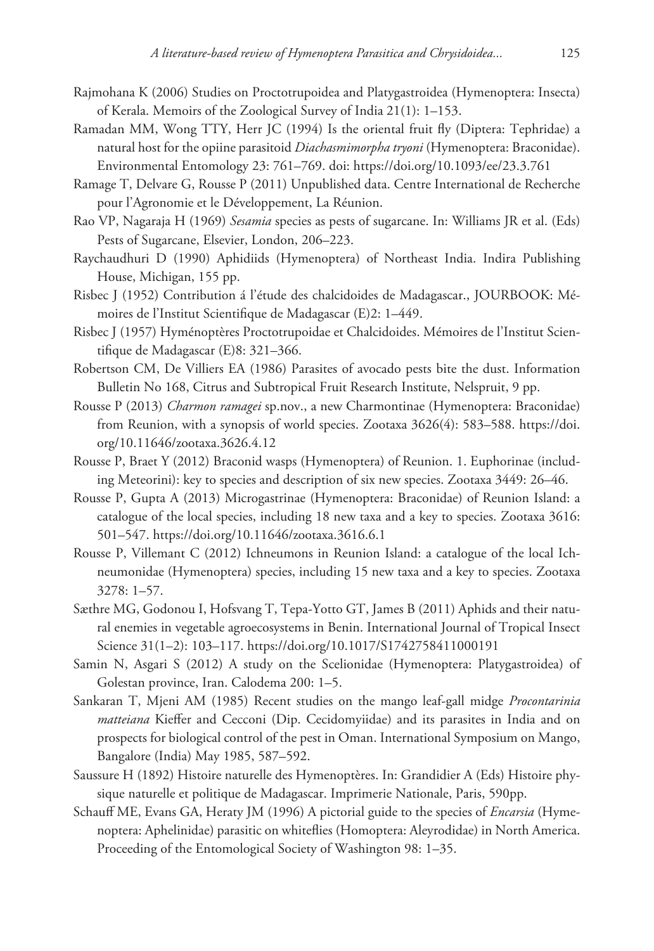- Rajmohana K (2006) Studies on Proctotrupoidea and Platygastroidea (Hymenoptera: Insecta) of Kerala. Memoirs of the Zoological Survey of India 21(1): 1–153.
- Ramadan MM, Wong TTY, Herr JC (1994) Is the oriental fruit fly (Diptera: Tephridae) a natural host for the opiine parasitoid *Diachasmimorpha tryoni* (Hymenoptera: Braconidae). Environmental Entomology 23: 761–769. doi: <https://doi.org/10.1093/ee/23.3.761>
- Ramage T, Delvare G, Rousse P (2011) Unpublished data. Centre International de Recherche pour l'Agronomie et le Développement, La Réunion.
- Rao VP, Nagaraja H (1969) *Sesamia* species as pests of sugarcane. In: Williams JR et al. (Eds) Pests of Sugarcane, Elsevier, London, 206–223.
- Raychaudhuri D (1990) Aphidiids (Hymenoptera) of Northeast India. Indira Publishing House, Michigan, 155 pp.
- Risbec J (1952) Contribution á l'étude des chalcidoides de Madagascar., JOURBOOK: Mémoires de l'Institut Scientifique de Madagascar (E)2: 1–449.
- Risbec J (1957) Hyménoptères Proctotrupoidae et Chalcidoides. Mémoires de l'Institut Scientifique de Madagascar (E)8: 321–366.
- Robertson CM, De Villiers EA (1986) Parasites of avocado pests bite the dust. Information Bulletin No 168, Citrus and Subtropical Fruit Research Institute, Nelspruit, 9 pp.
- Rousse P (2013) *Charmon ramagei* sp.nov., a new Charmontinae (Hymenoptera: Braconidae) from Reunion, with a synopsis of world species. Zootaxa 3626(4): 583–588. [https://doi.](https://doi.org/10.11646/zootaxa.3626.4.12) [org/10.11646/zootaxa.3626.4.12](https://doi.org/10.11646/zootaxa.3626.4.12)
- Rousse P, Braet Y (2012) Braconid wasps (Hymenoptera) of Reunion. 1. Euphorinae (including Meteorini): key to species and description of six new species. Zootaxa 3449: 26–46.
- Rousse P, Gupta A (2013) Microgastrinae (Hymenoptera: Braconidae) of Reunion Island: a catalogue of the local species, including 18 new taxa and a key to species. Zootaxa 3616: 501–547.<https://doi.org/10.11646/zootaxa.3616.6.1>
- Rousse P, Villemant C (2012) Ichneumons in Reunion Island: a catalogue of the local Ichneumonidae (Hymenoptera) species, including 15 new taxa and a key to species. Zootaxa 3278: 1–57.
- Sæthre MG, Godonou I, Hofsvang T, Tepa-Yotto GT, James B (2011) Aphids and their natural enemies in vegetable agroecosystems in Benin. International Journal of Tropical Insect Science 31(1–2): 103–117. <https://doi.org/10.1017/S1742758411000191>
- Samin N, Asgari S (2012) A study on the Scelionidae (Hymenoptera: Platygastroidea) of Golestan province, Iran. Calodema 200: 1–5.
- Sankaran T, Mjeni AM (1985) Recent studies on the mango leaf-gall midge *Procontarinia matteiana* Kieffer and Cecconi (Dip. Cecidomyiidae) and its parasites in India and on prospects for biological control of the pest in Oman. International Symposium on Mango, Bangalore (India) May 1985, 587–592.
- Saussure H (1892) Histoire naturelle des Hymenoptères. In: Grandidier A (Eds) Histoire physique naturelle et politique de Madagascar. Imprimerie Nationale, Paris, 590pp.
- Schauff ME, Evans GA, Heraty JM (1996) A pictorial guide to the species of *Encarsia* (Hymenoptera: Aphelinidae) parasitic on whiteflies (Homoptera: Aleyrodidae) in North America. Proceeding of the Entomological Society of Washington 98: 1–35.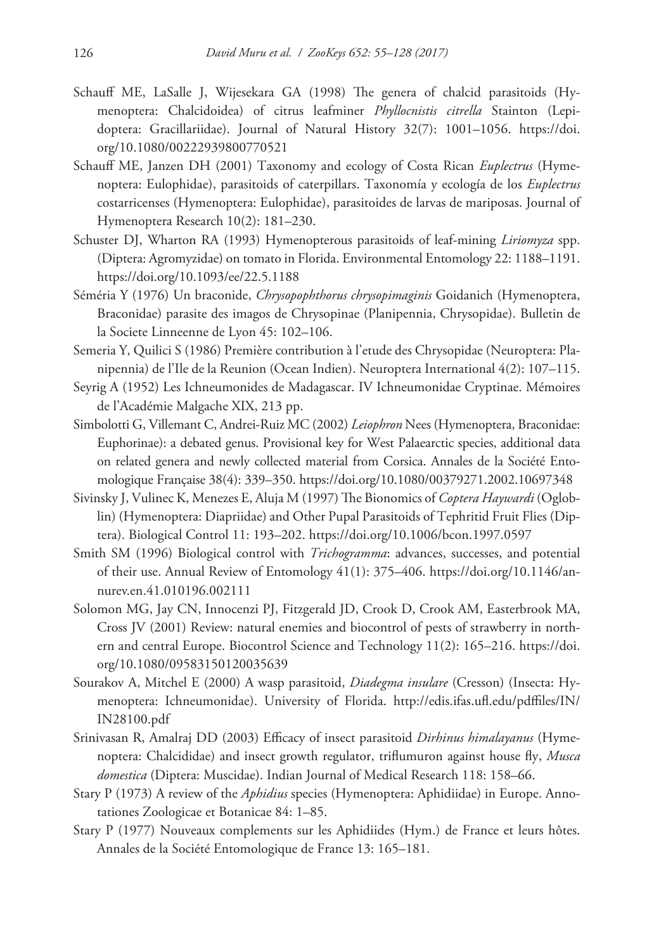- Schauff ME, LaSalle J, Wijesekara GA (1998) The genera of chalcid parasitoids (Hymenoptera: Chalcidoidea) of citrus leafminer *Phyllocnistis citrella* Stainton (Lepidoptera: Gracillariidae). Journal of Natural History 32(7): 1001–1056. [https://doi.](https://doi.org/10.1080/00222939800770521) [org/10.1080/00222939800770521](https://doi.org/10.1080/00222939800770521)
- Schauff ME, Janzen DH (2001) Taxonomy and ecology of Costa Rican *Euplectrus* (Hymenoptera: Eulophidae), parasitoids of caterpillars. Taxonomía y ecología de los *Euplectrus* costarricenses (Hymenoptera: Eulophidae), parasitoides de larvas de mariposas. Journal of Hymenoptera Research 10(2): 181–230.
- Schuster DJ, Wharton RA (1993) Hymenopterous parasitoids of leaf-mining *Liriomyza* spp. (Diptera: Agromyzidae) on tomato in Florida. Environmental Entomology 22: 1188–1191. <https://doi.org/10.1093/ee/22.5.1188>
- Séméria Y (1976) Un braconide, *Chrysopophthorus chrysopimaginis* Goidanich (Hymenoptera, Braconidae) parasite des imagos de Chrysopinae (Planipennia, Chrysopidae). Bulletin de la Societe Linneenne de Lyon 45: 102–106.
- Semeria Y, Quilici S (1986) Première contribution à l'etude des Chrysopidae (Neuroptera: Planipennia) de l'Ile de la Reunion (Ocean Indien). Neuroptera International 4(2): 107–115.
- Seyrig A (1952) Les Ichneumonides de Madagascar. IV Ichneumonidae Cryptinae. Mémoires de l'Académie Malgache XIX, 213 pp.
- Simbolotti G, Villemant C, Andrei-Ruiz MC (2002) *Leiophron* Nees (Hymenoptera, Braconidae: Euphorinae): a debated genus. Provisional key for West Palaearctic species, additional data on related genera and newly collected material from Corsica. Annales de la Société Entomologique Française 38(4): 339–350.<https://doi.org/10.1080/00379271.2002.10697348>
- Sivinsky J, Vulinec K, Menezes E, Aluja M (1997) The Bionomics of *Coptera Haywardi* (Ogloblin) (Hymenoptera: Diapriidae) and Other Pupal Parasitoids of Tephritid Fruit Flies (Diptera). Biological Control 11: 193–202.<https://doi.org/10.1006/bcon.1997.0597>
- Smith SM (1996) Biological control with *Trichogramma*: advances, successes, and potential of their use. Annual Review of Entomology 41(1): 375–406. [https://doi.org/10.1146/an](https://doi.org/10.1146/annurev.en.41.010196.002111)[nurev.en.41.010196.002111](https://doi.org/10.1146/annurev.en.41.010196.002111)
- Solomon MG, Jay CN, Innocenzi PJ, Fitzgerald JD, Crook D, Crook AM, Easterbrook MA, Cross JV (2001) Review: natural enemies and biocontrol of pests of strawberry in northern and central Europe. Biocontrol Science and Technology 11(2): 165–216. [https://doi.](https://doi.org/10.1080/09583150120035639) [org/10.1080/09583150120035639](https://doi.org/10.1080/09583150120035639)
- Sourakov A, Mitchel E (2000) A wasp parasitoid, *Diadegma insulare* (Cresson) (Insecta: Hymenoptera: Ichneumonidae). University of Florida. [http://edis.ifas.ufl.edu/pdffiles/IN/](http://edis.ifas.ufl.edu/pdffiles/IN/IN28100.pdf) [IN28100.pdf](http://edis.ifas.ufl.edu/pdffiles/IN/IN28100.pdf)
- Srinivasan R, Amalraj DD (2003) Efficacy of insect parasitoid *Dirhinus himalayanus* (Hymenoptera: Chalcididae) and insect growth regulator, triflumuron against house fly, *Musca domestica* (Diptera: Muscidae). Indian Journal of Medical Research 118: 158–66.
- Stary P (1973) A review of the *Aphidius* species (Hymenoptera: Aphidiidae) in Europe. Annotationes Zoologicae et Botanicae 84: 1–85.
- Stary P (1977) Nouveaux complements sur les Aphidiides (Hym.) de France et leurs hôtes. Annales de la Société Entomologique de France 13: 165–181.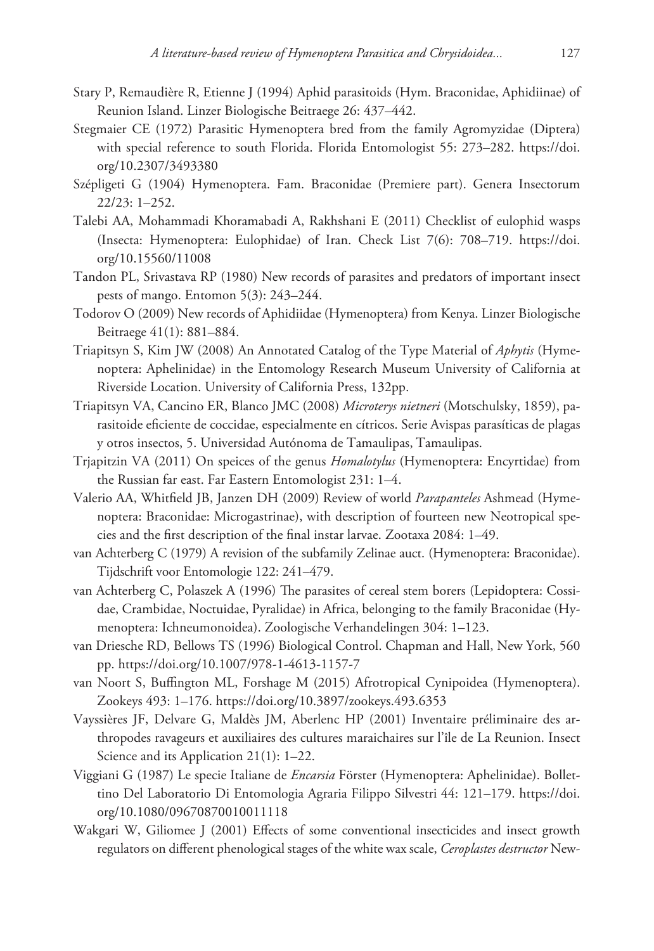- Stary P, Remaudière R, Etienne J (1994) Aphid parasitoids (Hym. Braconidae, Aphidiinae) of Reunion Island. Linzer Biologische Beitraege 26: 437–442.
- Stegmaier CE (1972) Parasitic Hymenoptera bred from the family Agromyzidae (Diptera) with special reference to south Florida. Florida Entomologist 55: 273–282. [https://doi.](https://doi.org/10.2307/3493380) [org/10.2307/3493380](https://doi.org/10.2307/3493380)
- Szépligeti G (1904) Hymenoptera. Fam. Braconidae (Premiere part). Genera Insectorum 22/23: 1–252.
- Talebi AA, Mohammadi Khoramabadi A, Rakhshani E (2011) Checklist of eulophid wasps (Insecta: Hymenoptera: Eulophidae) of Iran. Check List 7(6): 708–719. [https://doi.](https://doi.org/10.15560/11008) [org/10.15560/11008](https://doi.org/10.15560/11008)
- Tandon PL, Srivastava RP (1980) New records of parasites and predators of important insect pests of mango. Entomon 5(3): 243–244.
- Todorov O (2009) New records of Aphidiidae (Hymenoptera) from Kenya. Linzer Biologische Beitraege 41(1): 881–884.
- Triapitsyn S, Kim JW (2008) An Annotated Catalog of the Type Material of *Aphytis* (Hymenoptera: Aphelinidae) in the Entomology Research Museum University of California at Riverside Location. University of California Press, 132pp.
- Triapitsyn VA, Cancino ER, Blanco JMC (2008) *Microterys nietneri* (Motschulsky, 1859), parasitoide eficiente de coccidae, especialmente en cítricos. Serie Avispas parasíticas de plagas y otros insectos, 5. Universidad Autónoma de Tamaulipas, Tamaulipas.
- Trjapitzin VA (2011) On speices of the genus *Homalotylus* (Hymenoptera: Encyrtidae) from the Russian far east. Far Eastern Entomologist 231: 1–4.
- Valerio AA, Whitfield JB, Janzen DH (2009) Review of world *Parapanteles* Ashmead (Hymenoptera: Braconidae: Microgastrinae), with description of fourteen new Neotropical species and the first description of the final instar larvae. Zootaxa 2084: 1–49.
- van Achterberg C (1979) A revision of the subfamily Zelinae auct. (Hymenoptera: Braconidae). Tijdschrift voor Entomologie 122: 241–479.
- van Achterberg C, Polaszek A (1996) The parasites of cereal stem borers (Lepidoptera: Cossidae, Crambidae, Noctuidae, Pyralidae) in Africa, belonging to the family Braconidae (Hymenoptera: Ichneumonoidea). Zoologische Verhandelingen 304: 1–123.
- van Driesche RD, Bellows TS (1996) Biological Control. Chapman and Hall, New York, 560 pp. <https://doi.org/10.1007/978-1-4613-1157-7>
- van Noort S, Buffington ML, Forshage M (2015) Afrotropical Cynipoidea (Hymenoptera). Zookeys 493: 1–176.<https://doi.org/10.3897/zookeys.493.6353>
- Vayssières JF, Delvare G, Maldès JM, Aberlenc HP (2001) Inventaire préliminaire des arthropodes ravageurs et auxiliaires des cultures maraichaires sur l'île de La Reunion. Insect Science and its Application 21(1): 1–22.
- Viggiani G (1987) Le specie Italiane de *Encarsia* Förster (Hymenoptera: Aphelinidae). Bollettino Del Laboratorio Di Entomologia Agraria Filippo Silvestri 44: 121–179. [https://doi.](https://doi.org/10.1080/09670870010011118) [org/10.1080/09670870010011118](https://doi.org/10.1080/09670870010011118)
- Wakgari W, Giliomee J (2001) Effects of some conventional insecticides and insect growth regulators on different phenological stages of the white wax scale, *Ceroplastes destructor* New-